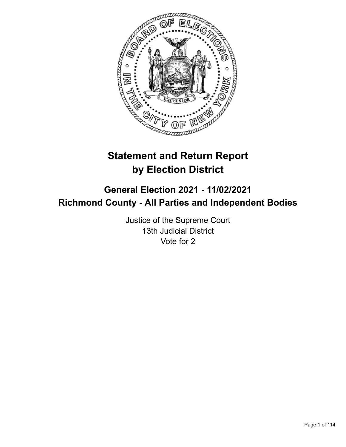

# **Statement and Return Report by Election District**

# **General Election 2021 - 11/02/2021 Richmond County - All Parties and Independent Bodies**

Justice of the Supreme Court 13th Judicial District Vote for 2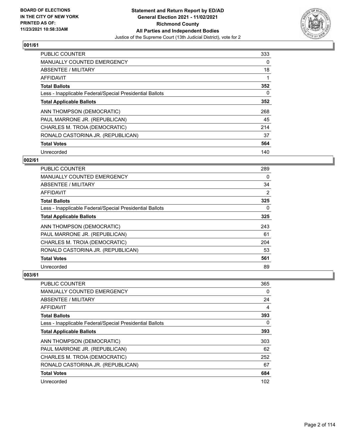

| <b>PUBLIC COUNTER</b>                                    | 333 |
|----------------------------------------------------------|-----|
| <b>MANUALLY COUNTED EMERGENCY</b>                        | 0   |
| ABSENTEE / MILITARY                                      | 18  |
| <b>AFFIDAVIT</b>                                         |     |
| <b>Total Ballots</b>                                     | 352 |
| Less - Inapplicable Federal/Special Presidential Ballots | 0   |
| <b>Total Applicable Ballots</b>                          | 352 |
| ANN THOMPSON (DEMOCRATIC)                                | 268 |
| PAUL MARRONE JR. (REPUBLICAN)                            | 45  |
| CHARLES M. TROIA (DEMOCRATIC)                            | 214 |
| RONALD CASTORINA JR. (REPUBLICAN)                        | 37  |
| <b>Total Votes</b>                                       | 564 |
| Unrecorded                                               | 140 |

# **002/61**

| <b>PUBLIC COUNTER</b>                                    | 289 |
|----------------------------------------------------------|-----|
| MANUALLY COUNTED EMERGENCY                               | 0   |
| ABSENTEE / MILITARY                                      | 34  |
| AFFIDAVIT                                                | 2   |
| <b>Total Ballots</b>                                     | 325 |
| Less - Inapplicable Federal/Special Presidential Ballots | 0   |
| <b>Total Applicable Ballots</b>                          | 325 |
| ANN THOMPSON (DEMOCRATIC)                                | 243 |
| PAUL MARRONE JR. (REPUBLICAN)                            | 61  |
| CHARLES M. TROIA (DEMOCRATIC)                            | 204 |
| RONALD CASTORINA JR. (REPUBLICAN)                        | 53  |
| <b>Total Votes</b>                                       | 561 |
| Unrecorded                                               | 89  |

| PUBLIC COUNTER                                           | 365      |
|----------------------------------------------------------|----------|
| MANUALLY COUNTED EMERGENCY                               | $\Omega$ |
| ABSENTEE / MILITARY                                      | 24       |
| AFFIDAVIT                                                | 4        |
| <b>Total Ballots</b>                                     | 393      |
| Less - Inapplicable Federal/Special Presidential Ballots | 0        |
| <b>Total Applicable Ballots</b>                          | 393      |
| ANN THOMPSON (DEMOCRATIC)                                | 303      |
| PAUL MARRONE JR. (REPUBLICAN)                            | 62       |
| CHARLES M. TROIA (DEMOCRATIC)                            | 252      |
| RONALD CASTORINA JR. (REPUBLICAN)                        | 67       |
| <b>Total Votes</b>                                       | 684      |
| Unrecorded                                               | 102      |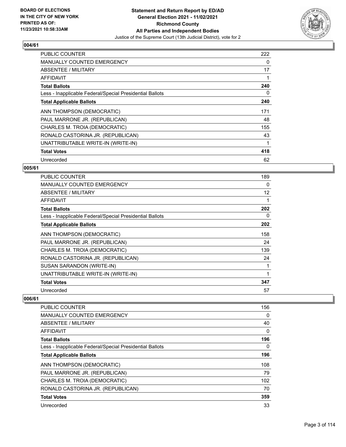

| <b>PUBLIC COUNTER</b>                                    | 222 |
|----------------------------------------------------------|-----|
| <b>MANUALLY COUNTED EMERGENCY</b>                        | 0   |
| <b>ABSENTEE / MILITARY</b>                               | 17  |
| AFFIDAVIT                                                |     |
| <b>Total Ballots</b>                                     | 240 |
| Less - Inapplicable Federal/Special Presidential Ballots | 0   |
| <b>Total Applicable Ballots</b>                          | 240 |
| ANN THOMPSON (DEMOCRATIC)                                | 171 |
| PAUL MARRONE JR. (REPUBLICAN)                            | 48  |
| CHARLES M. TROIA (DEMOCRATIC)                            | 155 |
| RONALD CASTORINA JR. (REPUBLICAN)                        | 43  |
| UNATTRIBUTABLE WRITE-IN (WRITE-IN)                       |     |
| <b>Total Votes</b>                                       | 418 |
| Unrecorded                                               | 62  |

# **005/61**

| <b>PUBLIC COUNTER</b>                                    | 189 |
|----------------------------------------------------------|-----|
| <b>MANUALLY COUNTED EMERGENCY</b>                        | 0   |
| ABSENTEE / MILITARY                                      | 12  |
| AFFIDAVIT                                                |     |
| <b>Total Ballots</b>                                     | 202 |
| Less - Inapplicable Federal/Special Presidential Ballots | 0   |
| <b>Total Applicable Ballots</b>                          | 202 |
| ANN THOMPSON (DEMOCRATIC)                                | 158 |
| PAUL MARRONE JR. (REPUBLICAN)                            | 24  |
| CHARLES M. TROIA (DEMOCRATIC)                            | 139 |
| RONALD CASTORINA JR. (REPUBLICAN)                        | 24  |
| SUSAN SARANDON (WRITE-IN)                                |     |
| UNATTRIBUTABLE WRITE-IN (WRITE-IN)                       |     |
| <b>Total Votes</b>                                       | 347 |
| Unrecorded                                               | 57  |

| <b>PUBLIC COUNTER</b>                                    | 156 |
|----------------------------------------------------------|-----|
| <b>MANUALLY COUNTED EMERGENCY</b>                        | 0   |
| ABSENTEE / MILITARY                                      | 40  |
| AFFIDAVIT                                                | 0   |
| <b>Total Ballots</b>                                     | 196 |
| Less - Inapplicable Federal/Special Presidential Ballots | 0   |
| <b>Total Applicable Ballots</b>                          | 196 |
| ANN THOMPSON (DEMOCRATIC)                                | 108 |
| PAUL MARRONE JR. (REPUBLICAN)                            | 79  |
| CHARLES M. TROIA (DEMOCRATIC)                            | 102 |
| RONALD CASTORINA JR. (REPUBLICAN)                        | 70  |
| <b>Total Votes</b>                                       | 359 |
| Unrecorded                                               | 33  |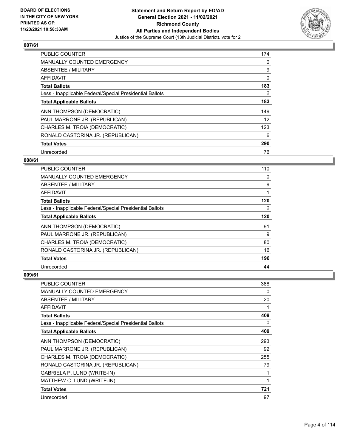

| <b>PUBLIC COUNTER</b>                                    | 174 |
|----------------------------------------------------------|-----|
| <b>MANUALLY COUNTED EMERGENCY</b>                        | 0   |
| ABSENTEE / MILITARY                                      | 9   |
| AFFIDAVIT                                                | 0   |
| <b>Total Ballots</b>                                     | 183 |
| Less - Inapplicable Federal/Special Presidential Ballots | 0   |
| <b>Total Applicable Ballots</b>                          | 183 |
| ANN THOMPSON (DEMOCRATIC)                                | 149 |
| PAUL MARRONE JR. (REPUBLICAN)                            | 12  |
| CHARLES M. TROIA (DEMOCRATIC)                            | 123 |
| RONALD CASTORINA JR. (REPUBLICAN)                        | 6   |
| <b>Total Votes</b>                                       | 290 |
| Unrecorded                                               | 76  |

# **008/61**

| PUBLIC COUNTER                                           | 110      |
|----------------------------------------------------------|----------|
| <b>MANUALLY COUNTED EMERGENCY</b>                        | $\Omega$ |
| ABSENTEE / MILITARY                                      | 9        |
| AFFIDAVIT                                                |          |
| <b>Total Ballots</b>                                     | 120      |
| Less - Inapplicable Federal/Special Presidential Ballots | $\Omega$ |
| <b>Total Applicable Ballots</b>                          | 120      |
| ANN THOMPSON (DEMOCRATIC)                                | 91       |
| PAUL MARRONE JR. (REPUBLICAN)                            | 9        |
| CHARLES M. TROIA (DEMOCRATIC)                            | 80       |
| RONALD CASTORINA JR. (REPUBLICAN)                        | 16       |
| <b>Total Votes</b>                                       | 196      |
| Unrecorded                                               | 44       |

| <b>PUBLIC COUNTER</b>                                    | 388 |
|----------------------------------------------------------|-----|
| <b>MANUALLY COUNTED EMERGENCY</b>                        | 0   |
| ABSENTEE / MILITARY                                      | 20  |
| AFFIDAVIT                                                | 1   |
| <b>Total Ballots</b>                                     | 409 |
| Less - Inapplicable Federal/Special Presidential Ballots | 0   |
| <b>Total Applicable Ballots</b>                          | 409 |
| ANN THOMPSON (DEMOCRATIC)                                | 293 |
| PAUL MARRONE JR. (REPUBLICAN)                            | 92  |
| CHARLES M. TROIA (DEMOCRATIC)                            | 255 |
| RONALD CASTORINA JR. (REPUBLICAN)                        | 79  |
| GABRIELA P. LUND (WRITE-IN)                              | 1   |
| MATTHEW C. LUND (WRITE-IN)                               | 1   |
| <b>Total Votes</b>                                       | 721 |
| Unrecorded                                               | 97  |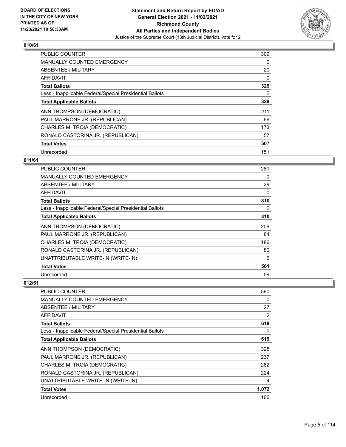

| <b>PUBLIC COUNTER</b>                                    | 309 |
|----------------------------------------------------------|-----|
| <b>MANUALLY COUNTED EMERGENCY</b>                        | 0   |
| ABSENTEE / MILITARY                                      | 20  |
| <b>AFFIDAVIT</b>                                         | 0   |
| <b>Total Ballots</b>                                     | 329 |
| Less - Inapplicable Federal/Special Presidential Ballots | 0   |
| <b>Total Applicable Ballots</b>                          | 329 |
| ANN THOMPSON (DEMOCRATIC)                                | 211 |
| PAUL MARRONE JR. (REPUBLICAN)                            | 66  |
| CHARLES M. TROIA (DEMOCRATIC)                            | 173 |
| RONALD CASTORINA JR. (REPUBLICAN)                        | 57  |
| <b>Total Votes</b>                                       | 507 |
| Unrecorded                                               | 151 |

# **011/61**

| <b>PUBLIC COUNTER</b>                                    | 281 |
|----------------------------------------------------------|-----|
| MANUALLY COUNTED EMERGENCY                               | 0   |
| ABSENTEE / MILITARY                                      | 29  |
| AFFIDAVIT                                                | 0   |
| <b>Total Ballots</b>                                     | 310 |
| Less - Inapplicable Federal/Special Presidential Ballots | 0   |
| <b>Total Applicable Ballots</b>                          | 310 |
| ANN THOMPSON (DEMOCRATIC)                                | 209 |
| PAUL MARRONE JR. (REPUBLICAN)                            | 84  |
| CHARLES M. TROIA (DEMOCRATIC)                            | 186 |
| RONALD CASTORINA JR. (REPUBLICAN)                        | 80  |
| UNATTRIBUTABLE WRITE-IN (WRITE-IN)                       | 2   |
| <b>Total Votes</b>                                       | 561 |
| Unrecorded                                               | 59  |

| <b>PUBLIC COUNTER</b>                                    | 590   |
|----------------------------------------------------------|-------|
| <b>MANUALLY COUNTED EMERGENCY</b>                        | 0     |
| ABSENTEE / MILITARY                                      | 27    |
| AFFIDAVIT                                                | 2     |
| <b>Total Ballots</b>                                     | 619   |
| Less - Inapplicable Federal/Special Presidential Ballots | 0     |
| <b>Total Applicable Ballots</b>                          | 619   |
| ANN THOMPSON (DEMOCRATIC)                                | 325   |
| PAUL MARRONE JR. (REPUBLICAN)                            | 237   |
| CHARLES M. TROIA (DEMOCRATIC)                            | 282   |
| RONALD CASTORINA JR. (REPUBLICAN)                        | 224   |
| UNATTRIBUTABLE WRITE-IN (WRITE-IN)                       | 4     |
| <b>Total Votes</b>                                       | 1,072 |
| Unrecorded                                               | 166   |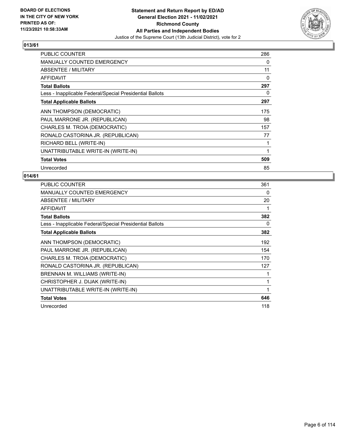

| <b>PUBLIC COUNTER</b>                                    | 286      |
|----------------------------------------------------------|----------|
| <b>MANUALLY COUNTED EMERGENCY</b>                        | 0        |
| ABSENTEE / MILITARY                                      | 11       |
| AFFIDAVIT                                                | $\Omega$ |
| <b>Total Ballots</b>                                     | 297      |
| Less - Inapplicable Federal/Special Presidential Ballots | 0        |
| <b>Total Applicable Ballots</b>                          | 297      |
| ANN THOMPSON (DEMOCRATIC)                                | 175      |
| PAUL MARRONE JR. (REPUBLICAN)                            | 98       |
| CHARLES M. TROIA (DEMOCRATIC)                            | 157      |
| RONALD CASTORINA JR. (REPUBLICAN)                        | 77       |
| RICHARD BELL (WRITE-IN)                                  |          |
| UNATTRIBUTABLE WRITE-IN (WRITE-IN)                       | 1        |
| <b>Total Votes</b>                                       | 509      |
| Unrecorded                                               | 85       |

| <b>PUBLIC COUNTER</b>                                    | 361 |
|----------------------------------------------------------|-----|
| MANUALLY COUNTED EMERGENCY                               | 0   |
| ABSENTEE / MILITARY                                      | 20  |
| <b>AFFIDAVIT</b>                                         |     |
| <b>Total Ballots</b>                                     | 382 |
| Less - Inapplicable Federal/Special Presidential Ballots | 0   |
| <b>Total Applicable Ballots</b>                          | 382 |
| ANN THOMPSON (DEMOCRATIC)                                | 192 |
| PAUL MARRONE JR. (REPUBLICAN)                            | 154 |
| CHARLES M. TROIA (DEMOCRATIC)                            | 170 |
| RONALD CASTORINA JR. (REPUBLICAN)                        | 127 |
| BRENNAN M. WILLIAMS (WRITE-IN)                           | 1   |
| CHRISTOPHER J. DIJAK (WRITE-IN)                          | 1   |
| UNATTRIBUTABLE WRITE-IN (WRITE-IN)                       | 1   |
| <b>Total Votes</b>                                       | 646 |
| Unrecorded                                               | 118 |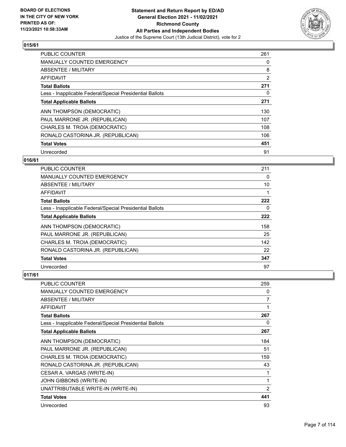

| <b>PUBLIC COUNTER</b>                                    | 261            |
|----------------------------------------------------------|----------------|
| <b>MANUALLY COUNTED EMERGENCY</b>                        | 0              |
| <b>ABSENTEE / MILITARY</b>                               | 8              |
| <b>AFFIDAVIT</b>                                         | $\overline{2}$ |
| <b>Total Ballots</b>                                     | 271            |
| Less - Inapplicable Federal/Special Presidential Ballots | 0              |
| <b>Total Applicable Ballots</b>                          | 271            |
| ANN THOMPSON (DEMOCRATIC)                                | 130            |
| PAUL MARRONE JR. (REPUBLICAN)                            | 107            |
| CHARLES M. TROIA (DEMOCRATIC)                            | 108            |
| RONALD CASTORINA JR. (REPUBLICAN)                        | 106            |
| <b>Total Votes</b>                                       | 451            |
| Unrecorded                                               | 91             |

# **016/61**

| PUBLIC COUNTER                                           | 211      |
|----------------------------------------------------------|----------|
| <b>MANUALLY COUNTED EMERGENCY</b>                        | 0        |
| ABSENTEE / MILITARY                                      | 10       |
| AFFIDAVIT                                                |          |
| <b>Total Ballots</b>                                     | 222      |
| Less - Inapplicable Federal/Special Presidential Ballots | $\Omega$ |
| <b>Total Applicable Ballots</b>                          | 222      |
| ANN THOMPSON (DEMOCRATIC)                                | 158      |
| PAUL MARRONE JR. (REPUBLICAN)                            | 25       |
| CHARLES M. TROIA (DEMOCRATIC)                            | 142      |
| RONALD CASTORINA JR. (REPUBLICAN)                        | 22       |
| <b>Total Votes</b>                                       | 347      |
| Unrecorded                                               | 97       |

| <b>PUBLIC COUNTER</b>                                    | 259            |
|----------------------------------------------------------|----------------|
| MANUALLY COUNTED EMERGENCY                               | 0              |
| ABSENTEE / MILITARY                                      | 7              |
| <b>AFFIDAVIT</b>                                         | 1              |
| <b>Total Ballots</b>                                     | 267            |
| Less - Inapplicable Federal/Special Presidential Ballots | 0              |
| <b>Total Applicable Ballots</b>                          | 267            |
| ANN THOMPSON (DEMOCRATIC)                                | 184            |
| PAUL MARRONE JR. (REPUBLICAN)                            | 51             |
| CHARLES M. TROIA (DEMOCRATIC)                            | 159            |
| RONALD CASTORINA JR. (REPUBLICAN)                        | 43             |
| CESAR A. VARGAS (WRITE-IN)                               | 1              |
| JOHN GIBBONS (WRITE-IN)                                  | 1              |
| UNATTRIBUTABLE WRITE-IN (WRITE-IN)                       | $\overline{2}$ |
| <b>Total Votes</b>                                       | 441            |
| Unrecorded                                               | 93             |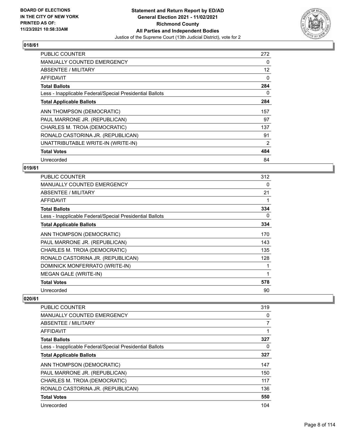

| <b>PUBLIC COUNTER</b>                                    | 272 |
|----------------------------------------------------------|-----|
| <b>MANUALLY COUNTED EMERGENCY</b>                        | 0   |
| ABSENTEE / MILITARY                                      | 12  |
| AFFIDAVIT                                                | 0   |
| <b>Total Ballots</b>                                     | 284 |
| Less - Inapplicable Federal/Special Presidential Ballots | 0   |
| <b>Total Applicable Ballots</b>                          | 284 |
| ANN THOMPSON (DEMOCRATIC)                                | 157 |
| PAUL MARRONE JR. (REPUBLICAN)                            | 97  |
| CHARLES M. TROIA (DEMOCRATIC)                            | 137 |
| RONALD CASTORINA JR. (REPUBLICAN)                        | 91  |
| UNATTRIBUTABLE WRITE-IN (WRITE-IN)                       | 2   |
| <b>Total Votes</b>                                       | 484 |
| Unrecorded                                               | 84  |

# **019/61**

| <b>PUBLIC COUNTER</b>                                    | 312 |
|----------------------------------------------------------|-----|
| <b>MANUALLY COUNTED EMERGENCY</b>                        | 0   |
| ABSENTEE / MILITARY                                      | 21  |
| AFFIDAVIT                                                |     |
| <b>Total Ballots</b>                                     | 334 |
| Less - Inapplicable Federal/Special Presidential Ballots | 0   |
| <b>Total Applicable Ballots</b>                          | 334 |
| ANN THOMPSON (DEMOCRATIC)                                | 170 |
| PAUL MARRONE JR. (REPUBLICAN)                            | 143 |
| CHARLES M. TROIA (DEMOCRATIC)                            | 135 |
| RONALD CASTORINA JR. (REPUBLICAN)                        | 128 |
| DOMINICK MONFERRATO (WRITE-IN)                           |     |
| MEGAN GALE (WRITE-IN)                                    |     |
| <b>Total Votes</b>                                       | 578 |
| Unrecorded                                               | 90  |

| <b>PUBLIC COUNTER</b>                                    | 319 |
|----------------------------------------------------------|-----|
| <b>MANUALLY COUNTED EMERGENCY</b>                        | 0   |
| ABSENTEE / MILITARY                                      | 7   |
| AFFIDAVIT                                                |     |
| <b>Total Ballots</b>                                     | 327 |
| Less - Inapplicable Federal/Special Presidential Ballots | 0   |
| <b>Total Applicable Ballots</b>                          | 327 |
| ANN THOMPSON (DEMOCRATIC)                                | 147 |
| PAUL MARRONE JR. (REPUBLICAN)                            | 150 |
| CHARLES M. TROIA (DEMOCRATIC)                            | 117 |
| RONALD CASTORINA JR. (REPUBLICAN)                        | 136 |
| <b>Total Votes</b>                                       | 550 |
| Unrecorded                                               | 104 |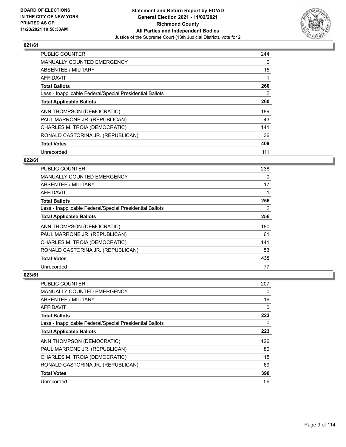

| <b>PUBLIC COUNTER</b>                                    | 244 |
|----------------------------------------------------------|-----|
| MANUALLY COUNTED EMERGENCY                               | 0   |
| ABSENTEE / MILITARY                                      | 15  |
| <b>AFFIDAVIT</b>                                         |     |
| <b>Total Ballots</b>                                     | 260 |
| Less - Inapplicable Federal/Special Presidential Ballots | 0   |
| <b>Total Applicable Ballots</b>                          | 260 |
| ANN THOMPSON (DEMOCRATIC)                                | 189 |
| PAUL MARRONE JR. (REPUBLICAN)                            | 43  |
| CHARLES M. TROIA (DEMOCRATIC)                            | 141 |
| RONALD CASTORINA JR. (REPUBLICAN)                        | 36  |
| <b>Total Votes</b>                                       | 409 |
| Unrecorded                                               | 111 |

# **022/61**

| PUBLIC COUNTER                                           | 238      |
|----------------------------------------------------------|----------|
| <b>MANUALLY COUNTED EMERGENCY</b>                        | $\Omega$ |
| ABSENTEE / MILITARY                                      | 17       |
| AFFIDAVIT                                                |          |
| <b>Total Ballots</b>                                     | 256      |
| Less - Inapplicable Federal/Special Presidential Ballots | 0        |
| <b>Total Applicable Ballots</b>                          | 256      |
| ANN THOMPSON (DEMOCRATIC)                                | 180      |
| PAUL MARRONE JR. (REPUBLICAN)                            | 61       |
| CHARLES M. TROIA (DEMOCRATIC)                            | 141      |
| RONALD CASTORINA JR. (REPUBLICAN)                        | 53       |
| <b>Total Votes</b>                                       | 435      |
| Unrecorded                                               | 77       |

| <b>PUBLIC COUNTER</b>                                    | 207 |
|----------------------------------------------------------|-----|
| <b>MANUALLY COUNTED EMERGENCY</b>                        | 0   |
| ABSENTEE / MILITARY                                      | 16  |
| AFFIDAVIT                                                | 0   |
| <b>Total Ballots</b>                                     | 223 |
| Less - Inapplicable Federal/Special Presidential Ballots | 0   |
| <b>Total Applicable Ballots</b>                          | 223 |
| ANN THOMPSON (DEMOCRATIC)                                | 126 |
| PAUL MARRONE JR. (REPUBLICAN)                            | 80  |
| CHARLES M. TROIA (DEMOCRATIC)                            | 115 |
| RONALD CASTORINA JR. (REPUBLICAN)                        | 69  |
| <b>Total Votes</b>                                       | 390 |
| Unrecorded                                               | 56  |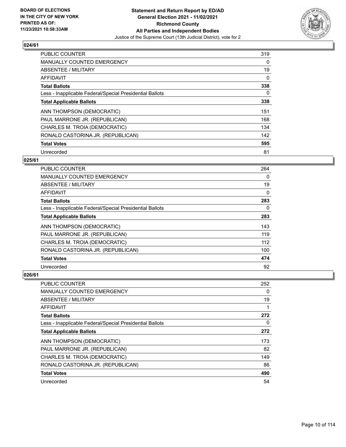

| <b>PUBLIC COUNTER</b>                                    | 319 |
|----------------------------------------------------------|-----|
| MANUALLY COUNTED EMERGENCY                               | 0   |
| ABSENTEE / MILITARY                                      | 19  |
| <b>AFFIDAVIT</b>                                         | 0   |
| <b>Total Ballots</b>                                     | 338 |
| Less - Inapplicable Federal/Special Presidential Ballots | 0   |
| <b>Total Applicable Ballots</b>                          | 338 |
| ANN THOMPSON (DEMOCRATIC)                                | 151 |
| PAUL MARRONE JR. (REPUBLICAN)                            | 168 |
| CHARLES M. TROIA (DEMOCRATIC)                            | 134 |
| RONALD CASTORINA JR. (REPUBLICAN)                        | 142 |
| <b>Total Votes</b>                                       | 595 |
| Unrecorded                                               | 81  |

# **025/61**

| PUBLIC COUNTER                                           | 264      |
|----------------------------------------------------------|----------|
| <b>MANUALLY COUNTED EMERGENCY</b>                        | $\Omega$ |
| ABSENTEE / MILITARY                                      | 19       |
| AFFIDAVIT                                                | 0        |
| <b>Total Ballots</b>                                     | 283      |
| Less - Inapplicable Federal/Special Presidential Ballots | 0        |
| <b>Total Applicable Ballots</b>                          | 283      |
| ANN THOMPSON (DEMOCRATIC)                                | 143      |
| PAUL MARRONE JR. (REPUBLICAN)                            | 119      |
| CHARLES M. TROIA (DEMOCRATIC)                            | 112      |
| RONALD CASTORINA JR. (REPUBLICAN)                        | 100      |
| <b>Total Votes</b>                                       | 474      |
| Unrecorded                                               | 92       |

| <b>PUBLIC COUNTER</b>                                    | 252 |
|----------------------------------------------------------|-----|
| <b>MANUALLY COUNTED EMERGENCY</b>                        | 0   |
| ABSENTEE / MILITARY                                      | 19  |
| AFFIDAVIT                                                | 1   |
| <b>Total Ballots</b>                                     | 272 |
| Less - Inapplicable Federal/Special Presidential Ballots | 0   |
| <b>Total Applicable Ballots</b>                          | 272 |
| ANN THOMPSON (DEMOCRATIC)                                | 173 |
| PAUL MARRONE JR. (REPUBLICAN)                            | 82  |
| CHARLES M. TROIA (DEMOCRATIC)                            | 149 |
| RONALD CASTORINA JR. (REPUBLICAN)                        | 86  |
| <b>Total Votes</b>                                       | 490 |
| Unrecorded                                               | 54  |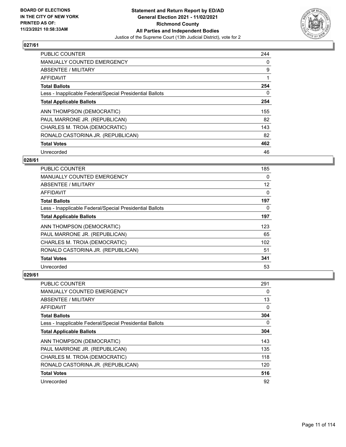

| <b>PUBLIC COUNTER</b>                                    | 244 |
|----------------------------------------------------------|-----|
| MANUALLY COUNTED EMERGENCY                               | 0   |
| ABSENTEE / MILITARY                                      | 9   |
| AFFIDAVIT                                                |     |
| <b>Total Ballots</b>                                     | 254 |
| Less - Inapplicable Federal/Special Presidential Ballots | 0   |
| <b>Total Applicable Ballots</b>                          | 254 |
| ANN THOMPSON (DEMOCRATIC)                                | 155 |
| PAUL MARRONE JR. (REPUBLICAN)                            | 82  |
| CHARLES M. TROIA (DEMOCRATIC)                            | 143 |
| RONALD CASTORINA JR. (REPUBLICAN)                        | 82  |
| <b>Total Votes</b>                                       | 462 |
| Unrecorded                                               | 46  |

# **028/61**

| <b>PUBLIC COUNTER</b>                                    | 185               |
|----------------------------------------------------------|-------------------|
| <b>MANUALLY COUNTED EMERGENCY</b>                        | $\Omega$          |
| ABSENTEE / MILITARY                                      | $12 \overline{ }$ |
| AFFIDAVIT                                                | 0                 |
| <b>Total Ballots</b>                                     | 197               |
| Less - Inapplicable Federal/Special Presidential Ballots | $\Omega$          |
| <b>Total Applicable Ballots</b>                          | 197               |
| ANN THOMPSON (DEMOCRATIC)                                | 123               |
| PAUL MARRONE JR. (REPUBLICAN)                            | 65                |
| CHARLES M. TROIA (DEMOCRATIC)                            | 102               |
| RONALD CASTORINA JR. (REPUBLICAN)                        | 51                |
| <b>Total Votes</b>                                       | 341               |
| Unrecorded                                               | 53                |

| <b>PUBLIC COUNTER</b>                                    | 291 |
|----------------------------------------------------------|-----|
| <b>MANUALLY COUNTED EMERGENCY</b>                        | 0   |
| ABSENTEE / MILITARY                                      | 13  |
| AFFIDAVIT                                                | 0   |
| <b>Total Ballots</b>                                     | 304 |
| Less - Inapplicable Federal/Special Presidential Ballots | 0   |
| <b>Total Applicable Ballots</b>                          | 304 |
| ANN THOMPSON (DEMOCRATIC)                                | 143 |
| PAUL MARRONE JR. (REPUBLICAN)                            | 135 |
| CHARLES M. TROIA (DEMOCRATIC)                            | 118 |
| RONALD CASTORINA JR. (REPUBLICAN)                        | 120 |
| <b>Total Votes</b>                                       | 516 |
| Unrecorded                                               | 92  |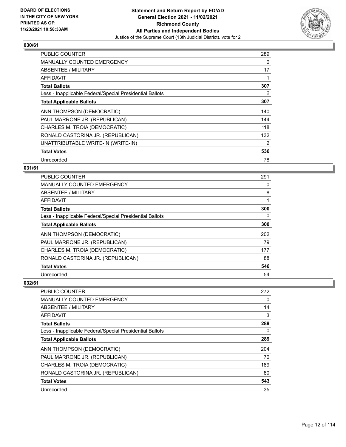

| <b>PUBLIC COUNTER</b>                                    | 289            |
|----------------------------------------------------------|----------------|
| <b>MANUALLY COUNTED EMERGENCY</b>                        | 0              |
| ABSENTEE / MILITARY                                      | 17             |
| AFFIDAVIT                                                |                |
| <b>Total Ballots</b>                                     | 307            |
| Less - Inapplicable Federal/Special Presidential Ballots | 0              |
| <b>Total Applicable Ballots</b>                          | 307            |
| ANN THOMPSON (DEMOCRATIC)                                | 140            |
| PAUL MARRONE JR. (REPUBLICAN)                            | 144            |
| CHARLES M. TROIA (DEMOCRATIC)                            | 118            |
| RONALD CASTORINA JR. (REPUBLICAN)                        | 132            |
| UNATTRIBUTABLE WRITE-IN (WRITE-IN)                       | $\overline{2}$ |
| <b>Total Votes</b>                                       | 536            |
| Unrecorded                                               | 78             |

# **031/61**

| <b>PUBLIC COUNTER</b>                                    | 291 |
|----------------------------------------------------------|-----|
| MANUALLY COUNTED EMERGENCY                               | 0   |
| ABSENTEE / MILITARY                                      | 8   |
| AFFIDAVIT                                                |     |
| <b>Total Ballots</b>                                     | 300 |
| Less - Inapplicable Federal/Special Presidential Ballots | 0   |
| <b>Total Applicable Ballots</b>                          | 300 |
| ANN THOMPSON (DEMOCRATIC)                                | 202 |
| PAUL MARRONE JR. (REPUBLICAN)                            | 79  |
| CHARLES M. TROIA (DEMOCRATIC)                            | 177 |
| RONALD CASTORINA JR. (REPUBLICAN)                        | 88  |
| <b>Total Votes</b>                                       | 546 |
| Unrecorded                                               | 54  |

| PUBLIC COUNTER                                           | 272 |
|----------------------------------------------------------|-----|
| <b>MANUALLY COUNTED EMERGENCY</b>                        | 0   |
| ABSENTEE / MILITARY                                      | 14  |
| AFFIDAVIT                                                | 3   |
| <b>Total Ballots</b>                                     | 289 |
| Less - Inapplicable Federal/Special Presidential Ballots | 0   |
| <b>Total Applicable Ballots</b>                          | 289 |
| ANN THOMPSON (DEMOCRATIC)                                | 204 |
| PAUL MARRONE JR. (REPUBLICAN)                            | 70  |
| CHARLES M. TROIA (DEMOCRATIC)                            | 189 |
| RONALD CASTORINA JR. (REPUBLICAN)                        | 80  |
| <b>Total Votes</b>                                       | 543 |
| Unrecorded                                               | 35  |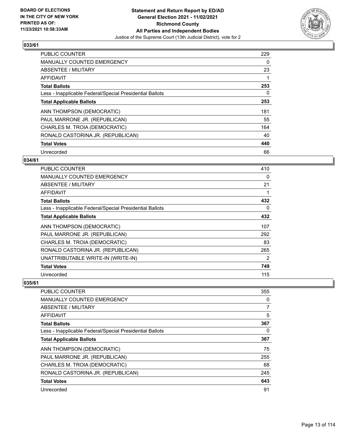

| <b>PUBLIC COUNTER</b>                                    | 229 |
|----------------------------------------------------------|-----|
| <b>MANUALLY COUNTED EMERGENCY</b>                        | 0   |
| ABSENTEE / MILITARY                                      | 23  |
| AFFIDAVIT                                                |     |
| <b>Total Ballots</b>                                     | 253 |
| Less - Inapplicable Federal/Special Presidential Ballots | 0   |
| <b>Total Applicable Ballots</b>                          | 253 |
| ANN THOMPSON (DEMOCRATIC)                                | 181 |
| PAUL MARRONE JR. (REPUBLICAN)                            | 55  |
| CHARLES M. TROIA (DEMOCRATIC)                            | 164 |
| RONALD CASTORINA JR. (REPUBLICAN)                        | 40  |
| <b>Total Votes</b>                                       | 440 |
| Unrecorded                                               | 66  |

# **034/61**

| <b>PUBLIC COUNTER</b>                                    | 410 |
|----------------------------------------------------------|-----|
| <b>MANUALLY COUNTED EMERGENCY</b>                        | 0   |
| ABSENTEE / MILITARY                                      | 21  |
| <b>AFFIDAVIT</b>                                         | 1   |
| <b>Total Ballots</b>                                     | 432 |
| Less - Inapplicable Federal/Special Presidential Ballots | 0   |
| <b>Total Applicable Ballots</b>                          | 432 |
| ANN THOMPSON (DEMOCRATIC)                                | 107 |
| PAUL MARRONE JR. (REPUBLICAN)                            | 292 |
| CHARLES M. TROIA (DEMOCRATIC)                            | 83  |
| RONALD CASTORINA JR. (REPUBLICAN)                        | 265 |
| UNATTRIBUTABLE WRITE-IN (WRITE-IN)                       | 2   |
| <b>Total Votes</b>                                       | 749 |
| Unrecorded                                               | 115 |

| PUBLIC COUNTER                                           | 355            |
|----------------------------------------------------------|----------------|
| <b>MANUALLY COUNTED EMERGENCY</b>                        | 0              |
| ABSENTEE / MILITARY                                      | $\overline{7}$ |
| AFFIDAVIT                                                | 5              |
| <b>Total Ballots</b>                                     | 367            |
| Less - Inapplicable Federal/Special Presidential Ballots | 0              |
| <b>Total Applicable Ballots</b>                          | 367            |
| ANN THOMPSON (DEMOCRATIC)                                | 75             |
| PAUL MARRONE JR. (REPUBLICAN)                            | 255            |
| CHARLES M. TROIA (DEMOCRATIC)                            | 68             |
| RONALD CASTORINA JR. (REPUBLICAN)                        | 245            |
| <b>Total Votes</b>                                       | 643            |
| Unrecorded                                               | 91             |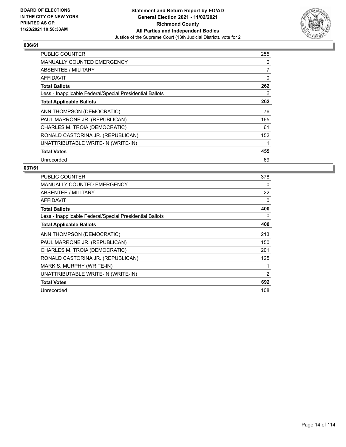

| <b>PUBLIC COUNTER</b>                                    | 255            |
|----------------------------------------------------------|----------------|
| <b>MANUALLY COUNTED EMERGENCY</b>                        | 0              |
| ABSENTEE / MILITARY                                      | $\overline{7}$ |
| AFFIDAVIT                                                | 0              |
| <b>Total Ballots</b>                                     | 262            |
| Less - Inapplicable Federal/Special Presidential Ballots | 0              |
| <b>Total Applicable Ballots</b>                          | 262            |
| ANN THOMPSON (DEMOCRATIC)                                | 76             |
| PAUL MARRONE JR. (REPUBLICAN)                            | 165            |
| CHARLES M. TROIA (DEMOCRATIC)                            | 61             |
| RONALD CASTORINA JR. (REPUBLICAN)                        | 152            |
| UNATTRIBUTABLE WRITE-IN (WRITE-IN)                       |                |
| <b>Total Votes</b>                                       | 455            |
| Unrecorded                                               | 69             |

| <b>PUBLIC COUNTER</b>                                    | 378            |
|----------------------------------------------------------|----------------|
| <b>MANUALLY COUNTED EMERGENCY</b>                        | 0              |
| ABSENTEE / MILITARY                                      | 22             |
| AFFIDAVIT                                                | $\Omega$       |
| <b>Total Ballots</b>                                     | 400            |
| Less - Inapplicable Federal/Special Presidential Ballots | 0              |
| <b>Total Applicable Ballots</b>                          | 400            |
| ANN THOMPSON (DEMOCRATIC)                                | 213            |
| PAUL MARRONE JR. (REPUBLICAN)                            | 150            |
| CHARLES M. TROIA (DEMOCRATIC)                            | 201            |
| RONALD CASTORINA JR. (REPUBLICAN)                        | 125            |
| MARK S. MURPHY (WRITE-IN)                                |                |
| UNATTRIBUTABLE WRITE-IN (WRITE-IN)                       | $\overline{2}$ |
| <b>Total Votes</b>                                       | 692            |
| Unrecorded                                               | 108            |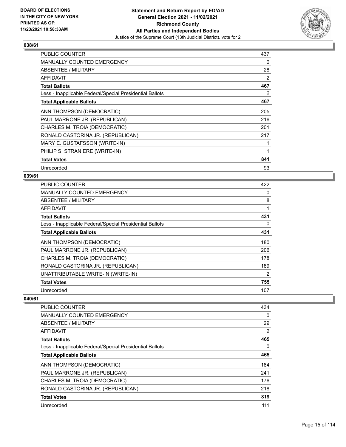

| <b>PUBLIC COUNTER</b>                                    | 437 |
|----------------------------------------------------------|-----|
| <b>MANUALLY COUNTED EMERGENCY</b>                        | 0   |
| ABSENTEE / MILITARY                                      | 28  |
| <b>AFFIDAVIT</b>                                         | 2   |
| <b>Total Ballots</b>                                     | 467 |
| Less - Inapplicable Federal/Special Presidential Ballots | 0   |
| <b>Total Applicable Ballots</b>                          | 467 |
| ANN THOMPSON (DEMOCRATIC)                                | 205 |
| PAUL MARRONE JR. (REPUBLICAN)                            | 216 |
| CHARLES M. TROIA (DEMOCRATIC)                            | 201 |
| RONALD CASTORINA JR. (REPUBLICAN)                        | 217 |
| MARY E. GUSTAFSSON (WRITE-IN)                            |     |
| PHILIP S. STRANIERE (WRITE-IN)                           | 1   |
| <b>Total Votes</b>                                       | 841 |
| Unrecorded                                               | 93  |

#### **039/61**

| PUBLIC COUNTER                                           | 422            |
|----------------------------------------------------------|----------------|
| MANUALLY COUNTED EMERGENCY                               | 0              |
| ABSENTEE / MILITARY                                      | 8              |
| AFFIDAVIT                                                |                |
| <b>Total Ballots</b>                                     | 431            |
| Less - Inapplicable Federal/Special Presidential Ballots | 0              |
| <b>Total Applicable Ballots</b>                          | 431            |
| ANN THOMPSON (DEMOCRATIC)                                | 180            |
| PAUL MARRONE JR. (REPUBLICAN)                            | 206            |
| CHARLES M. TROIA (DEMOCRATIC)                            | 178            |
| RONALD CASTORINA JR. (REPUBLICAN)                        | 189            |
| UNATTRIBUTABLE WRITE-IN (WRITE-IN)                       | $\overline{2}$ |
| <b>Total Votes</b>                                       | 755            |
| Unrecorded                                               | 107            |

| PUBLIC COUNTER                                           | 434      |
|----------------------------------------------------------|----------|
| <b>MANUALLY COUNTED EMERGENCY</b>                        | 0        |
| ABSENTEE / MILITARY                                      | 29       |
| AFFIDAVIT                                                | 2        |
| <b>Total Ballots</b>                                     | 465      |
| Less - Inapplicable Federal/Special Presidential Ballots | $\Omega$ |
| <b>Total Applicable Ballots</b>                          | 465      |
| ANN THOMPSON (DEMOCRATIC)                                | 184      |
| PAUL MARRONE JR. (REPUBLICAN)                            | 241      |
| CHARLES M. TROIA (DEMOCRATIC)                            | 176      |
| RONALD CASTORINA JR. (REPUBLICAN)                        | 218      |
| <b>Total Votes</b>                                       | 819      |
| Unrecorded                                               | 111      |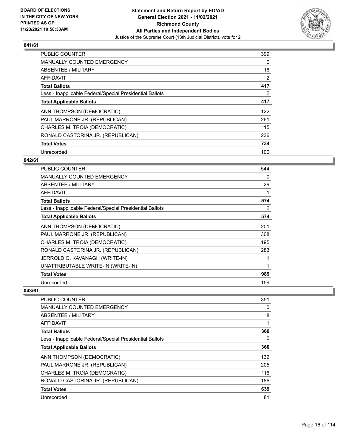

| <b>PUBLIC COUNTER</b>                                    | 399      |
|----------------------------------------------------------|----------|
| MANUALLY COUNTED EMERGENCY                               | $\Omega$ |
| ABSENTEE / MILITARY                                      | 16       |
| <b>AFFIDAVIT</b>                                         | 2        |
| <b>Total Ballots</b>                                     | 417      |
| Less - Inapplicable Federal/Special Presidential Ballots | $\Omega$ |
| <b>Total Applicable Ballots</b>                          | 417      |
| ANN THOMPSON (DEMOCRATIC)                                | 122      |
| PAUL MARRONE JR. (REPUBLICAN)                            | 261      |
| CHARLES M. TROIA (DEMOCRATIC)                            | 115      |
| RONALD CASTORINA JR. (REPUBLICAN)                        | 236      |
| <b>Total Votes</b>                                       | 734      |
| Unrecorded                                               | 100      |

# **042/61**

| <b>PUBLIC COUNTER</b>                                    | 544         |
|----------------------------------------------------------|-------------|
| <b>MANUALLY COUNTED EMERGENCY</b>                        | 0           |
| <b>ABSENTEE / MILITARY</b>                               | 29          |
| <b>AFFIDAVIT</b>                                         |             |
| <b>Total Ballots</b>                                     | 574         |
| Less - Inapplicable Federal/Special Presidential Ballots | 0           |
| <b>Total Applicable Ballots</b>                          | 574         |
| ANN THOMPSON (DEMOCRATIC)                                | 201         |
| PAUL MARRONE JR. (REPUBLICAN)                            | 308         |
| CHARLES M. TROIA (DEMOCRATIC)                            | 195         |
| RONALD CASTORINA JR. (REPUBLICAN)                        | 283         |
| JERROLD O. KAVANAGH (WRITE-IN)                           |             |
| UNATTRIBUTABLE WRITE-IN (WRITE-IN)                       | $\mathbf 1$ |
| <b>Total Votes</b>                                       | 989         |
| Unrecorded                                               | 159         |

| PUBLIC COUNTER                                           | 351 |
|----------------------------------------------------------|-----|
| <b>MANUALLY COUNTED EMERGENCY</b>                        | 0   |
| ABSENTEE / MILITARY                                      | 8   |
| AFFIDAVIT                                                |     |
| <b>Total Ballots</b>                                     | 360 |
| Less - Inapplicable Federal/Special Presidential Ballots | 0   |
| <b>Total Applicable Ballots</b>                          | 360 |
| ANN THOMPSON (DEMOCRATIC)                                | 132 |
| PAUL MARRONE JR. (REPUBLICAN)                            | 205 |
| CHARLES M. TROIA (DEMOCRATIC)                            | 116 |
| RONALD CASTORINA JR. (REPUBLICAN)                        | 186 |
| <b>Total Votes</b>                                       | 639 |
| Unrecorded                                               | 81  |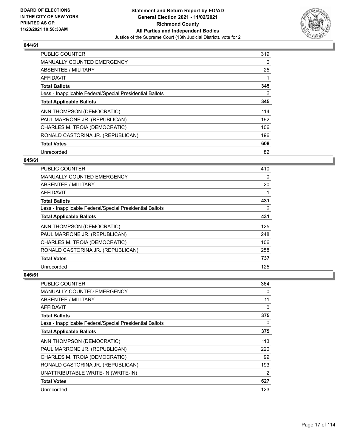

| <b>PUBLIC COUNTER</b>                                    | 319      |
|----------------------------------------------------------|----------|
| <b>MANUALLY COUNTED EMERGENCY</b>                        | $\Omega$ |
| ABSENTEE / MILITARY                                      | 25       |
| <b>AFFIDAVIT</b>                                         |          |
| <b>Total Ballots</b>                                     | 345      |
| Less - Inapplicable Federal/Special Presidential Ballots | $\Omega$ |
| <b>Total Applicable Ballots</b>                          | 345      |
| ANN THOMPSON (DEMOCRATIC)                                | 114      |
| PAUL MARRONE JR. (REPUBLICAN)                            | 192      |
| CHARLES M. TROIA (DEMOCRATIC)                            | 106      |
| RONALD CASTORINA JR. (REPUBLICAN)                        | 196      |
| <b>Total Votes</b>                                       | 608      |
| Unrecorded                                               | 82       |

# **045/61**

| <b>PUBLIC COUNTER</b>                                    | 410 |
|----------------------------------------------------------|-----|
| <b>MANUALLY COUNTED EMERGENCY</b>                        | 0   |
| ABSENTEE / MILITARY                                      | 20  |
| AFFIDAVIT                                                |     |
| <b>Total Ballots</b>                                     | 431 |
| Less - Inapplicable Federal/Special Presidential Ballots | 0   |
| <b>Total Applicable Ballots</b>                          | 431 |
| ANN THOMPSON (DEMOCRATIC)                                | 125 |
| PAUL MARRONE JR. (REPUBLICAN)                            | 248 |
| CHARLES M. TROIA (DEMOCRATIC)                            | 106 |
| RONALD CASTORINA JR. (REPUBLICAN)                        | 258 |
| <b>Total Votes</b>                                       | 737 |
| Unrecorded                                               | 125 |

| PUBLIC COUNTER                                           | 364 |
|----------------------------------------------------------|-----|
| MANUALLY COUNTED EMERGENCY                               | 0   |
| ABSENTEE / MILITARY                                      | 11  |
| AFFIDAVIT                                                | 0   |
| <b>Total Ballots</b>                                     | 375 |
| Less - Inapplicable Federal/Special Presidential Ballots | 0   |
| <b>Total Applicable Ballots</b>                          | 375 |
| ANN THOMPSON (DEMOCRATIC)                                | 113 |
| PAUL MARRONE JR. (REPUBLICAN)                            | 220 |
| CHARLES M. TROIA (DEMOCRATIC)                            | 99  |
| RONALD CASTORINA JR. (REPUBLICAN)                        | 193 |
| UNATTRIBUTABLE WRITE-IN (WRITE-IN)                       | 2   |
| <b>Total Votes</b>                                       | 627 |
| Unrecorded                                               | 123 |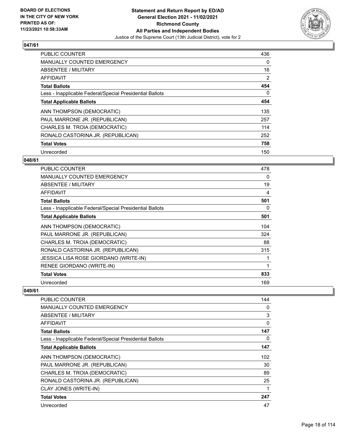

| <b>PUBLIC COUNTER</b>                                    | 436            |
|----------------------------------------------------------|----------------|
| MANUALLY COUNTED EMERGENCY                               | 0              |
| ABSENTEE / MILITARY                                      | 16             |
| AFFIDAVIT                                                | $\overline{2}$ |
| <b>Total Ballots</b>                                     | 454            |
| Less - Inapplicable Federal/Special Presidential Ballots | 0              |
| <b>Total Applicable Ballots</b>                          | 454            |
| ANN THOMPSON (DEMOCRATIC)                                | 135            |
| PAUL MARRONE JR. (REPUBLICAN)                            | 257            |
| CHARLES M. TROIA (DEMOCRATIC)                            | 114            |
| RONALD CASTORINA JR. (REPUBLICAN)                        | 252            |
| <b>Total Votes</b>                                       | 758            |
| Unrecorded                                               | 150            |

# **048/61**

| <b>PUBLIC COUNTER</b>                                    | 478         |
|----------------------------------------------------------|-------------|
| <b>MANUALLY COUNTED EMERGENCY</b>                        | 0           |
| <b>ABSENTEE / MILITARY</b>                               | 19          |
| <b>AFFIDAVIT</b>                                         | 4           |
| <b>Total Ballots</b>                                     | 501         |
| Less - Inapplicable Federal/Special Presidential Ballots | 0           |
| <b>Total Applicable Ballots</b>                          | 501         |
| ANN THOMPSON (DEMOCRATIC)                                | 104         |
| PAUL MARRONE JR. (REPUBLICAN)                            | 324         |
| CHARLES M. TROIA (DEMOCRATIC)                            | 88          |
| RONALD CASTORINA JR. (REPUBLICAN)                        | 315         |
| JESSICA LISA ROSE GIORDANO (WRITE-IN)                    |             |
| RENEE GIORDANO (WRITE-IN)                                | $\mathbf 1$ |
| <b>Total Votes</b>                                       | 833         |
| Unrecorded                                               | 169         |

| PUBLIC COUNTER                                           | 144      |
|----------------------------------------------------------|----------|
| MANUALLY COUNTED EMERGENCY                               | 0        |
| ABSENTEE / MILITARY                                      | 3        |
| AFFIDAVIT                                                | $\Omega$ |
| <b>Total Ballots</b>                                     | 147      |
| Less - Inapplicable Federal/Special Presidential Ballots | 0        |
| <b>Total Applicable Ballots</b>                          | 147      |
| ANN THOMPSON (DEMOCRATIC)                                | 102      |
| PAUL MARRONE JR. (REPUBLICAN)                            | 30       |
| CHARLES M. TROIA (DEMOCRATIC)                            | 89       |
| RONALD CASTORINA JR. (REPUBLICAN)                        | 25       |
| CLAY JONES (WRITE-IN)                                    |          |
| <b>Total Votes</b>                                       | 247      |
| Unrecorded                                               | 47       |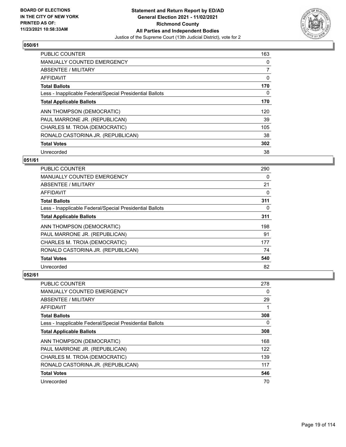

| <b>PUBLIC COUNTER</b>                                    | 163            |
|----------------------------------------------------------|----------------|
| MANUALLY COUNTED EMERGENCY                               | 0              |
| ABSENTEE / MILITARY                                      | $\overline{7}$ |
| AFFIDAVIT                                                | 0              |
| <b>Total Ballots</b>                                     | 170            |
| Less - Inapplicable Federal/Special Presidential Ballots | 0              |
| <b>Total Applicable Ballots</b>                          | 170            |
| ANN THOMPSON (DEMOCRATIC)                                | 120            |
| PAUL MARRONE JR. (REPUBLICAN)                            | 39             |
| CHARLES M. TROIA (DEMOCRATIC)                            | 105            |
| RONALD CASTORINA JR. (REPUBLICAN)                        | 38             |
| <b>Total Votes</b>                                       | 302            |
| Unrecorded                                               | 38             |

# **051/61**

| <b>PUBLIC COUNTER</b>                                    | 290 |
|----------------------------------------------------------|-----|
| MANUALLY COUNTED EMERGENCY                               | 0   |
| ABSENTEE / MILITARY                                      | 21  |
| AFFIDAVIT                                                | 0   |
| <b>Total Ballots</b>                                     | 311 |
| Less - Inapplicable Federal/Special Presidential Ballots | 0   |
| <b>Total Applicable Ballots</b>                          | 311 |
| ANN THOMPSON (DEMOCRATIC)                                | 198 |
| PAUL MARRONE JR. (REPUBLICAN)                            | 91  |
| CHARLES M. TROIA (DEMOCRATIC)                            | 177 |
| RONALD CASTORINA JR. (REPUBLICAN)                        | 74  |
| <b>Total Votes</b>                                       | 540 |
| Unrecorded                                               | 82  |

| PUBLIC COUNTER                                           | 278 |
|----------------------------------------------------------|-----|
| <b>MANUALLY COUNTED EMERGENCY</b>                        | 0   |
| ABSENTEE / MILITARY                                      | 29  |
| AFFIDAVIT                                                |     |
| <b>Total Ballots</b>                                     | 308 |
| Less - Inapplicable Federal/Special Presidential Ballots | 0   |
| <b>Total Applicable Ballots</b>                          | 308 |
| ANN THOMPSON (DEMOCRATIC)                                | 168 |
| PAUL MARRONE JR. (REPUBLICAN)                            | 122 |
| CHARLES M. TROIA (DEMOCRATIC)                            | 139 |
| RONALD CASTORINA JR. (REPUBLICAN)                        | 117 |
| <b>Total Votes</b>                                       | 546 |
| Unrecorded                                               | 70  |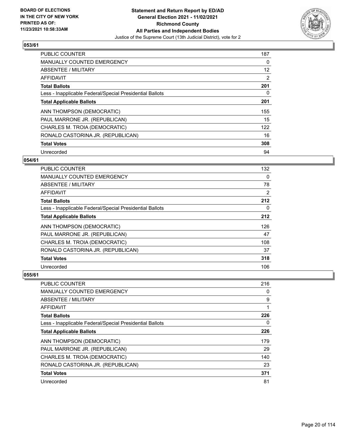

| <b>PUBLIC COUNTER</b>                                    | 187               |
|----------------------------------------------------------|-------------------|
| <b>MANUALLY COUNTED EMERGENCY</b>                        | 0                 |
| <b>ABSENTEE / MILITARY</b>                               | $12 \overline{ }$ |
| <b>AFFIDAVIT</b>                                         | 2                 |
| <b>Total Ballots</b>                                     | 201               |
| Less - Inapplicable Federal/Special Presidential Ballots | 0                 |
| <b>Total Applicable Ballots</b>                          | 201               |
| ANN THOMPSON (DEMOCRATIC)                                | 155               |
| PAUL MARRONE JR. (REPUBLICAN)                            | 15                |
| CHARLES M. TROIA (DEMOCRATIC)                            | 122               |
| RONALD CASTORINA JR. (REPUBLICAN)                        | 16                |
| <b>Total Votes</b>                                       | 308               |
| Unrecorded                                               | 94                |

#### **054/61**

| <b>PUBLIC COUNTER</b>                                    | 132            |
|----------------------------------------------------------|----------------|
| <b>MANUALLY COUNTED EMERGENCY</b>                        | $\Omega$       |
| ABSENTEE / MILITARY                                      | 78             |
| AFFIDAVIT                                                | $\overline{2}$ |
| <b>Total Ballots</b>                                     | 212            |
| Less - Inapplicable Federal/Special Presidential Ballots | 0              |
| <b>Total Applicable Ballots</b>                          | 212            |
| ANN THOMPSON (DEMOCRATIC)                                | 126            |
| PAUL MARRONE JR. (REPUBLICAN)                            | 47             |
| CHARLES M. TROIA (DEMOCRATIC)                            | 108            |
| RONALD CASTORINA JR. (REPUBLICAN)                        | 37             |
| <b>Total Votes</b>                                       | 318            |
| Unrecorded                                               | 106            |

| PUBLIC COUNTER                                           | 216 |
|----------------------------------------------------------|-----|
| <b>MANUALLY COUNTED EMERGENCY</b>                        | 0   |
| ABSENTEE / MILITARY                                      | 9   |
| AFFIDAVIT                                                | 1   |
| <b>Total Ballots</b>                                     | 226 |
| Less - Inapplicable Federal/Special Presidential Ballots | 0   |
| <b>Total Applicable Ballots</b>                          | 226 |
| ANN THOMPSON (DEMOCRATIC)                                | 179 |
| PAUL MARRONE JR. (REPUBLICAN)                            | 29  |
| CHARLES M. TROIA (DEMOCRATIC)                            | 140 |
| RONALD CASTORINA JR. (REPUBLICAN)                        | 23  |
| <b>Total Votes</b>                                       | 371 |
| Unrecorded                                               | 81  |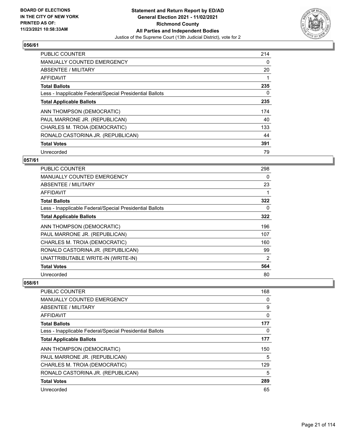

| <b>PUBLIC COUNTER</b>                                    | 214 |
|----------------------------------------------------------|-----|
| <b>MANUALLY COUNTED EMERGENCY</b>                        | 0   |
| ABSENTEE / MILITARY                                      | 20  |
| AFFIDAVIT                                                |     |
| <b>Total Ballots</b>                                     | 235 |
| Less - Inapplicable Federal/Special Presidential Ballots | 0   |
| <b>Total Applicable Ballots</b>                          | 235 |
| ANN THOMPSON (DEMOCRATIC)                                | 174 |
| PAUL MARRONE JR. (REPUBLICAN)                            | 40  |
| CHARLES M. TROIA (DEMOCRATIC)                            | 133 |
| RONALD CASTORINA JR. (REPUBLICAN)                        | 44  |
| <b>Total Votes</b>                                       | 391 |
| Unrecorded                                               | 79  |

# **057/61**

| <b>PUBLIC COUNTER</b>                                    | 298 |
|----------------------------------------------------------|-----|
| MANUALLY COUNTED EMERGENCY                               | 0   |
| ABSENTEE / MILITARY                                      | 23  |
| AFFIDAVIT                                                |     |
| <b>Total Ballots</b>                                     | 322 |
| Less - Inapplicable Federal/Special Presidential Ballots | 0   |
| <b>Total Applicable Ballots</b>                          | 322 |
| ANN THOMPSON (DEMOCRATIC)                                | 196 |
| PAUL MARRONE JR. (REPUBLICAN)                            | 107 |
| CHARLES M. TROIA (DEMOCRATIC)                            | 160 |
| RONALD CASTORINA JR. (REPUBLICAN)                        | 99  |
| UNATTRIBUTABLE WRITE-IN (WRITE-IN)                       | 2   |
| <b>Total Votes</b>                                       | 564 |
| Unrecorded                                               | 80  |

| PUBLIC COUNTER                                           | 168 |
|----------------------------------------------------------|-----|
| MANUALLY COUNTED EMERGENCY                               | 0   |
| ABSENTEE / MILITARY                                      | 9   |
| AFFIDAVIT                                                | 0   |
| <b>Total Ballots</b>                                     | 177 |
| Less - Inapplicable Federal/Special Presidential Ballots | 0   |
| <b>Total Applicable Ballots</b>                          | 177 |
| ANN THOMPSON (DEMOCRATIC)                                | 150 |
| PAUL MARRONE JR. (REPUBLICAN)                            | 5   |
| CHARLES M. TROIA (DEMOCRATIC)                            | 129 |
| RONALD CASTORINA JR. (REPUBLICAN)                        | 5   |
| <b>Total Votes</b>                                       | 289 |
| Unrecorded                                               | 65  |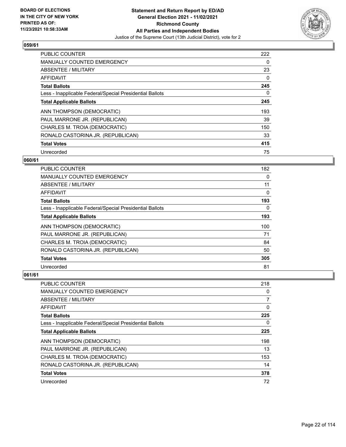

| <b>PUBLIC COUNTER</b>                                    | 222      |
|----------------------------------------------------------|----------|
| <b>MANUALLY COUNTED EMERGENCY</b>                        | 0        |
| ABSENTEE / MILITARY                                      | 23       |
| AFFIDAVIT                                                | $\Omega$ |
| <b>Total Ballots</b>                                     | 245      |
| Less - Inapplicable Federal/Special Presidential Ballots | 0        |
| <b>Total Applicable Ballots</b>                          | 245      |
| ANN THOMPSON (DEMOCRATIC)                                | 193      |
| PAUL MARRONE JR. (REPUBLICAN)                            | 39       |
| CHARLES M. TROIA (DEMOCRATIC)                            | 150      |
| RONALD CASTORINA JR. (REPUBLICAN)                        | 33       |
| <b>Total Votes</b>                                       | 415      |
| Unrecorded                                               | 75       |

# **060/61**

| <b>PUBLIC COUNTER</b>                                    | 182      |
|----------------------------------------------------------|----------|
| <b>MANUALLY COUNTED EMERGENCY</b>                        | 0        |
| ABSENTEE / MILITARY                                      | 11       |
| AFFIDAVIT                                                | $\Omega$ |
| <b>Total Ballots</b>                                     | 193      |
| Less - Inapplicable Federal/Special Presidential Ballots | $\Omega$ |
| <b>Total Applicable Ballots</b>                          | 193      |
| ANN THOMPSON (DEMOCRATIC)                                | 100      |
| PAUL MARRONE JR. (REPUBLICAN)                            | 71       |
| CHARLES M. TROIA (DEMOCRATIC)                            | 84       |
| RONALD CASTORINA JR. (REPUBLICAN)                        | 50       |
| <b>Total Votes</b>                                       | 305      |
| Unrecorded                                               | 81       |

| PUBLIC COUNTER                                           | 218      |
|----------------------------------------------------------|----------|
| <b>MANUALLY COUNTED EMERGENCY</b>                        | 0        |
| ABSENTEE / MILITARY                                      | 7        |
| AFFIDAVIT                                                | 0        |
| <b>Total Ballots</b>                                     | 225      |
| Less - Inapplicable Federal/Special Presidential Ballots | $\Omega$ |
| <b>Total Applicable Ballots</b>                          | 225      |
| ANN THOMPSON (DEMOCRATIC)                                | 198      |
| PAUL MARRONE JR. (REPUBLICAN)                            | 13       |
| CHARLES M. TROIA (DEMOCRATIC)                            | 153      |
| RONALD CASTORINA JR. (REPUBLICAN)                        | 14       |
| <b>Total Votes</b>                                       | 378      |
| Unrecorded                                               | 72       |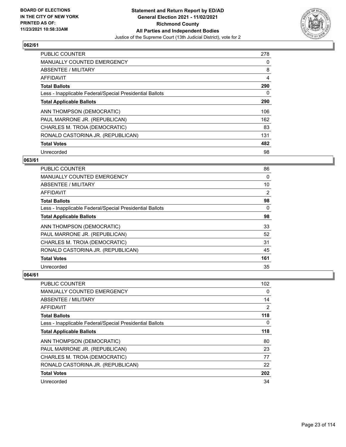

| <b>PUBLIC COUNTER</b>                                    | 278 |
|----------------------------------------------------------|-----|
| <b>MANUALLY COUNTED EMERGENCY</b>                        | 0   |
| ABSENTEE / MILITARY                                      | 8   |
| AFFIDAVIT                                                | 4   |
| <b>Total Ballots</b>                                     | 290 |
| Less - Inapplicable Federal/Special Presidential Ballots | 0   |
| <b>Total Applicable Ballots</b>                          | 290 |
| ANN THOMPSON (DEMOCRATIC)                                | 106 |
| PAUL MARRONE JR. (REPUBLICAN)                            | 162 |
| CHARLES M. TROIA (DEMOCRATIC)                            | 83  |
| RONALD CASTORINA JR. (REPUBLICAN)                        | 131 |
| <b>Total Votes</b>                                       | 482 |
| Unrecorded                                               | 98  |

# **063/61**

| PUBLIC COUNTER                                           | 86       |
|----------------------------------------------------------|----------|
| <b>MANUALLY COUNTED EMERGENCY</b>                        | $\Omega$ |
| ABSENTEE / MILITARY                                      | 10       |
| AFFIDAVIT                                                | 2        |
| <b>Total Ballots</b>                                     | 98       |
| Less - Inapplicable Federal/Special Presidential Ballots | $\Omega$ |
| <b>Total Applicable Ballots</b>                          | 98       |
| ANN THOMPSON (DEMOCRATIC)                                | 33       |
| PAUL MARRONE JR. (REPUBLICAN)                            | 52       |
| CHARLES M. TROIA (DEMOCRATIC)                            | 31       |
| RONALD CASTORINA JR. (REPUBLICAN)                        | 45       |
| <b>Total Votes</b>                                       | 161      |
| Unrecorded                                               | 35       |

| PUBLIC COUNTER                                           | 102 |
|----------------------------------------------------------|-----|
| MANUALLY COUNTED EMERGENCY                               | 0   |
| ABSENTEE / MILITARY                                      | 14  |
| AFFIDAVIT                                                | 2   |
| <b>Total Ballots</b>                                     | 118 |
| Less - Inapplicable Federal/Special Presidential Ballots | 0   |
| <b>Total Applicable Ballots</b>                          | 118 |
| ANN THOMPSON (DEMOCRATIC)                                | 80  |
| PAUL MARRONE JR. (REPUBLICAN)                            | 23  |
| CHARLES M. TROIA (DEMOCRATIC)                            | 77  |
| RONALD CASTORINA JR. (REPUBLICAN)                        | 22  |
| <b>Total Votes</b>                                       | 202 |
| Unrecorded                                               | 34  |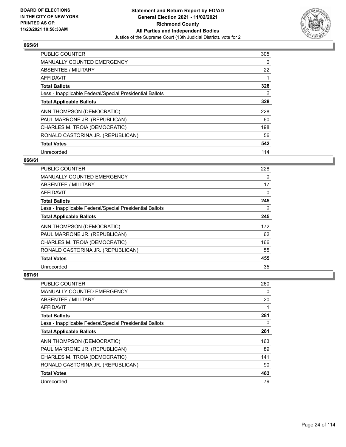

| <b>PUBLIC COUNTER</b>                                    | 305 |
|----------------------------------------------------------|-----|
| MANUALLY COUNTED EMERGENCY                               | 0   |
| ABSENTEE / MILITARY                                      | 22  |
| AFFIDAVIT                                                |     |
| <b>Total Ballots</b>                                     | 328 |
| Less - Inapplicable Federal/Special Presidential Ballots | 0   |
| <b>Total Applicable Ballots</b>                          | 328 |
| ANN THOMPSON (DEMOCRATIC)                                | 228 |
| PAUL MARRONE JR. (REPUBLICAN)                            | 60  |
| CHARLES M. TROIA (DEMOCRATIC)                            | 198 |
| RONALD CASTORINA JR. (REPUBLICAN)                        | 56  |
| <b>Total Votes</b>                                       | 542 |
| Unrecorded                                               | 114 |

# **066/61**

| <b>PUBLIC COUNTER</b>                                    | 228      |
|----------------------------------------------------------|----------|
| <b>MANUALLY COUNTED EMERGENCY</b>                        | $\Omega$ |
| ABSENTEE / MILITARY                                      | 17       |
| AFFIDAVIT                                                | 0        |
| <b>Total Ballots</b>                                     | 245      |
| Less - Inapplicable Federal/Special Presidential Ballots | $\Omega$ |
| <b>Total Applicable Ballots</b>                          | 245      |
| ANN THOMPSON (DEMOCRATIC)                                | 172      |
| PAUL MARRONE JR. (REPUBLICAN)                            | 62       |
| CHARLES M. TROIA (DEMOCRATIC)                            | 166      |
| RONALD CASTORINA JR. (REPUBLICAN)                        | 55       |
| <b>Total Votes</b>                                       | 455      |
| Unrecorded                                               | 35       |

| PUBLIC COUNTER                                           | 260 |
|----------------------------------------------------------|-----|
| <b>MANUALLY COUNTED EMERGENCY</b>                        | 0   |
| ABSENTEE / MILITARY                                      | 20  |
| AFFIDAVIT                                                |     |
| <b>Total Ballots</b>                                     | 281 |
| Less - Inapplicable Federal/Special Presidential Ballots | 0   |
| <b>Total Applicable Ballots</b>                          | 281 |
| ANN THOMPSON (DEMOCRATIC)                                | 163 |
| PAUL MARRONE JR. (REPUBLICAN)                            | 89  |
| CHARLES M. TROIA (DEMOCRATIC)                            | 141 |
| RONALD CASTORINA JR. (REPUBLICAN)                        | 90  |
| <b>Total Votes</b>                                       | 483 |
| Unrecorded                                               | 79  |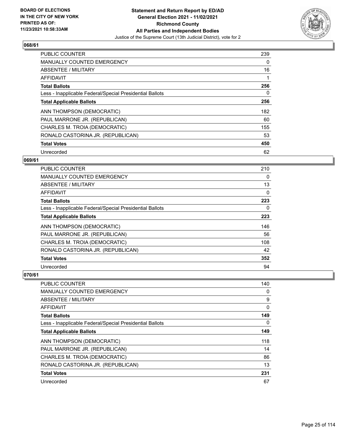

| <b>PUBLIC COUNTER</b>                                    | 239 |
|----------------------------------------------------------|-----|
| <b>MANUALLY COUNTED EMERGENCY</b>                        | 0   |
| ABSENTEE / MILITARY                                      | 16  |
| <b>AFFIDAVIT</b>                                         |     |
| <b>Total Ballots</b>                                     | 256 |
| Less - Inapplicable Federal/Special Presidential Ballots | 0   |
| <b>Total Applicable Ballots</b>                          | 256 |
| ANN THOMPSON (DEMOCRATIC)                                | 182 |
| PAUL MARRONE JR. (REPUBLICAN)                            | 60  |
| CHARLES M. TROIA (DEMOCRATIC)                            | 155 |
| RONALD CASTORINA JR. (REPUBLICAN)                        | 53  |
| <b>Total Votes</b>                                       | 450 |
| Unrecorded                                               | 62  |

#### **069/61**

| <b>PUBLIC COUNTER</b>                                    | 210 |
|----------------------------------------------------------|-----|
| MANUALLY COUNTED EMERGENCY                               | 0   |
| ABSENTEE / MILITARY                                      | 13  |
| AFFIDAVIT                                                | 0   |
| <b>Total Ballots</b>                                     | 223 |
| Less - Inapplicable Federal/Special Presidential Ballots | 0   |
| <b>Total Applicable Ballots</b>                          | 223 |
| ANN THOMPSON (DEMOCRATIC)                                | 146 |
| PAUL MARRONE JR. (REPUBLICAN)                            | 56  |
| CHARLES M. TROIA (DEMOCRATIC)                            | 108 |
| RONALD CASTORINA JR. (REPUBLICAN)                        | 42  |
| <b>Total Votes</b>                                       | 352 |
| Unrecorded                                               | 94  |

| PUBLIC COUNTER                                           | 140 |
|----------------------------------------------------------|-----|
| <b>MANUALLY COUNTED EMERGENCY</b>                        | 0   |
| ABSENTEE / MILITARY                                      | 9   |
| AFFIDAVIT                                                | 0   |
| <b>Total Ballots</b>                                     | 149 |
| Less - Inapplicable Federal/Special Presidential Ballots | 0   |
| <b>Total Applicable Ballots</b>                          | 149 |
| ANN THOMPSON (DEMOCRATIC)                                | 118 |
| PAUL MARRONE JR. (REPUBLICAN)                            | 14  |
| CHARLES M. TROIA (DEMOCRATIC)                            | 86  |
| RONALD CASTORINA JR. (REPUBLICAN)                        | 13  |
| <b>Total Votes</b>                                       | 231 |
| Unrecorded                                               | 67  |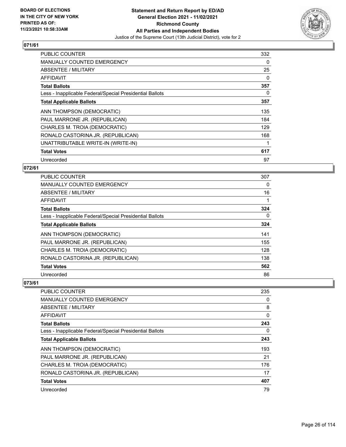

| <b>PUBLIC COUNTER</b>                                    | 332 |
|----------------------------------------------------------|-----|
| <b>MANUALLY COUNTED EMERGENCY</b>                        | 0   |
| ABSENTEE / MILITARY                                      | 25  |
| AFFIDAVIT                                                | 0   |
| <b>Total Ballots</b>                                     | 357 |
| Less - Inapplicable Federal/Special Presidential Ballots | 0   |
| <b>Total Applicable Ballots</b>                          | 357 |
| ANN THOMPSON (DEMOCRATIC)                                | 135 |
| PAUL MARRONE JR. (REPUBLICAN)                            | 184 |
| CHARLES M. TROIA (DEMOCRATIC)                            | 129 |
| RONALD CASTORINA JR. (REPUBLICAN)                        | 168 |
| UNATTRIBUTABLE WRITE-IN (WRITE-IN)                       |     |
| <b>Total Votes</b>                                       | 617 |
| Unrecorded                                               | 97  |

# **072/61**

| <b>PUBLIC COUNTER</b>                                    | 307 |
|----------------------------------------------------------|-----|
| MANUALLY COUNTED EMERGENCY                               | 0   |
| ABSENTEE / MILITARY                                      | 16  |
| AFFIDAVIT                                                |     |
| <b>Total Ballots</b>                                     | 324 |
| Less - Inapplicable Federal/Special Presidential Ballots | 0   |
| <b>Total Applicable Ballots</b>                          | 324 |
| ANN THOMPSON (DEMOCRATIC)                                | 141 |
| PAUL MARRONE JR. (REPUBLICAN)                            | 155 |
| CHARLES M. TROIA (DEMOCRATIC)                            | 128 |
| RONALD CASTORINA JR. (REPUBLICAN)                        | 138 |
| <b>Total Votes</b>                                       | 562 |
| Unrecorded                                               | 86  |

| PUBLIC COUNTER                                           | 235 |
|----------------------------------------------------------|-----|
| <b>MANUALLY COUNTED EMERGENCY</b>                        | 0   |
| ABSENTEE / MILITARY                                      | 8   |
| AFFIDAVIT                                                | 0   |
| <b>Total Ballots</b>                                     | 243 |
| Less - Inapplicable Federal/Special Presidential Ballots | 0   |
| <b>Total Applicable Ballots</b>                          | 243 |
| ANN THOMPSON (DEMOCRATIC)                                | 193 |
| PAUL MARRONE JR. (REPUBLICAN)                            | 21  |
| CHARLES M. TROIA (DEMOCRATIC)                            | 176 |
| RONALD CASTORINA JR. (REPUBLICAN)                        | 17  |
| <b>Total Votes</b>                                       | 407 |
| Unrecorded                                               | 79  |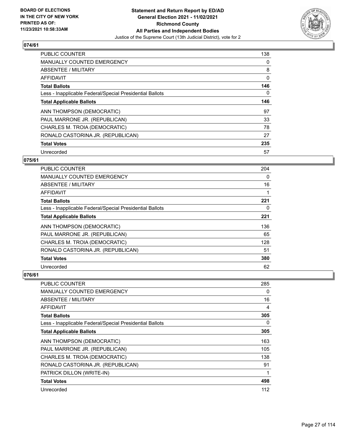

| <b>PUBLIC COUNTER</b>                                    | 138 |
|----------------------------------------------------------|-----|
| <b>MANUALLY COUNTED EMERGENCY</b>                        | 0   |
| ABSENTEE / MILITARY                                      | 8   |
| AFFIDAVIT                                                | 0   |
| <b>Total Ballots</b>                                     | 146 |
| Less - Inapplicable Federal/Special Presidential Ballots | 0   |
| <b>Total Applicable Ballots</b>                          | 146 |
| ANN THOMPSON (DEMOCRATIC)                                | 97  |
| PAUL MARRONE JR. (REPUBLICAN)                            | 33  |
| CHARLES M. TROIA (DEMOCRATIC)                            | 78  |
| RONALD CASTORINA JR. (REPUBLICAN)                        | 27  |
| <b>Total Votes</b>                                       | 235 |
| Unrecorded                                               | 57  |

#### **075/61**

| PUBLIC COUNTER                                           | 204      |
|----------------------------------------------------------|----------|
| <b>MANUALLY COUNTED EMERGENCY</b>                        | $\Omega$ |
| ABSENTEE / MILITARY                                      | 16       |
| AFFIDAVIT                                                |          |
| <b>Total Ballots</b>                                     | 221      |
| Less - Inapplicable Federal/Special Presidential Ballots | 0        |
| <b>Total Applicable Ballots</b>                          | 221      |
| ANN THOMPSON (DEMOCRATIC)                                | 136      |
| PAUL MARRONE JR. (REPUBLICAN)                            | 65       |
| CHARLES M. TROIA (DEMOCRATIC)                            | 128      |
| RONALD CASTORINA JR. (REPUBLICAN)                        | 51       |
| <b>Total Votes</b>                                       | 380      |
| Unrecorded                                               | 62       |

| <b>PUBLIC COUNTER</b>                                    | 285 |
|----------------------------------------------------------|-----|
| <b>MANUALLY COUNTED EMERGENCY</b>                        | 0   |
| ABSENTEE / MILITARY                                      | 16  |
| AFFIDAVIT                                                | 4   |
| <b>Total Ballots</b>                                     | 305 |
| Less - Inapplicable Federal/Special Presidential Ballots | 0   |
| <b>Total Applicable Ballots</b>                          | 305 |
| ANN THOMPSON (DEMOCRATIC)                                | 163 |
| PAUL MARRONE JR. (REPUBLICAN)                            | 105 |
| CHARLES M. TROIA (DEMOCRATIC)                            | 138 |
| RONALD CASTORINA JR. (REPUBLICAN)                        | 91  |
| PATRICK DILLON (WRITE-IN)                                | 1   |
| <b>Total Votes</b>                                       | 498 |
| Unrecorded                                               | 112 |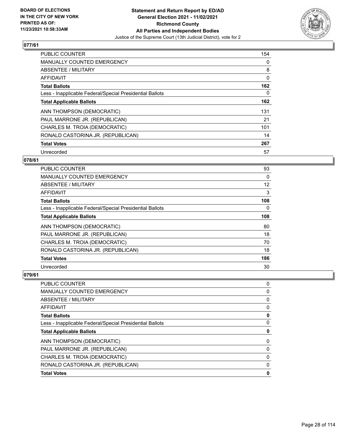

| <b>PUBLIC COUNTER</b>                                    | 154 |
|----------------------------------------------------------|-----|
| <b>MANUALLY COUNTED EMERGENCY</b>                        | 0   |
| ABSENTEE / MILITARY                                      | 8   |
| AFFIDAVIT                                                | 0   |
| <b>Total Ballots</b>                                     | 162 |
| Less - Inapplicable Federal/Special Presidential Ballots | 0   |
| <b>Total Applicable Ballots</b>                          | 162 |
| ANN THOMPSON (DEMOCRATIC)                                | 131 |
| PAUL MARRONE JR. (REPUBLICAN)                            | 21  |
| CHARLES M. TROIA (DEMOCRATIC)                            | 101 |
| RONALD CASTORINA JR. (REPUBLICAN)                        | 14  |
| <b>Total Votes</b>                                       | 267 |
| Unrecorded                                               | 57  |

# **078/61**

| PUBLIC COUNTER                                           | 93       |
|----------------------------------------------------------|----------|
| <b>MANUALLY COUNTED EMERGENCY</b>                        | 0        |
| ABSENTEE / MILITARY                                      | 12       |
| AFFIDAVIT                                                | 3        |
| <b>Total Ballots</b>                                     | 108      |
| Less - Inapplicable Federal/Special Presidential Ballots | $\Omega$ |
| <b>Total Applicable Ballots</b>                          | 108      |
| ANN THOMPSON (DEMOCRATIC)                                | 80       |
| PAUL MARRONE JR. (REPUBLICAN)                            | 18       |
| CHARLES M. TROIA (DEMOCRATIC)                            | 70       |
| RONALD CASTORINA JR. (REPUBLICAN)                        | 18       |
| <b>Total Votes</b>                                       | 186      |
| Unrecorded                                               | 30       |

| <b>PUBLIC COUNTER</b>                                    | 0 |
|----------------------------------------------------------|---|
| <b>MANUALLY COUNTED EMERGENCY</b>                        | 0 |
| ABSENTEE / MILITARY                                      | 0 |
| AFFIDAVIT                                                | 0 |
| <b>Total Ballots</b>                                     | 0 |
| Less - Inapplicable Federal/Special Presidential Ballots | 0 |
|                                                          |   |
| <b>Total Applicable Ballots</b>                          | 0 |
| ANN THOMPSON (DEMOCRATIC)                                | 0 |
| PAUL MARRONE JR. (REPUBLICAN)                            | 0 |
| CHARLES M. TROIA (DEMOCRATIC)                            | 0 |
| RONALD CASTORINA JR. (REPUBLICAN)                        | 0 |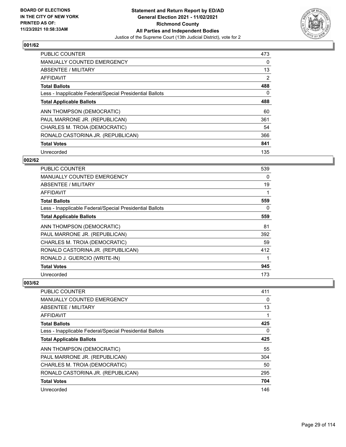

| <b>PUBLIC COUNTER</b>                                    | 473            |
|----------------------------------------------------------|----------------|
| <b>MANUALLY COUNTED EMERGENCY</b>                        | 0              |
| ABSENTEE / MILITARY                                      | 13             |
| <b>AFFIDAVIT</b>                                         | $\overline{2}$ |
| <b>Total Ballots</b>                                     | 488            |
| Less - Inapplicable Federal/Special Presidential Ballots | 0              |
| <b>Total Applicable Ballots</b>                          | 488            |
| ANN THOMPSON (DEMOCRATIC)                                | 60             |
| PAUL MARRONE JR. (REPUBLICAN)                            | 361            |
| CHARLES M. TROIA (DEMOCRATIC)                            | 54             |
| RONALD CASTORINA JR. (REPUBLICAN)                        | 366            |
| <b>Total Votes</b>                                       | 841            |
| Unrecorded                                               | 135            |

# **002/62**

| <b>PUBLIC COUNTER</b>                                    | 539 |
|----------------------------------------------------------|-----|
| MANUALLY COUNTED EMERGENCY                               | 0   |
| ABSENTEE / MILITARY                                      | 19  |
| AFFIDAVIT                                                | 1   |
| <b>Total Ballots</b>                                     | 559 |
| Less - Inapplicable Federal/Special Presidential Ballots | 0   |
| <b>Total Applicable Ballots</b>                          | 559 |
| ANN THOMPSON (DEMOCRATIC)                                | 81  |
| PAUL MARRONE JR. (REPUBLICAN)                            | 392 |
| CHARLES M. TROIA (DEMOCRATIC)                            | 59  |
| RONALD CASTORINA JR. (REPUBLICAN)                        | 412 |
| RONALD J. GUERCIO (WRITE-IN)                             |     |
| <b>Total Votes</b>                                       | 945 |
| Unrecorded                                               | 173 |

| <b>PUBLIC COUNTER</b>                                    | 411 |
|----------------------------------------------------------|-----|
| <b>MANUALLY COUNTED EMERGENCY</b>                        | 0   |
| ABSENTEE / MILITARY                                      | 13  |
| AFFIDAVIT                                                |     |
| <b>Total Ballots</b>                                     | 425 |
| Less - Inapplicable Federal/Special Presidential Ballots | 0   |
| <b>Total Applicable Ballots</b>                          | 425 |
| ANN THOMPSON (DEMOCRATIC)                                | 55  |
| PAUL MARRONE JR. (REPUBLICAN)                            | 304 |
| CHARLES M. TROIA (DEMOCRATIC)                            | 50  |
| RONALD CASTORINA JR. (REPUBLICAN)                        | 295 |
| <b>Total Votes</b>                                       | 704 |
| Unrecorded                                               | 146 |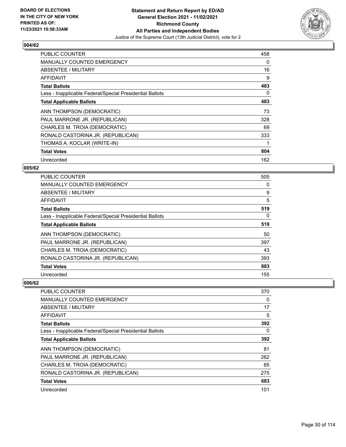

| <b>PUBLIC COUNTER</b>                                    | 458 |
|----------------------------------------------------------|-----|
| <b>MANUALLY COUNTED EMERGENCY</b>                        | 0   |
| <b>ABSENTEE / MILITARY</b>                               | 16  |
| AFFIDAVIT                                                | 9   |
| <b>Total Ballots</b>                                     | 483 |
| Less - Inapplicable Federal/Special Presidential Ballots | 0   |
| <b>Total Applicable Ballots</b>                          | 483 |
| ANN THOMPSON (DEMOCRATIC)                                | 73  |
| PAUL MARRONE JR. (REPUBLICAN)                            | 328 |
| CHARLES M. TROIA (DEMOCRATIC)                            | 69  |
| RONALD CASTORINA JR. (REPUBLICAN)                        | 333 |
| THOMAS A. KOCLAR (WRITE-IN)                              |     |
| <b>Total Votes</b>                                       | 804 |
| Unrecorded                                               | 162 |

# **005/62**

| <b>PUBLIC COUNTER</b>                                    | 505 |
|----------------------------------------------------------|-----|
| <b>MANUALLY COUNTED EMERGENCY</b>                        | 0   |
| ABSENTEE / MILITARY                                      | 9   |
| AFFIDAVIT                                                | 5   |
| <b>Total Ballots</b>                                     | 519 |
| Less - Inapplicable Federal/Special Presidential Ballots | 0   |
| <b>Total Applicable Ballots</b>                          | 519 |
| ANN THOMPSON (DEMOCRATIC)                                | 50  |
| PAUL MARRONE JR. (REPUBLICAN)                            | 397 |
| CHARLES M. TROIA (DEMOCRATIC)                            | 43  |
| RONALD CASTORINA JR. (REPUBLICAN)                        | 393 |
| <b>Total Votes</b>                                       | 883 |
| Unrecorded                                               | 155 |

| <b>PUBLIC COUNTER</b>                                    | 370 |
|----------------------------------------------------------|-----|
| <b>MANUALLY COUNTED EMERGENCY</b>                        | 0   |
| ABSENTEE / MILITARY                                      | 17  |
| AFFIDAVIT                                                | 5   |
| <b>Total Ballots</b>                                     | 392 |
| Less - Inapplicable Federal/Special Presidential Ballots | 0   |
| <b>Total Applicable Ballots</b>                          | 392 |
| ANN THOMPSON (DEMOCRATIC)                                | 81  |
| PAUL MARRONE JR. (REPUBLICAN)                            | 262 |
| CHARLES M. TROIA (DEMOCRATIC)                            | 65  |
| RONALD CASTORINA JR. (REPUBLICAN)                        | 275 |
| <b>Total Votes</b>                                       | 683 |
| Unrecorded                                               | 101 |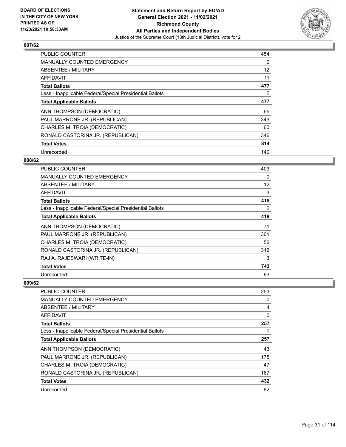

| <b>PUBLIC COUNTER</b>                                    | 454 |
|----------------------------------------------------------|-----|
| <b>MANUALLY COUNTED EMERGENCY</b>                        | 0   |
| ABSENTEE / MILITARY                                      | 12  |
| <b>AFFIDAVIT</b>                                         | 11  |
| <b>Total Ballots</b>                                     | 477 |
| Less - Inapplicable Federal/Special Presidential Ballots | 0   |
| <b>Total Applicable Ballots</b>                          | 477 |
| ANN THOMPSON (DEMOCRATIC)                                | 65  |
| PAUL MARRONE JR. (REPUBLICAN)                            | 343 |
| CHARLES M. TROIA (DEMOCRATIC)                            | 60  |
| RONALD CASTORINA JR. (REPUBLICAN)                        | 346 |
| <b>Total Votes</b>                                       | 814 |
| Unrecorded                                               | 140 |

#### **008/62**

| <b>PUBLIC COUNTER</b>                                    | 403 |
|----------------------------------------------------------|-----|
| <b>MANUALLY COUNTED EMERGENCY</b>                        | 0   |
| ABSENTEE / MILITARY                                      | 12  |
| <b>AFFIDAVIT</b>                                         | 3   |
| <b>Total Ballots</b>                                     | 418 |
| Less - Inapplicable Federal/Special Presidential Ballots | 0   |
| <b>Total Applicable Ballots</b>                          | 418 |
| ANN THOMPSON (DEMOCRATIC)                                | 71  |
| PAUL MARRONE JR. (REPUBLICAN)                            | 301 |
| CHARLES M. TROIA (DEMOCRATIC)                            | 56  |
| RONALD CASTORINA JR. (REPUBLICAN)                        | 312 |
| RAJ A. RAJESWARI (WRITE-IN)                              | 3   |
| <b>Total Votes</b>                                       | 743 |
| Unrecorded                                               | 93  |

| <b>PUBLIC COUNTER</b>                                    | 253 |
|----------------------------------------------------------|-----|
| <b>MANUALLY COUNTED EMERGENCY</b>                        | 0   |
| ABSENTEE / MILITARY                                      | 4   |
| AFFIDAVIT                                                | 0   |
| <b>Total Ballots</b>                                     | 257 |
| Less - Inapplicable Federal/Special Presidential Ballots | 0   |
| <b>Total Applicable Ballots</b>                          | 257 |
| ANN THOMPSON (DEMOCRATIC)                                | 43  |
| PAUL MARRONE JR. (REPUBLICAN)                            | 175 |
| CHARLES M. TROIA (DEMOCRATIC)                            | 47  |
| RONALD CASTORINA JR. (REPUBLICAN)                        | 167 |
| <b>Total Votes</b>                                       | 432 |
| Unrecorded                                               | 82  |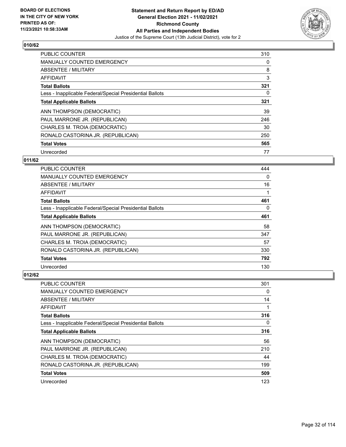

| <b>PUBLIC COUNTER</b>                                    | 310 |
|----------------------------------------------------------|-----|
| <b>MANUALLY COUNTED EMERGENCY</b>                        | 0   |
| ABSENTEE / MILITARY                                      | 8   |
| <b>AFFIDAVIT</b>                                         | 3   |
| <b>Total Ballots</b>                                     | 321 |
| Less - Inapplicable Federal/Special Presidential Ballots | 0   |
| <b>Total Applicable Ballots</b>                          | 321 |
| ANN THOMPSON (DEMOCRATIC)                                | 39  |
| PAUL MARRONE JR. (REPUBLICAN)                            | 246 |
| CHARLES M. TROIA (DEMOCRATIC)                            | 30  |
| RONALD CASTORINA JR. (REPUBLICAN)                        | 250 |
| <b>Total Votes</b>                                       | 565 |
| Unrecorded                                               | 77  |

# **011/62**

| <b>PUBLIC COUNTER</b>                                    | 444 |
|----------------------------------------------------------|-----|
| MANUALLY COUNTED EMERGENCY                               | 0   |
| ABSENTEE / MILITARY                                      | 16  |
| AFFIDAVIT                                                |     |
| <b>Total Ballots</b>                                     | 461 |
| Less - Inapplicable Federal/Special Presidential Ballots | 0   |
| <b>Total Applicable Ballots</b>                          | 461 |
| ANN THOMPSON (DEMOCRATIC)                                | 58  |
| PAUL MARRONE JR. (REPUBLICAN)                            | 347 |
| CHARLES M. TROIA (DEMOCRATIC)                            | 57  |
| RONALD CASTORINA JR. (REPUBLICAN)                        | 330 |
| <b>Total Votes</b>                                       | 792 |
| Unrecorded                                               | 130 |

| PUBLIC COUNTER                                           | 301      |
|----------------------------------------------------------|----------|
| MANUALLY COUNTED EMERGENCY                               | $\Omega$ |
| ABSENTEE / MILITARY                                      | 14       |
| AFFIDAVIT                                                |          |
| <b>Total Ballots</b>                                     | 316      |
| Less - Inapplicable Federal/Special Presidential Ballots | $\Omega$ |
| <b>Total Applicable Ballots</b>                          | 316      |
| ANN THOMPSON (DEMOCRATIC)                                | 56       |
| PAUL MARRONE JR. (REPUBLICAN)                            | 210      |
| CHARLES M. TROIA (DEMOCRATIC)                            | 44       |
| RONALD CASTORINA JR. (REPUBLICAN)                        | 199      |
| <b>Total Votes</b>                                       | 509      |
| Unrecorded                                               | 123      |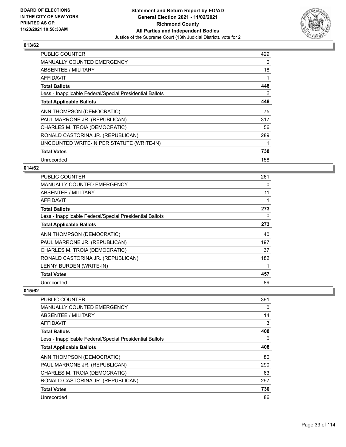

| <b>PUBLIC COUNTER</b>                                    | 429 |
|----------------------------------------------------------|-----|
| <b>MANUALLY COUNTED EMERGENCY</b>                        | 0   |
| ABSENTEE / MILITARY                                      | 18  |
| AFFIDAVIT                                                |     |
| <b>Total Ballots</b>                                     | 448 |
| Less - Inapplicable Federal/Special Presidential Ballots | 0   |
| <b>Total Applicable Ballots</b>                          | 448 |
| ANN THOMPSON (DEMOCRATIC)                                | 75  |
| PAUL MARRONE JR. (REPUBLICAN)                            | 317 |
| CHARLES M. TROIA (DEMOCRATIC)                            | 56  |
| RONALD CASTORINA JR. (REPUBLICAN)                        | 289 |
| UNCOUNTED WRITE-IN PER STATUTE (WRITE-IN)                |     |
| <b>Total Votes</b>                                       | 738 |
| Unrecorded                                               | 158 |

# **014/62**

| <b>PUBLIC COUNTER</b>                                    | 261 |
|----------------------------------------------------------|-----|
| <b>MANUALLY COUNTED EMERGENCY</b>                        | 0   |
| ABSENTEE / MILITARY                                      | 11  |
| AFFIDAVIT                                                |     |
| <b>Total Ballots</b>                                     | 273 |
| Less - Inapplicable Federal/Special Presidential Ballots | 0   |
| <b>Total Applicable Ballots</b>                          | 273 |
| ANN THOMPSON (DEMOCRATIC)                                | 40  |
| PAUL MARRONE JR. (REPUBLICAN)                            | 197 |
| CHARLES M. TROIA (DEMOCRATIC)                            | 37  |
| RONALD CASTORINA JR. (REPUBLICAN)                        | 182 |
| LENNY BURDEN (WRITE-IN)                                  |     |
| <b>Total Votes</b>                                       | 457 |
| Unrecorded                                               | 89  |

| PUBLIC COUNTER                                           | 391      |
|----------------------------------------------------------|----------|
| <b>MANUALLY COUNTED EMERGENCY</b>                        | 0        |
| ABSENTEE / MILITARY                                      | 14       |
| AFFIDAVIT                                                | 3        |
| <b>Total Ballots</b>                                     | 408      |
| Less - Inapplicable Federal/Special Presidential Ballots | $\Omega$ |
| <b>Total Applicable Ballots</b>                          | 408      |
| ANN THOMPSON (DEMOCRATIC)                                | 80       |
| PAUL MARRONE JR. (REPUBLICAN)                            | 290      |
| CHARLES M. TROIA (DEMOCRATIC)                            | 63       |
| RONALD CASTORINA JR. (REPUBLICAN)                        | 297      |
| <b>Total Votes</b>                                       | 730      |
| Unrecorded                                               | 86       |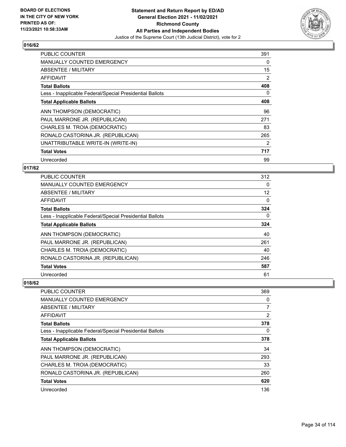

| <b>PUBLIC COUNTER</b>                                    | 391 |
|----------------------------------------------------------|-----|
| <b>MANUALLY COUNTED EMERGENCY</b>                        | 0   |
| ABSENTEE / MILITARY                                      | 15  |
| AFFIDAVIT                                                | 2   |
| <b>Total Ballots</b>                                     | 408 |
| Less - Inapplicable Federal/Special Presidential Ballots | 0   |
| <b>Total Applicable Ballots</b>                          | 408 |
| ANN THOMPSON (DEMOCRATIC)                                | 96  |
| PAUL MARRONE JR. (REPUBLICAN)                            | 271 |
| CHARLES M. TROIA (DEMOCRATIC)                            | 83  |
| RONALD CASTORINA JR. (REPUBLICAN)                        | 265 |
| UNATTRIBUTABLE WRITE-IN (WRITE-IN)                       | 2   |
| <b>Total Votes</b>                                       | 717 |
| Unrecorded                                               | 99  |

# **017/62**

| <b>PUBLIC COUNTER</b>                                    | 312 |
|----------------------------------------------------------|-----|
| MANUALLY COUNTED EMERGENCY                               | 0   |
| ABSENTEE / MILITARY                                      | 12  |
| AFFIDAVIT                                                | 0   |
| <b>Total Ballots</b>                                     | 324 |
| Less - Inapplicable Federal/Special Presidential Ballots | 0   |
| <b>Total Applicable Ballots</b>                          | 324 |
| ANN THOMPSON (DEMOCRATIC)                                | 40  |
| PAUL MARRONE JR. (REPUBLICAN)                            | 261 |
| CHARLES M. TROIA (DEMOCRATIC)                            | 40  |
| RONALD CASTORINA JR. (REPUBLICAN)                        | 246 |
| <b>Total Votes</b>                                       | 587 |
| Unrecorded                                               | 61  |

| PUBLIC COUNTER                                           | 369            |
|----------------------------------------------------------|----------------|
| <b>MANUALLY COUNTED EMERGENCY</b>                        | 0              |
| ABSENTEE / MILITARY                                      | $\overline{7}$ |
| AFFIDAVIT                                                | $\overline{2}$ |
| <b>Total Ballots</b>                                     | 378            |
| Less - Inapplicable Federal/Special Presidential Ballots | 0              |
| <b>Total Applicable Ballots</b>                          | 378            |
| ANN THOMPSON (DEMOCRATIC)                                | 34             |
| PAUL MARRONE JR. (REPUBLICAN)                            | 293            |
| CHARLES M. TROIA (DEMOCRATIC)                            | 33             |
| RONALD CASTORINA JR. (REPUBLICAN)                        | 260            |
| <b>Total Votes</b>                                       | 620            |
| Unrecorded                                               | 136            |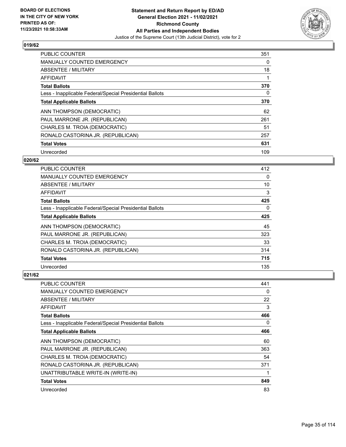

| <b>PUBLIC COUNTER</b>                                    | 351 |
|----------------------------------------------------------|-----|
| <b>MANUALLY COUNTED EMERGENCY</b>                        | 0   |
| ABSENTEE / MILITARY                                      | 18  |
| <b>AFFIDAVIT</b>                                         |     |
| <b>Total Ballots</b>                                     | 370 |
| Less - Inapplicable Federal/Special Presidential Ballots | 0   |
| <b>Total Applicable Ballots</b>                          | 370 |
| ANN THOMPSON (DEMOCRATIC)                                | 62  |
| PAUL MARRONE JR. (REPUBLICAN)                            | 261 |
| CHARLES M. TROIA (DEMOCRATIC)                            | 51  |
| RONALD CASTORINA JR. (REPUBLICAN)                        | 257 |
| <b>Total Votes</b>                                       | 631 |
| Unrecorded                                               | 109 |

# **020/62**

| PUBLIC COUNTER                                           | 412      |
|----------------------------------------------------------|----------|
| <b>MANUALLY COUNTED EMERGENCY</b>                        | $\Omega$ |
| ABSENTEE / MILITARY                                      | 10       |
| AFFIDAVIT                                                | 3        |
| <b>Total Ballots</b>                                     | 425      |
| Less - Inapplicable Federal/Special Presidential Ballots | 0        |
| <b>Total Applicable Ballots</b>                          | 425      |
| ANN THOMPSON (DEMOCRATIC)                                | 45       |
| PAUL MARRONE JR. (REPUBLICAN)                            | 323      |
| CHARLES M. TROIA (DEMOCRATIC)                            | 33       |
| RONALD CASTORINA JR. (REPUBLICAN)                        | 314      |
| <b>Total Votes</b>                                       | 715      |
| Unrecorded                                               | 135      |

| <b>PUBLIC COUNTER</b>                                    | 441 |
|----------------------------------------------------------|-----|
| <b>MANUALLY COUNTED EMERGENCY</b>                        | 0   |
| ABSENTEE / MILITARY                                      | 22  |
| AFFIDAVIT                                                | 3   |
| <b>Total Ballots</b>                                     | 466 |
| Less - Inapplicable Federal/Special Presidential Ballots | 0   |
| <b>Total Applicable Ballots</b>                          | 466 |
| ANN THOMPSON (DEMOCRATIC)                                | 60  |
| PAUL MARRONE JR. (REPUBLICAN)                            | 363 |
| CHARLES M. TROIA (DEMOCRATIC)                            | 54  |
| RONALD CASTORINA JR. (REPUBLICAN)                        | 371 |
| UNATTRIBUTABLE WRITE-IN (WRITE-IN)                       |     |
| <b>Total Votes</b>                                       | 849 |
| Unrecorded                                               | 83  |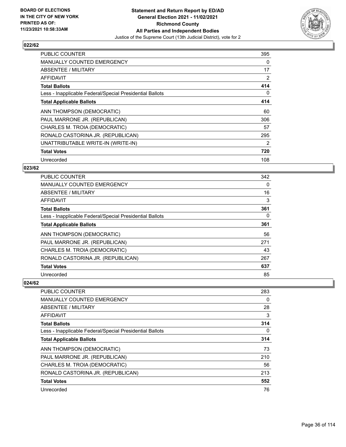

| <b>PUBLIC COUNTER</b>                                    | 395 |
|----------------------------------------------------------|-----|
| <b>MANUALLY COUNTED EMERGENCY</b>                        | 0   |
| ABSENTEE / MILITARY                                      | 17  |
| AFFIDAVIT                                                | 2   |
| <b>Total Ballots</b>                                     | 414 |
| Less - Inapplicable Federal/Special Presidential Ballots | 0   |
| <b>Total Applicable Ballots</b>                          | 414 |
| ANN THOMPSON (DEMOCRATIC)                                | 60  |
| PAUL MARRONE JR. (REPUBLICAN)                            | 306 |
| CHARLES M. TROIA (DEMOCRATIC)                            | 57  |
| RONALD CASTORINA JR. (REPUBLICAN)                        | 295 |
| UNATTRIBUTABLE WRITE-IN (WRITE-IN)                       | 2   |
| <b>Total Votes</b>                                       | 720 |
| Unrecorded                                               | 108 |

# **023/62**

| <b>PUBLIC COUNTER</b>                                    | 342      |
|----------------------------------------------------------|----------|
| <b>MANUALLY COUNTED EMERGENCY</b>                        | $\Omega$ |
| ABSENTEE / MILITARY                                      | 16       |
| AFFIDAVIT                                                | 3        |
| <b>Total Ballots</b>                                     | 361      |
| Less - Inapplicable Federal/Special Presidential Ballots | 0        |
| <b>Total Applicable Ballots</b>                          | 361      |
| ANN THOMPSON (DEMOCRATIC)                                | 56       |
| PAUL MARRONE JR. (REPUBLICAN)                            | 271      |
| CHARLES M. TROIA (DEMOCRATIC)                            | 43       |
| RONALD CASTORINA JR. (REPUBLICAN)                        | 267      |
| <b>Total Votes</b>                                       | 637      |
| Unrecorded                                               | 85       |

| PUBLIC COUNTER                                           | 283 |
|----------------------------------------------------------|-----|
| <b>MANUALLY COUNTED EMERGENCY</b>                        | 0   |
| ABSENTEE / MILITARY                                      | 28  |
| AFFIDAVIT                                                | 3   |
| <b>Total Ballots</b>                                     | 314 |
| Less - Inapplicable Federal/Special Presidential Ballots | 0   |
| <b>Total Applicable Ballots</b>                          | 314 |
| ANN THOMPSON (DEMOCRATIC)                                | 73  |
| PAUL MARRONE JR. (REPUBLICAN)                            | 210 |
| CHARLES M. TROIA (DEMOCRATIC)                            | 56  |
| RONALD CASTORINA JR. (REPUBLICAN)                        | 213 |
| <b>Total Votes</b>                                       | 552 |
| Unrecorded                                               | 76  |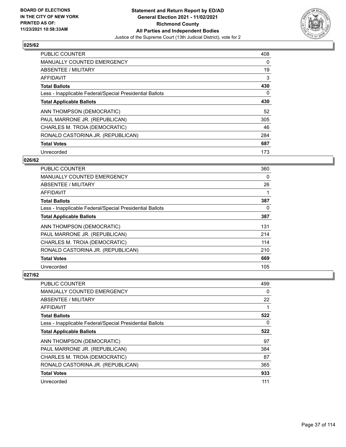

| <b>PUBLIC COUNTER</b>                                    | 408 |
|----------------------------------------------------------|-----|
| <b>MANUALLY COUNTED EMERGENCY</b>                        | 0   |
| ABSENTEE / MILITARY                                      | 19  |
| <b>AFFIDAVIT</b>                                         | 3   |
| <b>Total Ballots</b>                                     | 430 |
| Less - Inapplicable Federal/Special Presidential Ballots | 0   |
| <b>Total Applicable Ballots</b>                          | 430 |
| ANN THOMPSON (DEMOCRATIC)                                | 52  |
| PAUL MARRONE JR. (REPUBLICAN)                            | 305 |
| CHARLES M. TROIA (DEMOCRATIC)                            | 46  |
| RONALD CASTORINA JR. (REPUBLICAN)                        | 284 |
| <b>Total Votes</b>                                       | 687 |
| Unrecorded                                               | 173 |

### **026/62**

| <b>PUBLIC COUNTER</b>                                    | 360 |
|----------------------------------------------------------|-----|
| <b>MANUALLY COUNTED EMERGENCY</b>                        | 0   |
| ABSENTEE / MILITARY                                      | 26  |
| <b>AFFIDAVIT</b>                                         |     |
| <b>Total Ballots</b>                                     | 387 |
| Less - Inapplicable Federal/Special Presidential Ballots | 0   |
| <b>Total Applicable Ballots</b>                          | 387 |
| ANN THOMPSON (DEMOCRATIC)                                | 131 |
| PAUL MARRONE JR. (REPUBLICAN)                            | 214 |
| CHARLES M. TROIA (DEMOCRATIC)                            | 114 |
| RONALD CASTORINA JR. (REPUBLICAN)                        | 210 |
| <b>Total Votes</b>                                       | 669 |
| Unrecorded                                               | 105 |

| PUBLIC COUNTER                                           | 499 |
|----------------------------------------------------------|-----|
| <b>MANUALLY COUNTED EMERGENCY</b>                        | 0   |
| ABSENTEE / MILITARY                                      | 22  |
| AFFIDAVIT                                                | 1   |
| <b>Total Ballots</b>                                     | 522 |
| Less - Inapplicable Federal/Special Presidential Ballots | 0   |
| <b>Total Applicable Ballots</b>                          | 522 |
| ANN THOMPSON (DEMOCRATIC)                                | 97  |
| PAUL MARRONE JR. (REPUBLICAN)                            | 384 |
| CHARLES M. TROIA (DEMOCRATIC)                            | 87  |
| RONALD CASTORINA JR. (REPUBLICAN)                        | 365 |
| <b>Total Votes</b>                                       | 933 |
| Unrecorded                                               | 111 |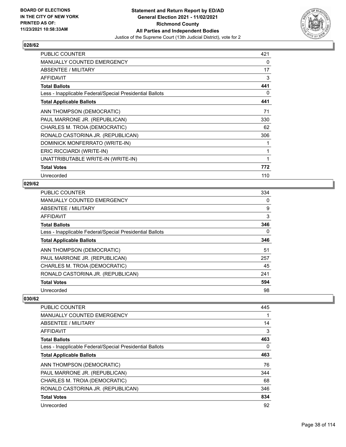

| <b>PUBLIC COUNTER</b>                                    | 421 |
|----------------------------------------------------------|-----|
| <b>MANUALLY COUNTED EMERGENCY</b>                        | 0   |
| ABSENTEE / MILITARY                                      | 17  |
| <b>AFFIDAVIT</b>                                         | 3   |
| <b>Total Ballots</b>                                     | 441 |
| Less - Inapplicable Federal/Special Presidential Ballots | 0   |
| <b>Total Applicable Ballots</b>                          | 441 |
| ANN THOMPSON (DEMOCRATIC)                                | 71  |
| PAUL MARRONE JR. (REPUBLICAN)                            | 330 |
| CHARLES M. TROIA (DEMOCRATIC)                            | 62  |
| RONALD CASTORINA JR. (REPUBLICAN)                        | 306 |
| DOMINICK MONFERRATO (WRITE-IN)                           | 1   |
| ERIC RICCIARDI (WRITE-IN)                                | 1   |
| UNATTRIBUTABLE WRITE-IN (WRITE-IN)                       | 1   |
| <b>Total Votes</b>                                       | 772 |
| Unrecorded                                               | 110 |

# **029/62**

| <b>PUBLIC COUNTER</b>                                    | 334      |
|----------------------------------------------------------|----------|
| MANUALLY COUNTED EMERGENCY                               | 0        |
| ABSENTEE / MILITARY                                      | 9        |
| AFFIDAVIT                                                | 3        |
| <b>Total Ballots</b>                                     | 346      |
| Less - Inapplicable Federal/Special Presidential Ballots | $\Omega$ |
| <b>Total Applicable Ballots</b>                          | 346      |
| ANN THOMPSON (DEMOCRATIC)                                | 51       |
| PAUL MARRONE JR. (REPUBLICAN)                            | 257      |
| CHARLES M. TROIA (DEMOCRATIC)                            | 45       |
| RONALD CASTORINA JR. (REPUBLICAN)                        | 241      |
| <b>Total Votes</b>                                       | 594      |
| Unrecorded                                               | 98       |

| <b>PUBLIC COUNTER</b>                                    | 445 |
|----------------------------------------------------------|-----|
| <b>MANUALLY COUNTED EMERGENCY</b>                        |     |
| ABSENTEE / MILITARY                                      | 14  |
| AFFIDAVIT                                                | 3   |
| <b>Total Ballots</b>                                     | 463 |
| Less - Inapplicable Federal/Special Presidential Ballots | 0   |
| <b>Total Applicable Ballots</b>                          | 463 |
| ANN THOMPSON (DEMOCRATIC)                                | 76  |
| PAUL MARRONE JR. (REPUBLICAN)                            | 344 |
| CHARLES M. TROIA (DEMOCRATIC)                            | 68  |
| RONALD CASTORINA JR. (REPUBLICAN)                        | 346 |
| <b>Total Votes</b>                                       | 834 |
| Unrecorded                                               | 92  |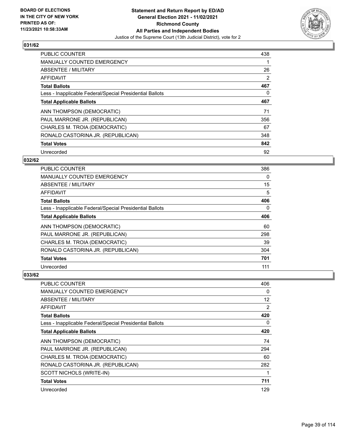

| <b>PUBLIC COUNTER</b>                                    | 438 |
|----------------------------------------------------------|-----|
| <b>MANUALLY COUNTED EMERGENCY</b>                        |     |
| ABSENTEE / MILITARY                                      | 26  |
| AFFIDAVIT                                                | 2   |
| <b>Total Ballots</b>                                     | 467 |
| Less - Inapplicable Federal/Special Presidential Ballots | 0   |
| <b>Total Applicable Ballots</b>                          | 467 |
| ANN THOMPSON (DEMOCRATIC)                                | 71  |
| PAUL MARRONE JR. (REPUBLICAN)                            | 356 |
| CHARLES M. TROIA (DEMOCRATIC)                            | 67  |
| RONALD CASTORINA JR. (REPUBLICAN)                        | 348 |
| <b>Total Votes</b>                                       | 842 |
| Unrecorded                                               | 92  |

# **032/62**

| <b>PUBLIC COUNTER</b>                                    | 386 |
|----------------------------------------------------------|-----|
| <b>MANUALLY COUNTED EMERGENCY</b>                        | 0   |
| ABSENTEE / MILITARY                                      | 15  |
| <b>AFFIDAVIT</b>                                         | 5   |
| <b>Total Ballots</b>                                     | 406 |
| Less - Inapplicable Federal/Special Presidential Ballots | 0   |
| <b>Total Applicable Ballots</b>                          | 406 |
| ANN THOMPSON (DEMOCRATIC)                                | 60  |
| PAUL MARRONE JR. (REPUBLICAN)                            | 298 |
| CHARLES M. TROIA (DEMOCRATIC)                            | 39  |
| RONALD CASTORINA JR. (REPUBLICAN)                        | 304 |
| <b>Total Votes</b>                                       | 701 |
| Unrecorded                                               | 111 |

| PUBLIC COUNTER                                           | 406               |
|----------------------------------------------------------|-------------------|
| MANUALLY COUNTED EMERGENCY                               | 0                 |
| ABSENTEE / MILITARY                                      | $12 \overline{ }$ |
| AFFIDAVIT                                                | 2                 |
| <b>Total Ballots</b>                                     | 420               |
| Less - Inapplicable Federal/Special Presidential Ballots | 0                 |
| <b>Total Applicable Ballots</b>                          | 420               |
| ANN THOMPSON (DEMOCRATIC)                                | 74                |
| PAUL MARRONE JR. (REPUBLICAN)                            | 294               |
| CHARLES M. TROIA (DEMOCRATIC)                            | 60                |
| RONALD CASTORINA JR. (REPUBLICAN)                        | 282               |
| SCOTT NICHOLS (WRITE-IN)                                 | 1                 |
| <b>Total Votes</b>                                       | 711               |
| Unrecorded                                               | 129               |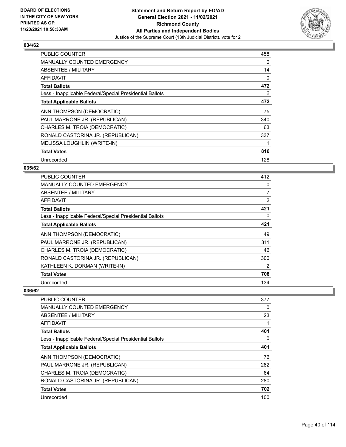

| <b>PUBLIC COUNTER</b>                                    | 458 |
|----------------------------------------------------------|-----|
| <b>MANUALLY COUNTED EMERGENCY</b>                        | 0   |
| <b>ABSENTEE / MILITARY</b>                               | 14  |
| <b>AFFIDAVIT</b>                                         | 0   |
| <b>Total Ballots</b>                                     | 472 |
| Less - Inapplicable Federal/Special Presidential Ballots | 0   |
| <b>Total Applicable Ballots</b>                          | 472 |
| ANN THOMPSON (DEMOCRATIC)                                | 75  |
| PAUL MARRONE JR. (REPUBLICAN)                            | 340 |
| CHARLES M. TROIA (DEMOCRATIC)                            | 63  |
| RONALD CASTORINA JR. (REPUBLICAN)                        | 337 |
| MELISSA LOUGHLIN (WRITE-IN)                              |     |
| <b>Total Votes</b>                                       | 816 |
| Unrecorded                                               | 128 |

# **035/62**

| <b>PUBLIC COUNTER</b>                                    | 412            |
|----------------------------------------------------------|----------------|
| <b>MANUALLY COUNTED EMERGENCY</b>                        | 0              |
| ABSENTEE / MILITARY                                      | $\overline{7}$ |
| AFFIDAVIT                                                | 2              |
| <b>Total Ballots</b>                                     | 421            |
| Less - Inapplicable Federal/Special Presidential Ballots | $\Omega$       |
| <b>Total Applicable Ballots</b>                          | 421            |
| ANN THOMPSON (DEMOCRATIC)                                | 49             |
| PAUL MARRONE JR. (REPUBLICAN)                            | 311            |
| CHARLES M. TROIA (DEMOCRATIC)                            | 46             |
| RONALD CASTORINA JR. (REPUBLICAN)                        | 300            |
| KATHLEEN K. DORMAN (WRITE-IN)                            | 2              |
| <b>Total Votes</b>                                       | 708            |
| Unrecorded                                               | 134            |

| <b>PUBLIC COUNTER</b>                                    | 377      |
|----------------------------------------------------------|----------|
| <b>MANUALLY COUNTED EMERGENCY</b>                        | 0        |
| ABSENTEE / MILITARY                                      | 23       |
| AFFIDAVIT                                                |          |
| <b>Total Ballots</b>                                     | 401      |
| Less - Inapplicable Federal/Special Presidential Ballots | $\Omega$ |
| <b>Total Applicable Ballots</b>                          | 401      |
| ANN THOMPSON (DEMOCRATIC)                                | 76       |
| PAUL MARRONE JR. (REPUBLICAN)                            | 282      |
| CHARLES M. TROIA (DEMOCRATIC)                            | 64       |
| RONALD CASTORINA JR. (REPUBLICAN)                        | 280      |
| <b>Total Votes</b>                                       | 702      |
| Unrecorded                                               | 100      |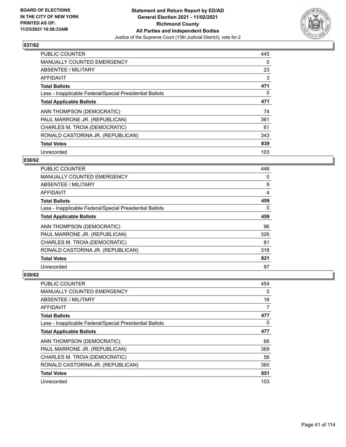

| <b>PUBLIC COUNTER</b>                                    | 445      |
|----------------------------------------------------------|----------|
| MANUALLY COUNTED EMERGENCY                               | $\Omega$ |
| ABSENTEE / MILITARY                                      | 23       |
| <b>AFFIDAVIT</b>                                         | 3        |
| <b>Total Ballots</b>                                     | 471      |
| Less - Inapplicable Federal/Special Presidential Ballots | $\Omega$ |
| <b>Total Applicable Ballots</b>                          | 471      |
| ANN THOMPSON (DEMOCRATIC)                                | 74       |
| PAUL MARRONE JR. (REPUBLICAN)                            | 361      |
| CHARLES M. TROIA (DEMOCRATIC)                            | 61       |
| RONALD CASTORINA JR. (REPUBLICAN)                        | 343      |
| <b>Total Votes</b>                                       | 839      |
| Unrecorded                                               | 103      |

### **038/62**

| <b>PUBLIC COUNTER</b>                                    | 446      |
|----------------------------------------------------------|----------|
| MANUALLY COUNTED EMERGENCY                               | 0        |
| ABSENTEE / MILITARY                                      | 9        |
| AFFIDAVIT                                                | 4        |
| <b>Total Ballots</b>                                     | 459      |
| Less - Inapplicable Federal/Special Presidential Ballots | $\Omega$ |
| <b>Total Applicable Ballots</b>                          | 459      |
| ANN THOMPSON (DEMOCRATIC)                                | 96       |
| PAUL MARRONE JR. (REPUBLICAN)                            | 326      |
| CHARLES M. TROIA (DEMOCRATIC)                            | 81       |
| RONALD CASTORINA JR. (REPUBLICAN)                        | 318      |
| <b>Total Votes</b>                                       | 821      |
| Unrecorded                                               | 97       |

| <b>PUBLIC COUNTER</b>                                    | 454      |
|----------------------------------------------------------|----------|
| <b>MANUALLY COUNTED EMERGENCY</b>                        | $\Omega$ |
| ABSENTEE / MILITARY                                      | 16       |
| AFFIDAVIT                                                | 7        |
| <b>Total Ballots</b>                                     | 477      |
| Less - Inapplicable Federal/Special Presidential Ballots | $\Omega$ |
| <b>Total Applicable Ballots</b>                          | 477      |
| ANN THOMPSON (DEMOCRATIC)                                | 66       |
| PAUL MARRONE JR. (REPUBLICAN)                            | 369      |
| CHARLES M. TROIA (DEMOCRATIC)                            | 56       |
| RONALD CASTORINA JR. (REPUBLICAN)                        | 360      |
| <b>Total Votes</b>                                       | 851      |
| Unrecorded                                               | 103      |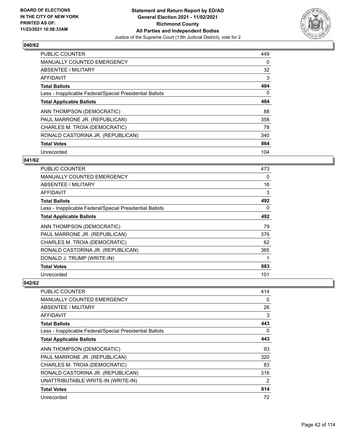

| <b>PUBLIC COUNTER</b>                                    | 449      |
|----------------------------------------------------------|----------|
| <b>MANUALLY COUNTED EMERGENCY</b>                        | $\Omega$ |
| ABSENTEE / MILITARY                                      | 32       |
| <b>AFFIDAVIT</b>                                         | 3        |
| <b>Total Ballots</b>                                     | 484      |
| Less - Inapplicable Federal/Special Presidential Ballots | 0        |
| <b>Total Applicable Ballots</b>                          | 484      |
| ANN THOMPSON (DEMOCRATIC)                                | 88       |
| PAUL MARRONE JR. (REPUBLICAN)                            | 358      |
| CHARLES M. TROIA (DEMOCRATIC)                            | 78       |
| RONALD CASTORINA JR. (REPUBLICAN)                        | 340      |
| <b>Total Votes</b>                                       | 864      |
| Unrecorded                                               | 104      |

# **041/62**

| PUBLIC COUNTER                                           | 473      |
|----------------------------------------------------------|----------|
| <b>MANUALLY COUNTED EMERGENCY</b>                        | 0        |
| ABSENTEE / MILITARY                                      | 16       |
| AFFIDAVIT                                                | 3        |
| <b>Total Ballots</b>                                     | 492      |
| Less - Inapplicable Federal/Special Presidential Ballots | $\Omega$ |
| <b>Total Applicable Ballots</b>                          | 492      |
| ANN THOMPSON (DEMOCRATIC)                                | 79       |
| PAUL MARRONE JR. (REPUBLICAN)                            | 376      |
| CHARLES M. TROIA (DEMOCRATIC)                            | 62       |
| RONALD CASTORINA JR. (REPUBLICAN)                        | 365      |
| DONALD J. TRUMP (WRITE-IN)                               | 1        |
| <b>Total Votes</b>                                       | 883      |
| Unrecorded                                               | 101      |

| PUBLIC COUNTER                                           | 414 |
|----------------------------------------------------------|-----|
| <b>MANUALLY COUNTED EMERGENCY</b>                        | 0   |
| ABSENTEE / MILITARY                                      | 26  |
| <b>AFFIDAVIT</b>                                         | 3   |
| <b>Total Ballots</b>                                     | 443 |
| Less - Inapplicable Federal/Special Presidential Ballots | 0   |
| <b>Total Applicable Ballots</b>                          | 443 |
| ANN THOMPSON (DEMOCRATIC)                                | 93  |
| PAUL MARRONE JR. (REPUBLICAN)                            | 320 |
| CHARLES M. TROIA (DEMOCRATIC)                            | 83  |
| RONALD CASTORINA JR. (REPUBLICAN)                        | 316 |
| UNATTRIBUTABLE WRITE-IN (WRITE-IN)                       | 2   |
| <b>Total Votes</b>                                       | 814 |
| Unrecorded                                               | 72  |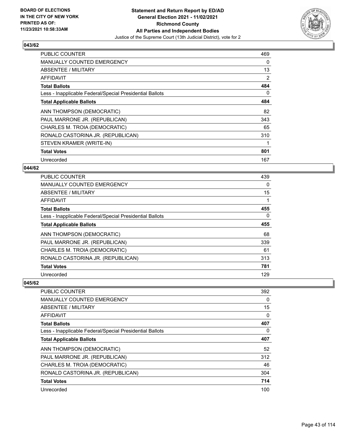

| <b>PUBLIC COUNTER</b>                                    | 469 |
|----------------------------------------------------------|-----|
| <b>MANUALLY COUNTED EMERGENCY</b>                        | 0   |
| <b>ABSENTEE / MILITARY</b>                               | 13  |
| AFFIDAVIT                                                | 2   |
| <b>Total Ballots</b>                                     | 484 |
| Less - Inapplicable Federal/Special Presidential Ballots | 0   |
| <b>Total Applicable Ballots</b>                          | 484 |
| ANN THOMPSON (DEMOCRATIC)                                | 82  |
| PAUL MARRONE JR. (REPUBLICAN)                            | 343 |
| CHARLES M. TROIA (DEMOCRATIC)                            | 65  |
| RONALD CASTORINA JR. (REPUBLICAN)                        | 310 |
| STEVEN KRAMER (WRITE-IN)                                 |     |
| <b>Total Votes</b>                                       | 801 |
| Unrecorded                                               | 167 |

# **044/62**

| PUBLIC COUNTER                                           | 439      |
|----------------------------------------------------------|----------|
| <b>MANUALLY COUNTED EMERGENCY</b>                        | $\Omega$ |
| ABSENTEE / MILITARY                                      | 15       |
| <b>AFFIDAVIT</b>                                         | 1        |
| <b>Total Ballots</b>                                     | 455      |
| Less - Inapplicable Federal/Special Presidential Ballots | $\Omega$ |
| <b>Total Applicable Ballots</b>                          | 455      |
| ANN THOMPSON (DEMOCRATIC)                                | 68       |
| PAUL MARRONE JR. (REPUBLICAN)                            | 339      |
| CHARLES M. TROIA (DEMOCRATIC)                            | 61       |
| RONALD CASTORINA JR. (REPUBLICAN)                        | 313      |
| <b>Total Votes</b>                                       | 781      |
| Unrecorded                                               | 129      |

| <b>PUBLIC COUNTER</b>                                    | 392 |
|----------------------------------------------------------|-----|
| <b>MANUALLY COUNTED EMERGENCY</b>                        | 0   |
| ABSENTEE / MILITARY                                      | 15  |
| AFFIDAVIT                                                | 0   |
| <b>Total Ballots</b>                                     | 407 |
| Less - Inapplicable Federal/Special Presidential Ballots | 0   |
| <b>Total Applicable Ballots</b>                          | 407 |
| ANN THOMPSON (DEMOCRATIC)                                | 52  |
| PAUL MARRONE JR. (REPUBLICAN)                            | 312 |
| CHARLES M. TROIA (DEMOCRATIC)                            | 46  |
| RONALD CASTORINA JR. (REPUBLICAN)                        | 304 |
| <b>Total Votes</b>                                       | 714 |
| Unrecorded                                               | 100 |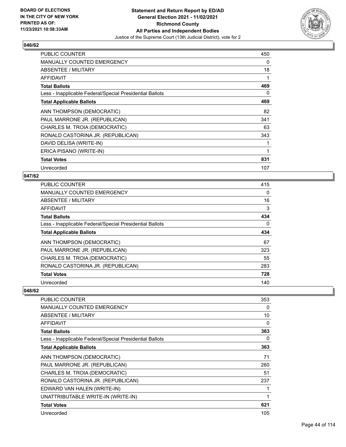

| <b>PUBLIC COUNTER</b>                                    | 450 |
|----------------------------------------------------------|-----|
| <b>MANUALLY COUNTED EMERGENCY</b>                        | 0   |
| ABSENTEE / MILITARY                                      | 18  |
| <b>AFFIDAVIT</b>                                         | 1   |
| <b>Total Ballots</b>                                     | 469 |
| Less - Inapplicable Federal/Special Presidential Ballots | 0   |
| <b>Total Applicable Ballots</b>                          | 469 |
| ANN THOMPSON (DEMOCRATIC)                                | 82  |
| PAUL MARRONE JR. (REPUBLICAN)                            | 341 |
| CHARLES M. TROIA (DEMOCRATIC)                            | 63  |
| RONALD CASTORINA JR. (REPUBLICAN)                        | 343 |
| DAVID DELISA (WRITE-IN)                                  |     |
| ERICA PISANO (WRITE-IN)                                  | 1   |
| <b>Total Votes</b>                                       | 831 |
| Unrecorded                                               | 107 |

### **047/62**

| <b>PUBLIC COUNTER</b>                                    | 415      |
|----------------------------------------------------------|----------|
| MANUALLY COUNTED EMERGENCY                               | $\Omega$ |
| ABSENTEE / MILITARY                                      | 16       |
| AFFIDAVIT                                                | 3        |
| <b>Total Ballots</b>                                     | 434      |
| Less - Inapplicable Federal/Special Presidential Ballots | 0        |
| <b>Total Applicable Ballots</b>                          | 434      |
| ANN THOMPSON (DEMOCRATIC)                                | 67       |
| PAUL MARRONE JR. (REPUBLICAN)                            | 323      |
| CHARLES M. TROIA (DEMOCRATIC)                            | 55       |
| RONALD CASTORINA JR. (REPUBLICAN)                        | 283      |
| <b>Total Votes</b>                                       | 728      |
| Unrecorded                                               | 140      |

| PUBLIC COUNTER                                           | 353 |
|----------------------------------------------------------|-----|
| <b>MANUALLY COUNTED EMERGENCY</b>                        | 0   |
| ABSENTEE / MILITARY                                      | 10  |
| AFFIDAVIT                                                | 0   |
| <b>Total Ballots</b>                                     | 363 |
| Less - Inapplicable Federal/Special Presidential Ballots | 0   |
| <b>Total Applicable Ballots</b>                          | 363 |
| ANN THOMPSON (DEMOCRATIC)                                | 71  |
| PAUL MARRONE JR. (REPUBLICAN)                            | 260 |
| CHARLES M. TROIA (DEMOCRATIC)                            | 51  |
| RONALD CASTORINA JR. (REPUBLICAN)                        | 237 |
| EDWARD VAN HALEN (WRITE-IN)                              |     |
| UNATTRIBUTABLE WRITE-IN (WRITE-IN)                       |     |
| <b>Total Votes</b>                                       | 621 |
| Unrecorded                                               | 105 |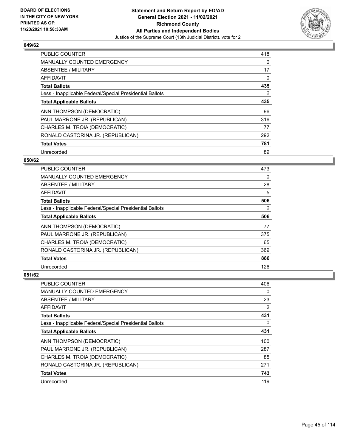

| <b>PUBLIC COUNTER</b>                                    | 418 |
|----------------------------------------------------------|-----|
| MANUALLY COUNTED EMERGENCY                               | 0   |
| ABSENTEE / MILITARY                                      | 17  |
| <b>AFFIDAVIT</b>                                         | 0   |
| <b>Total Ballots</b>                                     | 435 |
| Less - Inapplicable Federal/Special Presidential Ballots | 0   |
| <b>Total Applicable Ballots</b>                          | 435 |
| ANN THOMPSON (DEMOCRATIC)                                | 96  |
| PAUL MARRONE JR. (REPUBLICAN)                            | 316 |
| CHARLES M. TROIA (DEMOCRATIC)                            | 77  |
| RONALD CASTORINA JR. (REPUBLICAN)                        | 292 |
| <b>Total Votes</b>                                       | 781 |
| Unrecorded                                               | 89  |

### **050/62**

| <b>PUBLIC COUNTER</b>                                    | 473 |
|----------------------------------------------------------|-----|
| <b>MANUALLY COUNTED EMERGENCY</b>                        | 0   |
| ABSENTEE / MILITARY                                      | 28  |
| <b>AFFIDAVIT</b>                                         | 5   |
| <b>Total Ballots</b>                                     | 506 |
| Less - Inapplicable Federal/Special Presidential Ballots | 0   |
| <b>Total Applicable Ballots</b>                          | 506 |
| ANN THOMPSON (DEMOCRATIC)                                | 77  |
| PAUL MARRONE JR. (REPUBLICAN)                            | 375 |
| CHARLES M. TROIA (DEMOCRATIC)                            | 65  |
| RONALD CASTORINA JR. (REPUBLICAN)                        | 369 |
| <b>Total Votes</b>                                       | 886 |
| Unrecorded                                               | 126 |

| PUBLIC COUNTER                                           | 406 |
|----------------------------------------------------------|-----|
| <b>MANUALLY COUNTED EMERGENCY</b>                        | 0   |
| ABSENTEE / MILITARY                                      | 23  |
| AFFIDAVIT                                                | 2   |
| <b>Total Ballots</b>                                     | 431 |
| Less - Inapplicable Federal/Special Presidential Ballots | 0   |
| <b>Total Applicable Ballots</b>                          | 431 |
| ANN THOMPSON (DEMOCRATIC)                                | 100 |
| PAUL MARRONE JR. (REPUBLICAN)                            | 287 |
| CHARLES M. TROIA (DEMOCRATIC)                            | 85  |
| RONALD CASTORINA JR. (REPUBLICAN)                        | 271 |
| <b>Total Votes</b>                                       | 743 |
| Unrecorded                                               | 119 |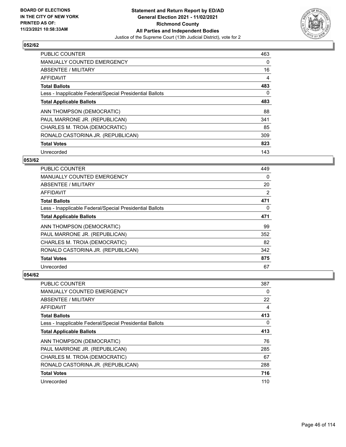

| <b>PUBLIC COUNTER</b>                                    | 463 |
|----------------------------------------------------------|-----|
| <b>MANUALLY COUNTED EMERGENCY</b>                        | 0   |
| ABSENTEE / MILITARY                                      | 16  |
| AFFIDAVIT                                                | 4   |
| <b>Total Ballots</b>                                     | 483 |
| Less - Inapplicable Federal/Special Presidential Ballots | 0   |
| <b>Total Applicable Ballots</b>                          | 483 |
| ANN THOMPSON (DEMOCRATIC)                                | 88  |
| PAUL MARRONE JR. (REPUBLICAN)                            | 341 |
| CHARLES M. TROIA (DEMOCRATIC)                            | 85  |
| RONALD CASTORINA JR. (REPUBLICAN)                        | 309 |
| <b>Total Votes</b>                                       | 823 |
| Unrecorded                                               | 143 |

# **053/62**

| PUBLIC COUNTER                                           | 449 |
|----------------------------------------------------------|-----|
| MANUALLY COUNTED EMERGENCY                               | 0   |
| ABSENTEE / MILITARY                                      | 20  |
| AFFIDAVIT                                                | 2   |
| <b>Total Ballots</b>                                     | 471 |
| Less - Inapplicable Federal/Special Presidential Ballots | 0   |
| <b>Total Applicable Ballots</b>                          | 471 |
| ANN THOMPSON (DEMOCRATIC)                                | 99  |
| PAUL MARRONE JR. (REPUBLICAN)                            | 352 |
| CHARLES M. TROIA (DEMOCRATIC)                            | 82  |
| RONALD CASTORINA JR. (REPUBLICAN)                        | 342 |
| <b>Total Votes</b>                                       | 875 |
| Unrecorded                                               | 67  |

| PUBLIC COUNTER                                           | 387 |
|----------------------------------------------------------|-----|
| MANUALLY COUNTED EMERGENCY                               | 0   |
| ABSENTEE / MILITARY                                      | 22  |
| AFFIDAVIT                                                | 4   |
| <b>Total Ballots</b>                                     | 413 |
| Less - Inapplicable Federal/Special Presidential Ballots | 0   |
| <b>Total Applicable Ballots</b>                          | 413 |
| ANN THOMPSON (DEMOCRATIC)                                | 76  |
| PAUL MARRONE JR. (REPUBLICAN)                            | 285 |
| CHARLES M. TROIA (DEMOCRATIC)                            | 67  |
| RONALD CASTORINA JR. (REPUBLICAN)                        | 288 |
| <b>Total Votes</b>                                       | 716 |
| Unrecorded                                               | 110 |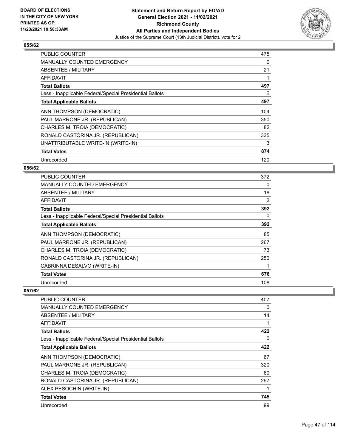

| <b>PUBLIC COUNTER</b>                                    | 475 |
|----------------------------------------------------------|-----|
| <b>MANUALLY COUNTED EMERGENCY</b>                        | 0   |
| <b>ABSENTEE / MILITARY</b>                               | 21  |
| AFFIDAVIT                                                |     |
| <b>Total Ballots</b>                                     | 497 |
| Less - Inapplicable Federal/Special Presidential Ballots | 0   |
| <b>Total Applicable Ballots</b>                          | 497 |
| ANN THOMPSON (DEMOCRATIC)                                | 104 |
| PAUL MARRONE JR. (REPUBLICAN)                            | 350 |
| CHARLES M. TROIA (DEMOCRATIC)                            | 82  |
| RONALD CASTORINA JR. (REPUBLICAN)                        | 335 |
| UNATTRIBUTABLE WRITE-IN (WRITE-IN)                       | 3   |
| <b>Total Votes</b>                                       | 874 |
| Unrecorded                                               | 120 |

# **056/62**

| PUBLIC COUNTER                                           | 372 |
|----------------------------------------------------------|-----|
| <b>MANUALLY COUNTED EMERGENCY</b>                        | 0   |
| <b>ABSENTEE / MILITARY</b>                               | 18  |
| AFFIDAVIT                                                | 2   |
| <b>Total Ballots</b>                                     | 392 |
| Less - Inapplicable Federal/Special Presidential Ballots | 0   |
| <b>Total Applicable Ballots</b>                          | 392 |
| ANN THOMPSON (DEMOCRATIC)                                | 85  |
| PAUL MARRONE JR. (REPUBLICAN)                            | 267 |
| CHARLES M. TROIA (DEMOCRATIC)                            | 73  |
| RONALD CASTORINA JR. (REPUBLICAN)                        | 250 |
| CABRINNA DESALVO (WRITE-IN)                              |     |
| <b>Total Votes</b>                                       | 676 |
| Unrecorded                                               | 108 |

| <b>PUBLIC COUNTER</b>                                    | 407 |
|----------------------------------------------------------|-----|
| <b>MANUALLY COUNTED EMERGENCY</b>                        | 0   |
| ABSENTEE / MILITARY                                      | 14  |
| <b>AFFIDAVIT</b>                                         |     |
| <b>Total Ballots</b>                                     | 422 |
| Less - Inapplicable Federal/Special Presidential Ballots | 0   |
| <b>Total Applicable Ballots</b>                          | 422 |
| ANN THOMPSON (DEMOCRATIC)                                | 67  |
| PAUL MARRONE JR. (REPUBLICAN)                            | 320 |
| CHARLES M. TROIA (DEMOCRATIC)                            | 60  |
| RONALD CASTORINA JR. (REPUBLICAN)                        | 297 |
| ALEX PESOCHIN (WRITE-IN)                                 |     |
| <b>Total Votes</b>                                       | 745 |
| Unrecorded                                               | 99  |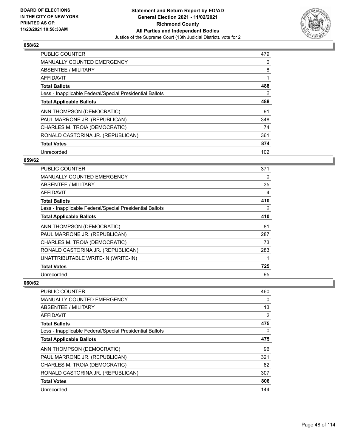

| <b>PUBLIC COUNTER</b>                                    | 479 |
|----------------------------------------------------------|-----|
| <b>MANUALLY COUNTED EMERGENCY</b>                        | 0   |
| ABSENTEE / MILITARY                                      | 8   |
| AFFIDAVIT                                                |     |
| <b>Total Ballots</b>                                     | 488 |
| Less - Inapplicable Federal/Special Presidential Ballots | 0   |
| <b>Total Applicable Ballots</b>                          | 488 |
| ANN THOMPSON (DEMOCRATIC)                                | 91  |
| PAUL MARRONE JR. (REPUBLICAN)                            | 348 |
| CHARLES M. TROIA (DEMOCRATIC)                            | 74  |
| RONALD CASTORINA JR. (REPUBLICAN)                        | 361 |
| <b>Total Votes</b>                                       | 874 |
| Unrecorded                                               | 102 |

### **059/62**

| <b>PUBLIC COUNTER</b>                                    | 371 |
|----------------------------------------------------------|-----|
| <b>MANUALLY COUNTED EMERGENCY</b>                        | 0   |
| ABSENTEE / MILITARY                                      | 35  |
| <b>AFFIDAVIT</b>                                         | 4   |
| <b>Total Ballots</b>                                     | 410 |
| Less - Inapplicable Federal/Special Presidential Ballots | 0   |
| <b>Total Applicable Ballots</b>                          | 410 |
| ANN THOMPSON (DEMOCRATIC)                                | 81  |
| PAUL MARRONE JR. (REPUBLICAN)                            | 287 |
| CHARLES M. TROIA (DEMOCRATIC)                            | 73  |
| RONALD CASTORINA JR. (REPUBLICAN)                        | 283 |
| UNATTRIBUTABLE WRITE-IN (WRITE-IN)                       | 1   |
| <b>Total Votes</b>                                       | 725 |
| Unrecorded                                               | 95  |

| <b>PUBLIC COUNTER</b>                                    | 460 |
|----------------------------------------------------------|-----|
| MANUALLY COUNTED EMERGENCY                               | 0   |
| ABSENTEE / MILITARY                                      | 13  |
| AFFIDAVIT                                                | 2   |
| <b>Total Ballots</b>                                     | 475 |
| Less - Inapplicable Federal/Special Presidential Ballots | 0   |
| <b>Total Applicable Ballots</b>                          | 475 |
| ANN THOMPSON (DEMOCRATIC)                                | 96  |
| PAUL MARRONE JR. (REPUBLICAN)                            | 321 |
| CHARLES M. TROIA (DEMOCRATIC)                            | 82  |
| RONALD CASTORINA JR. (REPUBLICAN)                        | 307 |
| <b>Total Votes</b>                                       | 806 |
| Unrecorded                                               | 144 |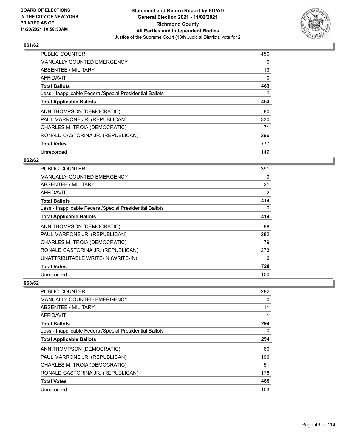

| <b>PUBLIC COUNTER</b>                                    | 450 |
|----------------------------------------------------------|-----|
| <b>MANUALLY COUNTED EMERGENCY</b>                        | 0   |
| ABSENTEE / MILITARY                                      | 13  |
| <b>AFFIDAVIT</b>                                         | 0   |
| <b>Total Ballots</b>                                     | 463 |
| Less - Inapplicable Federal/Special Presidential Ballots | 0   |
| <b>Total Applicable Ballots</b>                          | 463 |
| ANN THOMPSON (DEMOCRATIC)                                | 80  |
| PAUL MARRONE JR. (REPUBLICAN)                            | 330 |
| CHARLES M. TROIA (DEMOCRATIC)                            | 71  |
| RONALD CASTORINA JR. (REPUBLICAN)                        | 296 |
| <b>Total Votes</b>                                       | 777 |
| Unrecorded                                               | 149 |

### **062/62**

| PUBLIC COUNTER                                           | 391 |
|----------------------------------------------------------|-----|
| <b>MANUALLY COUNTED EMERGENCY</b>                        | 0   |
| ABSENTEE / MILITARY                                      | 21  |
| AFFIDAVIT                                                | 2   |
| <b>Total Ballots</b>                                     | 414 |
| Less - Inapplicable Federal/Special Presidential Ballots | 0   |
| <b>Total Applicable Ballots</b>                          | 414 |
| ANN THOMPSON (DEMOCRATIC)                                | 88  |
| PAUL MARRONE JR. (REPUBLICAN)                            | 282 |
| CHARLES M. TROIA (DEMOCRATIC)                            | 79  |
| RONALD CASTORINA JR. (REPUBLICAN)                        | 273 |
| UNATTRIBUTABLE WRITE-IN (WRITE-IN)                       | 6   |
| <b>Total Votes</b>                                       | 728 |
| Unrecorded                                               | 100 |

| PUBLIC COUNTER                                           | 282 |
|----------------------------------------------------------|-----|
| <b>MANUALLY COUNTED EMERGENCY</b>                        | 0   |
| ABSENTEE / MILITARY                                      | 11  |
| AFFIDAVIT                                                |     |
| <b>Total Ballots</b>                                     | 294 |
| Less - Inapplicable Federal/Special Presidential Ballots | 0   |
| <b>Total Applicable Ballots</b>                          | 294 |
| ANN THOMPSON (DEMOCRATIC)                                | 60  |
| PAUL MARRONE JR. (REPUBLICAN)                            | 196 |
| CHARLES M. TROIA (DEMOCRATIC)                            | 51  |
| RONALD CASTORINA JR. (REPUBLICAN)                        | 178 |
| <b>Total Votes</b>                                       | 485 |
| Unrecorded                                               | 103 |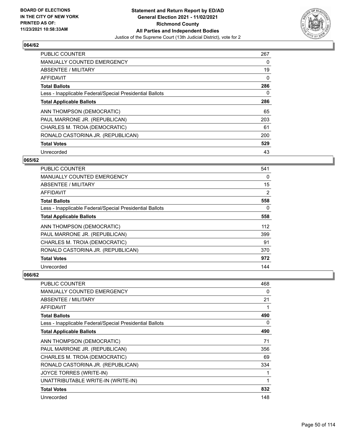

| PUBLIC COUNTER                                           | 267 |
|----------------------------------------------------------|-----|
| <b>MANUALLY COUNTED EMERGENCY</b>                        | 0   |
| ABSENTEE / MILITARY                                      | 19  |
| <b>AFFIDAVIT</b>                                         | 0   |
| <b>Total Ballots</b>                                     | 286 |
| Less - Inapplicable Federal/Special Presidential Ballots | 0   |
| <b>Total Applicable Ballots</b>                          | 286 |
| ANN THOMPSON (DEMOCRATIC)                                | 65  |
| PAUL MARRONE JR. (REPUBLICAN)                            | 203 |
| CHARLES M. TROIA (DEMOCRATIC)                            | 61  |
| RONALD CASTORINA JR. (REPUBLICAN)                        | 200 |
| <b>Total Votes</b>                                       | 529 |
| Unrecorded                                               | 43  |

### **065/62**

| <b>PUBLIC COUNTER</b>                                    | 541 |
|----------------------------------------------------------|-----|
| <b>MANUALLY COUNTED EMERGENCY</b>                        | 0   |
| ABSENTEE / MILITARY                                      | 15  |
| AFFIDAVIT                                                | 2   |
| <b>Total Ballots</b>                                     | 558 |
| Less - Inapplicable Federal/Special Presidential Ballots | 0   |
| <b>Total Applicable Ballots</b>                          | 558 |
| ANN THOMPSON (DEMOCRATIC)                                | 112 |
| PAUL MARRONE JR. (REPUBLICAN)                            | 399 |
| CHARLES M. TROIA (DEMOCRATIC)                            | 91  |
| RONALD CASTORINA JR. (REPUBLICAN)                        | 370 |
| <b>Total Votes</b>                                       | 972 |
| Unrecorded                                               | 144 |

| <b>PUBLIC COUNTER</b>                                    | 468 |
|----------------------------------------------------------|-----|
| <b>MANUALLY COUNTED EMERGENCY</b>                        | 0   |
| ABSENTEE / MILITARY                                      | 21  |
| AFFIDAVIT                                                | 1   |
| <b>Total Ballots</b>                                     | 490 |
| Less - Inapplicable Federal/Special Presidential Ballots | 0   |
| <b>Total Applicable Ballots</b>                          | 490 |
| ANN THOMPSON (DEMOCRATIC)                                | 71  |
| PAUL MARRONE JR. (REPUBLICAN)                            | 356 |
| CHARLES M. TROIA (DEMOCRATIC)                            | 69  |
| RONALD CASTORINA JR. (REPUBLICAN)                        | 334 |
| JOYCE TORRES (WRITE-IN)                                  | 1   |
| UNATTRIBUTABLE WRITE-IN (WRITE-IN)                       | 1   |
| <b>Total Votes</b>                                       | 832 |
| Unrecorded                                               | 148 |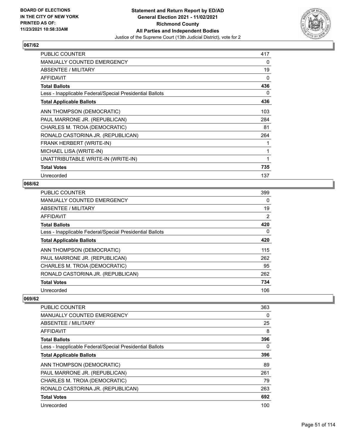

| PUBLIC COUNTER                                           | 417 |
|----------------------------------------------------------|-----|
| <b>MANUALLY COUNTED EMERGENCY</b>                        | 0   |
| ABSENTEE / MILITARY                                      | 19  |
| <b>AFFIDAVIT</b>                                         | 0   |
| <b>Total Ballots</b>                                     | 436 |
| Less - Inapplicable Federal/Special Presidential Ballots | 0   |
| <b>Total Applicable Ballots</b>                          | 436 |
| ANN THOMPSON (DEMOCRATIC)                                | 103 |
| PAUL MARRONE JR. (REPUBLICAN)                            | 284 |
| CHARLES M. TROIA (DEMOCRATIC)                            | 81  |
| RONALD CASTORINA JR. (REPUBLICAN)                        | 264 |
| FRANK HERBERT (WRITE-IN)                                 | 1   |
| MICHAEL LISA (WRITE-IN)                                  | 1   |
| UNATTRIBUTABLE WRITE-IN (WRITE-IN)                       | 1   |
| <b>Total Votes</b>                                       | 735 |
| Unrecorded                                               | 137 |

### **068/62**

| PUBLIC COUNTER                                           | 399      |
|----------------------------------------------------------|----------|
| MANUALLY COUNTED EMERGENCY                               | $\Omega$ |
| ABSENTEE / MILITARY                                      | 19       |
| AFFIDAVIT                                                | 2        |
| <b>Total Ballots</b>                                     | 420      |
| Less - Inapplicable Federal/Special Presidential Ballots | $\Omega$ |
| <b>Total Applicable Ballots</b>                          | 420      |
| ANN THOMPSON (DEMOCRATIC)                                | 115      |
| PAUL MARRONE JR. (REPUBLICAN)                            | 262      |
| CHARLES M. TROIA (DEMOCRATIC)                            | 95       |
| RONALD CASTORINA JR. (REPUBLICAN)                        | 262      |
| <b>Total Votes</b>                                       | 734      |
| Unrecorded                                               | 106      |

| PUBLIC COUNTER                                           | 363      |
|----------------------------------------------------------|----------|
| MANUALLY COUNTED EMERGENCY                               | 0        |
| ABSENTEE / MILITARY                                      | 25       |
| AFFIDAVIT                                                | 8        |
| <b>Total Ballots</b>                                     | 396      |
| Less - Inapplicable Federal/Special Presidential Ballots | $\Omega$ |
| <b>Total Applicable Ballots</b>                          | 396      |
| ANN THOMPSON (DEMOCRATIC)                                | 89       |
| PAUL MARRONE JR. (REPUBLICAN)                            | 261      |
| CHARLES M. TROIA (DEMOCRATIC)                            | 79       |
| RONALD CASTORINA JR. (REPUBLICAN)                        | 263      |
| <b>Total Votes</b>                                       | 692      |
| Unrecorded                                               | 100      |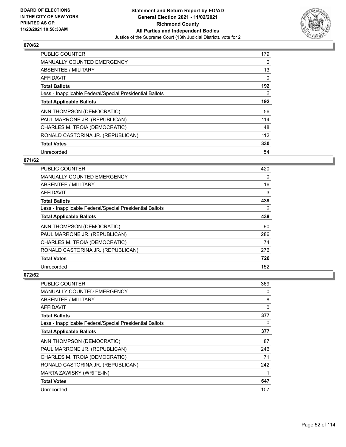

| <b>PUBLIC COUNTER</b>                                    | 179 |
|----------------------------------------------------------|-----|
| <b>MANUALLY COUNTED EMERGENCY</b>                        | 0   |
| ABSENTEE / MILITARY                                      | 13  |
| <b>AFFIDAVIT</b>                                         | 0   |
| <b>Total Ballots</b>                                     | 192 |
| Less - Inapplicable Federal/Special Presidential Ballots | 0   |
| <b>Total Applicable Ballots</b>                          | 192 |
| ANN THOMPSON (DEMOCRATIC)                                | 56  |
| PAUL MARRONE JR. (REPUBLICAN)                            | 114 |
| CHARLES M. TROIA (DEMOCRATIC)                            | 48  |
| RONALD CASTORINA JR. (REPUBLICAN)                        | 112 |
| <b>Total Votes</b>                                       | 330 |
| Unrecorded                                               | 54  |

# **071/62**

| <b>PUBLIC COUNTER</b>                                    | 420 |
|----------------------------------------------------------|-----|
| <b>MANUALLY COUNTED EMERGENCY</b>                        | 0   |
| ABSENTEE / MILITARY                                      | 16  |
| AFFIDAVIT                                                | 3   |
| <b>Total Ballots</b>                                     | 439 |
| Less - Inapplicable Federal/Special Presidential Ballots | 0   |
| <b>Total Applicable Ballots</b>                          | 439 |
| ANN THOMPSON (DEMOCRATIC)                                | 90  |
| PAUL MARRONE JR. (REPUBLICAN)                            | 286 |
| CHARLES M. TROIA (DEMOCRATIC)                            | 74  |
| RONALD CASTORINA JR. (REPUBLICAN)                        | 276 |
| <b>Total Votes</b>                                       | 726 |
| Unrecorded                                               | 152 |

| <b>PUBLIC COUNTER</b>                                    | 369          |
|----------------------------------------------------------|--------------|
| <b>MANUALLY COUNTED EMERGENCY</b>                        | 0            |
| ABSENTEE / MILITARY                                      | 8            |
| AFFIDAVIT                                                | $\mathbf{0}$ |
| <b>Total Ballots</b>                                     | 377          |
| Less - Inapplicable Federal/Special Presidential Ballots | 0            |
| <b>Total Applicable Ballots</b>                          | 377          |
| ANN THOMPSON (DEMOCRATIC)                                | 87           |
| PAUL MARRONE JR. (REPUBLICAN)                            | 246          |
| CHARLES M. TROIA (DEMOCRATIC)                            | 71           |
| RONALD CASTORINA JR. (REPUBLICAN)                        | 242          |
| MARTA ZAWISKY (WRITE-IN)                                 | 1            |
| <b>Total Votes</b>                                       | 647          |
| Unrecorded                                               | 107          |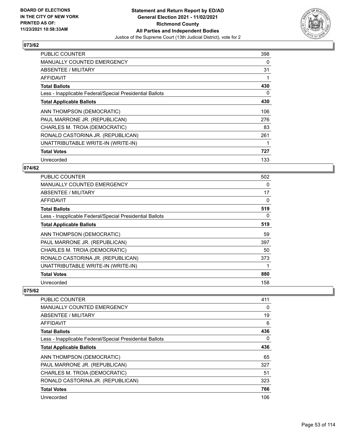

| <b>PUBLIC COUNTER</b>                                    | 398 |
|----------------------------------------------------------|-----|
| <b>MANUALLY COUNTED EMERGENCY</b>                        | 0   |
| <b>ABSENTEE / MILITARY</b>                               | 31  |
| AFFIDAVIT                                                |     |
| <b>Total Ballots</b>                                     | 430 |
| Less - Inapplicable Federal/Special Presidential Ballots | 0   |
| <b>Total Applicable Ballots</b>                          | 430 |
| ANN THOMPSON (DEMOCRATIC)                                | 106 |
| PAUL MARRONE JR. (REPUBLICAN)                            | 276 |
| CHARLES M. TROIA (DEMOCRATIC)                            | 83  |
| RONALD CASTORINA JR. (REPUBLICAN)                        | 261 |
| UNATTRIBUTABLE WRITE-IN (WRITE-IN)                       |     |
| <b>Total Votes</b>                                       | 727 |
| Unrecorded                                               | 133 |

# **074/62**

| PUBLIC COUNTER                                           | 502 |
|----------------------------------------------------------|-----|
| <b>MANUALLY COUNTED EMERGENCY</b>                        | 0   |
| ABSENTEE / MILITARY                                      | 17  |
| AFFIDAVIT                                                | 0   |
| <b>Total Ballots</b>                                     | 519 |
| Less - Inapplicable Federal/Special Presidential Ballots | 0   |
| <b>Total Applicable Ballots</b>                          | 519 |
| ANN THOMPSON (DEMOCRATIC)                                | 59  |
| PAUL MARRONE JR. (REPUBLICAN)                            | 397 |
| CHARLES M. TROIA (DEMOCRATIC)                            | 50  |
| RONALD CASTORINA JR. (REPUBLICAN)                        | 373 |
| UNATTRIBUTABLE WRITE-IN (WRITE-IN)                       |     |
| <b>Total Votes</b>                                       | 880 |
| Unrecorded                                               | 158 |

| PUBLIC COUNTER                                           | 411      |
|----------------------------------------------------------|----------|
| <b>MANUALLY COUNTED EMERGENCY</b>                        | 0        |
| ABSENTEE / MILITARY                                      | 19       |
| AFFIDAVIT                                                | 6        |
| <b>Total Ballots</b>                                     | 436      |
| Less - Inapplicable Federal/Special Presidential Ballots | $\Omega$ |
| <b>Total Applicable Ballots</b>                          | 436      |
| ANN THOMPSON (DEMOCRATIC)                                | 65       |
| PAUL MARRONE JR. (REPUBLICAN)                            | 327      |
| CHARLES M. TROIA (DEMOCRATIC)                            | 51       |
| RONALD CASTORINA JR. (REPUBLICAN)                        | 323      |
| <b>Total Votes</b>                                       | 766      |
| Unrecorded                                               | 106      |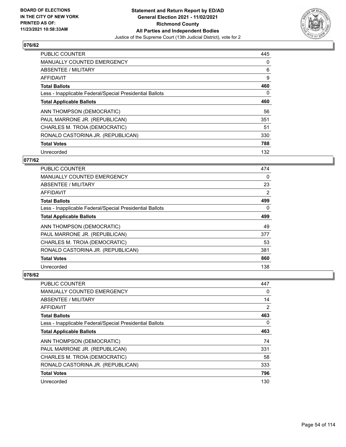

| <b>PUBLIC COUNTER</b>                                    | 445 |
|----------------------------------------------------------|-----|
| <b>MANUALLY COUNTED EMERGENCY</b>                        | 0   |
| ABSENTEE / MILITARY                                      | 6   |
| AFFIDAVIT                                                | 9   |
| <b>Total Ballots</b>                                     | 460 |
| Less - Inapplicable Federal/Special Presidential Ballots | 0   |
| <b>Total Applicable Ballots</b>                          | 460 |
| ANN THOMPSON (DEMOCRATIC)                                | 56  |
| PAUL MARRONE JR. (REPUBLICAN)                            | 351 |
| CHARLES M. TROIA (DEMOCRATIC)                            | 51  |
| RONALD CASTORINA JR. (REPUBLICAN)                        | 330 |
| <b>Total Votes</b>                                       | 788 |
| Unrecorded                                               | 132 |

### **077/62**

| <b>PUBLIC COUNTER</b>                                    | 474      |
|----------------------------------------------------------|----------|
| <b>MANUALLY COUNTED EMERGENCY</b>                        | $\Omega$ |
| ABSENTEE / MILITARY                                      | 23       |
| <b>AFFIDAVIT</b>                                         | 2        |
| <b>Total Ballots</b>                                     | 499      |
| Less - Inapplicable Federal/Special Presidential Ballots | 0        |
| <b>Total Applicable Ballots</b>                          | 499      |
| ANN THOMPSON (DEMOCRATIC)                                | 49       |
| PAUL MARRONE JR. (REPUBLICAN)                            | 377      |
| CHARLES M. TROIA (DEMOCRATIC)                            | 53       |
| RONALD CASTORINA JR. (REPUBLICAN)                        | 381      |
| <b>Total Votes</b>                                       | 860      |
| Unrecorded                                               | 138      |

| PUBLIC COUNTER                                           | 447 |
|----------------------------------------------------------|-----|
| <b>MANUALLY COUNTED EMERGENCY</b>                        | 0   |
| ABSENTEE / MILITARY                                      | 14  |
| AFFIDAVIT                                                | 2   |
| <b>Total Ballots</b>                                     | 463 |
| Less - Inapplicable Federal/Special Presidential Ballots | 0   |
| <b>Total Applicable Ballots</b>                          | 463 |
| ANN THOMPSON (DEMOCRATIC)                                | 74  |
| PAUL MARRONE JR. (REPUBLICAN)                            | 331 |
| CHARLES M. TROIA (DEMOCRATIC)                            | 58  |
| RONALD CASTORINA JR. (REPUBLICAN)                        | 333 |
| <b>Total Votes</b>                                       | 796 |
| Unrecorded                                               | 130 |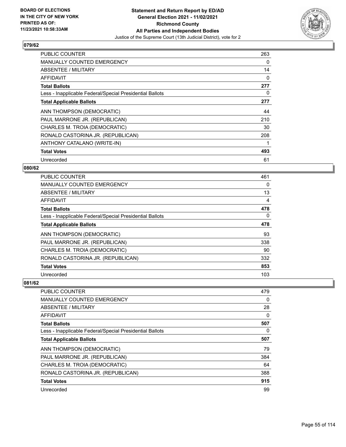

| <b>PUBLIC COUNTER</b>                                    | 263 |
|----------------------------------------------------------|-----|
| <b>MANUALLY COUNTED EMERGENCY</b>                        | 0   |
| <b>ABSENTEE / MILITARY</b>                               | 14  |
| <b>AFFIDAVIT</b>                                         | 0   |
| <b>Total Ballots</b>                                     | 277 |
| Less - Inapplicable Federal/Special Presidential Ballots | 0   |
| <b>Total Applicable Ballots</b>                          | 277 |
| ANN THOMPSON (DEMOCRATIC)                                | 44  |
| PAUL MARRONE JR. (REPUBLICAN)                            | 210 |
| CHARLES M. TROIA (DEMOCRATIC)                            | 30  |
| RONALD CASTORINA JR. (REPUBLICAN)                        | 208 |
| ANTHONY CATALANO (WRITE-IN)                              |     |
| <b>Total Votes</b>                                       | 493 |
| Unrecorded                                               | 61  |

# **080/62**

| PUBLIC COUNTER                                           | 461      |
|----------------------------------------------------------|----------|
| <b>MANUALLY COUNTED EMERGENCY</b>                        | 0        |
| ABSENTEE / MILITARY                                      | 13       |
| AFFIDAVIT                                                | 4        |
| <b>Total Ballots</b>                                     | 478      |
| Less - Inapplicable Federal/Special Presidential Ballots | $\Omega$ |
| <b>Total Applicable Ballots</b>                          | 478      |
| ANN THOMPSON (DEMOCRATIC)                                | 93       |
| PAUL MARRONE JR. (REPUBLICAN)                            | 338      |
| CHARLES M. TROIA (DEMOCRATIC)                            | 90       |
| RONALD CASTORINA JR. (REPUBLICAN)                        | 332      |
| <b>Total Votes</b>                                       | 853      |
| Unrecorded                                               | 103      |

| <b>PUBLIC COUNTER</b>                                    | 479      |
|----------------------------------------------------------|----------|
| MANUALLY COUNTED EMERGENCY                               | 0        |
| ABSENTEE / MILITARY                                      | 28       |
| AFFIDAVIT                                                | $\Omega$ |
| <b>Total Ballots</b>                                     | 507      |
| Less - Inapplicable Federal/Special Presidential Ballots | 0        |
| <b>Total Applicable Ballots</b>                          | 507      |
| ANN THOMPSON (DEMOCRATIC)                                | 79       |
| PAUL MARRONE JR. (REPUBLICAN)                            | 384      |
| CHARLES M. TROIA (DEMOCRATIC)                            | 64       |
| RONALD CASTORINA JR. (REPUBLICAN)                        | 388      |
| <b>Total Votes</b>                                       | 915      |
| Unrecorded                                               | 99       |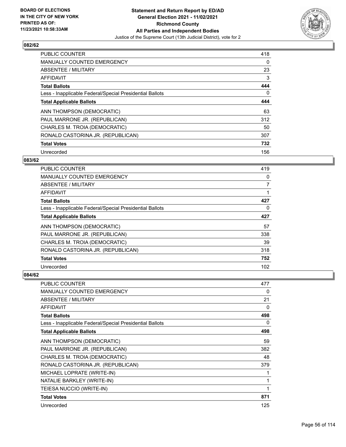

| <b>PUBLIC COUNTER</b>                                    | 418      |
|----------------------------------------------------------|----------|
| MANUALLY COUNTED EMERGENCY                               | 0        |
| ABSENTEE / MILITARY                                      | 23       |
| AFFIDAVIT                                                | 3        |
| <b>Total Ballots</b>                                     | 444      |
| Less - Inapplicable Federal/Special Presidential Ballots | $\Omega$ |
| <b>Total Applicable Ballots</b>                          | 444      |
| ANN THOMPSON (DEMOCRATIC)                                | 63       |
| PAUL MARRONE JR. (REPUBLICAN)                            | 312      |
| CHARLES M. TROIA (DEMOCRATIC)                            | 50       |
| RONALD CASTORINA JR. (REPUBLICAN)                        | 307      |
| <b>Total Votes</b>                                       | 732      |
| Unrecorded                                               | 156      |

### **083/62**

| PUBLIC COUNTER                                           | 419 |
|----------------------------------------------------------|-----|
| MANUALLY COUNTED EMERGENCY                               | 0   |
| ABSENTEE / MILITARY                                      | 7   |
| AFFIDAVIT                                                |     |
| <b>Total Ballots</b>                                     | 427 |
| Less - Inapplicable Federal/Special Presidential Ballots | 0   |
| <b>Total Applicable Ballots</b>                          | 427 |
| ANN THOMPSON (DEMOCRATIC)                                | 57  |
| PAUL MARRONE JR. (REPUBLICAN)                            | 338 |
| CHARLES M. TROIA (DEMOCRATIC)                            | 39  |
| RONALD CASTORINA JR. (REPUBLICAN)                        | 318 |
| <b>Total Votes</b>                                       | 752 |
| Unrecorded                                               | 102 |

| <b>PUBLIC COUNTER</b>                                    | 477          |
|----------------------------------------------------------|--------------|
| <b>MANUALLY COUNTED EMERGENCY</b>                        | 0            |
| ABSENTEE / MILITARY                                      | 21           |
| <b>AFFIDAVIT</b>                                         | $\mathbf{0}$ |
| <b>Total Ballots</b>                                     | 498          |
| Less - Inapplicable Federal/Special Presidential Ballots | 0            |
| <b>Total Applicable Ballots</b>                          | 498          |
| ANN THOMPSON (DEMOCRATIC)                                | 59           |
| PAUL MARRONE JR. (REPUBLICAN)                            | 382          |
| CHARLES M. TROIA (DEMOCRATIC)                            | 48           |
| RONALD CASTORINA JR. (REPUBLICAN)                        | 379          |
| MICHAEL LOPRATE (WRITE-IN)                               | 1            |
| NATALIE BARKLEY (WRITE-IN)                               | 1            |
| TEIESA NUCCIO (WRITE-IN)                                 | 1            |
| <b>Total Votes</b>                                       | 871          |
| Unrecorded                                               | 125          |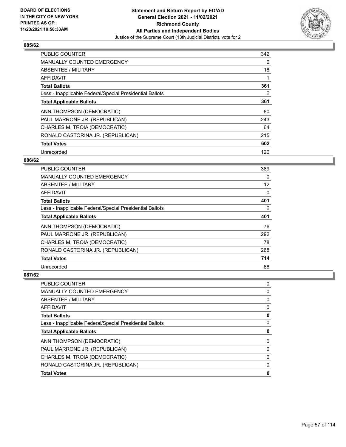

| <b>PUBLIC COUNTER</b>                                    | 342 |
|----------------------------------------------------------|-----|
| <b>MANUALLY COUNTED EMERGENCY</b>                        | 0   |
| ABSENTEE / MILITARY                                      | 18  |
| <b>AFFIDAVIT</b>                                         |     |
| <b>Total Ballots</b>                                     | 361 |
| Less - Inapplicable Federal/Special Presidential Ballots | 0   |
| <b>Total Applicable Ballots</b>                          | 361 |
| ANN THOMPSON (DEMOCRATIC)                                | 80  |
| PAUL MARRONE JR. (REPUBLICAN)                            | 243 |
| CHARLES M. TROIA (DEMOCRATIC)                            | 64  |
| RONALD CASTORINA JR. (REPUBLICAN)                        | 215 |
| <b>Total Votes</b>                                       | 602 |
| Unrecorded                                               | 120 |

### **086/62**

| PUBLIC COUNTER                                           | 389      |
|----------------------------------------------------------|----------|
| MANUALLY COUNTED EMERGENCY                               | $\Omega$ |
| ABSENTEE / MILITARY                                      | 12       |
| AFFIDAVIT                                                | 0        |
| <b>Total Ballots</b>                                     | 401      |
| Less - Inapplicable Federal/Special Presidential Ballots | 0        |
| <b>Total Applicable Ballots</b>                          | 401      |
| ANN THOMPSON (DEMOCRATIC)                                | 76       |
| PAUL MARRONE JR. (REPUBLICAN)                            | 292      |
| CHARLES M. TROIA (DEMOCRATIC)                            | 78       |
| RONALD CASTORINA JR. (REPUBLICAN)                        | 268      |
| <b>Total Votes</b>                                       | 714      |
| Unrecorded                                               | 88       |

| <b>PUBLIC COUNTER</b>                                    | 0 |
|----------------------------------------------------------|---|
| <b>MANUALLY COUNTED EMERGENCY</b>                        | 0 |
| ABSENTEE / MILITARY                                      | 0 |
| AFFIDAVIT                                                | 0 |
| <b>Total Ballots</b>                                     | 0 |
| Less - Inapplicable Federal/Special Presidential Ballots | 0 |
|                                                          |   |
| <b>Total Applicable Ballots</b>                          | 0 |
| ANN THOMPSON (DEMOCRATIC)                                | 0 |
| PAUL MARRONE JR. (REPUBLICAN)                            | 0 |
| CHARLES M. TROIA (DEMOCRATIC)                            | 0 |
| RONALD CASTORINA JR. (REPUBLICAN)                        | 0 |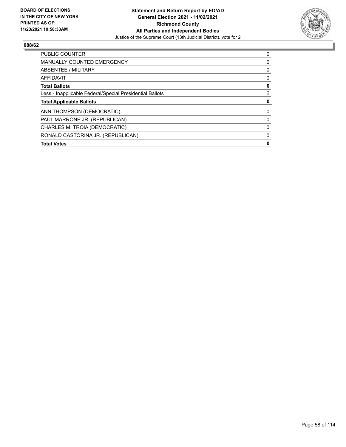

| <b>PUBLIC COUNTER</b>                                    | 0 |
|----------------------------------------------------------|---|
| <b>MANUALLY COUNTED EMERGENCY</b>                        | 0 |
| ABSENTEE / MILITARY                                      | 0 |
| AFFIDAVIT                                                | 0 |
| <b>Total Ballots</b>                                     | 0 |
| Less - Inapplicable Federal/Special Presidential Ballots | 0 |
| <b>Total Applicable Ballots</b>                          | 0 |
| ANN THOMPSON (DEMOCRATIC)                                | 0 |
| PAUL MARRONE JR. (REPUBLICAN)                            | 0 |
| CHARLES M. TROIA (DEMOCRATIC)                            | 0 |
| RONALD CASTORINA JR. (REPUBLICAN)                        | 0 |
| <b>Total Votes</b>                                       | 0 |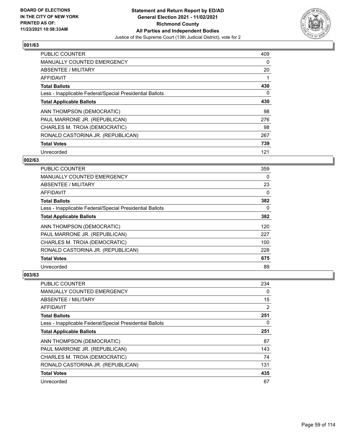

| <b>PUBLIC COUNTER</b>                                    | 409      |
|----------------------------------------------------------|----------|
| <b>MANUALLY COUNTED EMERGENCY</b>                        | $\Omega$ |
| ABSENTEE / MILITARY                                      | 20       |
| <b>AFFIDAVIT</b>                                         |          |
| <b>Total Ballots</b>                                     | 430      |
| Less - Inapplicable Federal/Special Presidential Ballots | $\Omega$ |
| <b>Total Applicable Ballots</b>                          | 430      |
| ANN THOMPSON (DEMOCRATIC)                                | 98       |
| PAUL MARRONE JR. (REPUBLICAN)                            | 276      |
| CHARLES M. TROIA (DEMOCRATIC)                            | 98       |
| RONALD CASTORINA JR. (REPUBLICAN)                        | 267      |
| <b>Total Votes</b>                                       | 739      |
| Unrecorded                                               | 121      |

### **002/63**

| <b>PUBLIC COUNTER</b>                                    | 359 |
|----------------------------------------------------------|-----|
| <b>MANUALLY COUNTED EMERGENCY</b>                        | 0   |
| <b>ABSENTEE / MILITARY</b>                               | 23  |
| AFFIDAVIT                                                | 0   |
| <b>Total Ballots</b>                                     | 382 |
| Less - Inapplicable Federal/Special Presidential Ballots | 0   |
| <b>Total Applicable Ballots</b>                          | 382 |
| ANN THOMPSON (DEMOCRATIC)                                | 120 |
| PAUL MARRONE JR. (REPUBLICAN)                            | 227 |
| CHARLES M. TROIA (DEMOCRATIC)                            | 100 |
| RONALD CASTORINA JR. (REPUBLICAN)                        | 228 |
| <b>Total Votes</b>                                       | 675 |
| Unrecorded                                               | 89  |

| PUBLIC COUNTER                                           | 234 |
|----------------------------------------------------------|-----|
| MANUALLY COUNTED EMERGENCY                               | 0   |
| ABSENTEE / MILITARY                                      | 15  |
| AFFIDAVIT                                                | 2   |
| <b>Total Ballots</b>                                     | 251 |
| Less - Inapplicable Federal/Special Presidential Ballots | 0   |
| <b>Total Applicable Ballots</b>                          | 251 |
| ANN THOMPSON (DEMOCRATIC)                                | 87  |
| PAUL MARRONE JR. (REPUBLICAN)                            | 143 |
| CHARLES M. TROIA (DEMOCRATIC)                            | 74  |
| RONALD CASTORINA JR. (REPUBLICAN)                        | 131 |
| <b>Total Votes</b>                                       | 435 |
| Unrecorded                                               | 67  |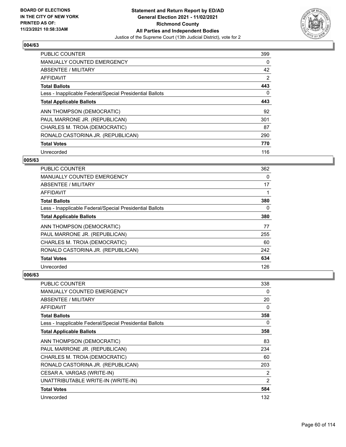

| PUBLIC COUNTER                                           | 399 |
|----------------------------------------------------------|-----|
| <b>MANUALLY COUNTED EMERGENCY</b>                        | 0   |
| ABSENTEE / MILITARY                                      | 42  |
| <b>AFFIDAVIT</b>                                         | 2   |
| <b>Total Ballots</b>                                     | 443 |
| Less - Inapplicable Federal/Special Presidential Ballots | 0   |
| <b>Total Applicable Ballots</b>                          | 443 |
| ANN THOMPSON (DEMOCRATIC)                                | 92  |
| PAUL MARRONE JR. (REPUBLICAN)                            | 301 |
| CHARLES M. TROIA (DEMOCRATIC)                            | 87  |
| RONALD CASTORINA JR. (REPUBLICAN)                        | 290 |
| <b>Total Votes</b>                                       | 770 |
| Unrecorded                                               | 116 |

### **005/63**

| PUBLIC COUNTER                                           | 362      |
|----------------------------------------------------------|----------|
| <b>MANUALLY COUNTED EMERGENCY</b>                        | $\Omega$ |
| ABSENTEE / MILITARY                                      | 17       |
| AFFIDAVIT                                                |          |
| <b>Total Ballots</b>                                     | 380      |
| Less - Inapplicable Federal/Special Presidential Ballots | 0        |
| <b>Total Applicable Ballots</b>                          | 380      |
| ANN THOMPSON (DEMOCRATIC)                                | 77       |
| PAUL MARRONE JR. (REPUBLICAN)                            | 255      |
| CHARLES M. TROIA (DEMOCRATIC)                            | 60       |
| RONALD CASTORINA JR. (REPUBLICAN)                        | 242      |
| <b>Total Votes</b>                                       | 634      |
| Unrecorded                                               | 126      |

| <b>PUBLIC COUNTER</b>                                    | 338 |
|----------------------------------------------------------|-----|
| <b>MANUALLY COUNTED EMERGENCY</b>                        | 0   |
| ABSENTEE / MILITARY                                      | 20  |
| AFFIDAVIT                                                | 0   |
| <b>Total Ballots</b>                                     | 358 |
| Less - Inapplicable Federal/Special Presidential Ballots | 0   |
| <b>Total Applicable Ballots</b>                          | 358 |
| ANN THOMPSON (DEMOCRATIC)                                | 83  |
| PAUL MARRONE JR. (REPUBLICAN)                            | 234 |
| CHARLES M. TROIA (DEMOCRATIC)                            | 60  |
| RONALD CASTORINA JR. (REPUBLICAN)                        | 203 |
| CESAR A. VARGAS (WRITE-IN)                               | 2   |
| UNATTRIBUTABLE WRITE-IN (WRITE-IN)                       | 2   |
| <b>Total Votes</b>                                       | 584 |
| Unrecorded                                               | 132 |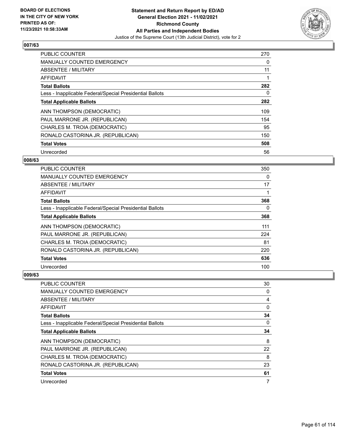

| <b>PUBLIC COUNTER</b>                                    | 270 |
|----------------------------------------------------------|-----|
| <b>MANUALLY COUNTED EMERGENCY</b>                        | 0   |
| ABSENTEE / MILITARY                                      | 11  |
| <b>AFFIDAVIT</b>                                         |     |
| <b>Total Ballots</b>                                     | 282 |
| Less - Inapplicable Federal/Special Presidential Ballots | 0   |
| <b>Total Applicable Ballots</b>                          | 282 |
| ANN THOMPSON (DEMOCRATIC)                                | 109 |
| PAUL MARRONE JR. (REPUBLICAN)                            | 154 |
| CHARLES M. TROIA (DEMOCRATIC)                            | 95  |
| RONALD CASTORINA JR. (REPUBLICAN)                        | 150 |
| <b>Total Votes</b>                                       | 508 |
| Unrecorded                                               | 56  |

# **008/63**

| <b>PUBLIC COUNTER</b>                                    | 350 |
|----------------------------------------------------------|-----|
| MANUALLY COUNTED EMERGENCY                               | 0   |
| ABSENTEE / MILITARY                                      | 17  |
| AFFIDAVIT                                                |     |
| <b>Total Ballots</b>                                     | 368 |
| Less - Inapplicable Federal/Special Presidential Ballots | 0   |
| <b>Total Applicable Ballots</b>                          | 368 |
| ANN THOMPSON (DEMOCRATIC)                                | 111 |
| PAUL MARRONE JR. (REPUBLICAN)                            | 224 |
| CHARLES M. TROIA (DEMOCRATIC)                            | 81  |
| RONALD CASTORINA JR. (REPUBLICAN)                        | 220 |
| <b>Total Votes</b>                                       | 636 |
| Unrecorded                                               | 100 |

| PUBLIC COUNTER                                           | 30       |
|----------------------------------------------------------|----------|
| MANUALLY COUNTED EMERGENCY                               | 0        |
| ABSENTEE / MILITARY                                      | 4        |
| AFFIDAVIT                                                | 0        |
| <b>Total Ballots</b>                                     | 34       |
| Less - Inapplicable Federal/Special Presidential Ballots | $\Omega$ |
| <b>Total Applicable Ballots</b>                          | 34       |
| ANN THOMPSON (DEMOCRATIC)                                | 8        |
| PAUL MARRONE JR. (REPUBLICAN)                            | 22       |
| CHARLES M. TROIA (DEMOCRATIC)                            | 8        |
| RONALD CASTORINA JR. (REPUBLICAN)                        | 23       |
| <b>Total Votes</b>                                       | 61       |
| Unrecorded                                               | 7        |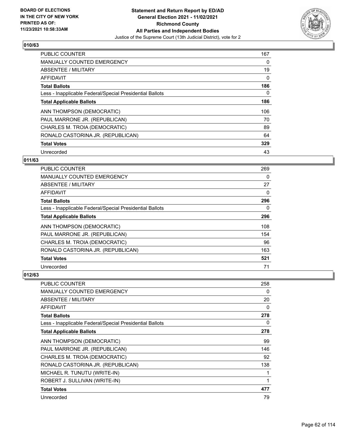

| <b>PUBLIC COUNTER</b>                                    | 167 |
|----------------------------------------------------------|-----|
| <b>MANUALLY COUNTED EMERGENCY</b>                        | 0   |
| ABSENTEE / MILITARY                                      | 19  |
| <b>AFFIDAVIT</b>                                         | 0   |
| <b>Total Ballots</b>                                     | 186 |
| Less - Inapplicable Federal/Special Presidential Ballots | 0   |
| <b>Total Applicable Ballots</b>                          | 186 |
| ANN THOMPSON (DEMOCRATIC)                                | 106 |
| PAUL MARRONE JR. (REPUBLICAN)                            | 70  |
| CHARLES M. TROIA (DEMOCRATIC)                            | 89  |
| RONALD CASTORINA JR. (REPUBLICAN)                        | 64  |
| <b>Total Votes</b>                                       | 329 |
| Unrecorded                                               | 43  |

### **011/63**

| PUBLIC COUNTER                                           | 269      |
|----------------------------------------------------------|----------|
| <b>MANUALLY COUNTED EMERGENCY</b>                        | 0        |
| ABSENTEE / MILITARY                                      | 27       |
| AFFIDAVIT                                                | $\Omega$ |
| <b>Total Ballots</b>                                     | 296      |
| Less - Inapplicable Federal/Special Presidential Ballots | $\Omega$ |
| <b>Total Applicable Ballots</b>                          | 296      |
| ANN THOMPSON (DEMOCRATIC)                                | 108      |
| PAUL MARRONE JR. (REPUBLICAN)                            | 154      |
| CHARLES M. TROIA (DEMOCRATIC)                            | 96       |
| RONALD CASTORINA JR. (REPUBLICAN)                        | 163      |
| <b>Total Votes</b>                                       | 521      |
| Unrecorded                                               | 71       |

| <b>PUBLIC COUNTER</b>                                    | 258 |
|----------------------------------------------------------|-----|
| <b>MANUALLY COUNTED EMERGENCY</b>                        | 0   |
| ABSENTEE / MILITARY                                      | 20  |
| AFFIDAVIT                                                | 0   |
| <b>Total Ballots</b>                                     | 278 |
| Less - Inapplicable Federal/Special Presidential Ballots | 0   |
| <b>Total Applicable Ballots</b>                          | 278 |
| ANN THOMPSON (DEMOCRATIC)                                | 99  |
| PAUL MARRONE JR. (REPUBLICAN)                            | 146 |
| CHARLES M. TROIA (DEMOCRATIC)                            | 92  |
| RONALD CASTORINA JR. (REPUBLICAN)                        | 138 |
| MICHAEL R. TUNUTU (WRITE-IN)                             | 1   |
| ROBERT J. SULLIVAN (WRITE-IN)                            | 1   |
| <b>Total Votes</b>                                       | 477 |
| Unrecorded                                               | 79  |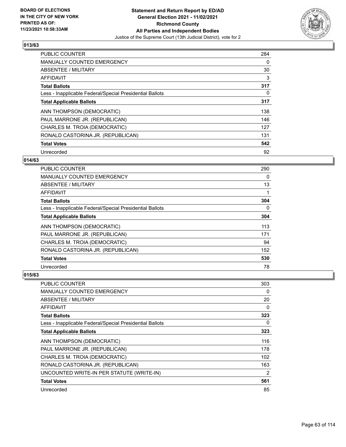

| <b>PUBLIC COUNTER</b>                                    | 284      |
|----------------------------------------------------------|----------|
| <b>MANUALLY COUNTED EMERGENCY</b>                        | $\Omega$ |
| ABSENTEE / MILITARY                                      | 30       |
| AFFIDAVIT                                                | 3        |
| <b>Total Ballots</b>                                     | 317      |
| Less - Inapplicable Federal/Special Presidential Ballots | $\Omega$ |
| <b>Total Applicable Ballots</b>                          | 317      |
| ANN THOMPSON (DEMOCRATIC)                                | 138      |
| PAUL MARRONE JR. (REPUBLICAN)                            | 146      |
| CHARLES M. TROIA (DEMOCRATIC)                            | 127      |
| RONALD CASTORINA JR. (REPUBLICAN)                        | 131      |
| <b>Total Votes</b>                                       | 542      |
| Unrecorded                                               | 92       |

### **014/63**

| <b>PUBLIC COUNTER</b>                                    | 290      |
|----------------------------------------------------------|----------|
| MANUALLY COUNTED EMERGENCY                               | $\Omega$ |
| ABSENTEE / MILITARY                                      | 13       |
| AFFIDAVIT                                                |          |
| <b>Total Ballots</b>                                     | 304      |
| Less - Inapplicable Federal/Special Presidential Ballots | $\Omega$ |
| <b>Total Applicable Ballots</b>                          | 304      |
| ANN THOMPSON (DEMOCRATIC)                                | 113      |
| PAUL MARRONE JR. (REPUBLICAN)                            | 171      |
| CHARLES M. TROIA (DEMOCRATIC)                            | 94       |
| RONALD CASTORINA JR. (REPUBLICAN)                        | 152      |
| <b>Total Votes</b>                                       | 530      |
| Unrecorded                                               | 78       |

| PUBLIC COUNTER                                           | 303 |
|----------------------------------------------------------|-----|
| MANUALLY COUNTED EMERGENCY                               | 0   |
| ABSENTEE / MILITARY                                      | 20  |
| AFFIDAVIT                                                | 0   |
| <b>Total Ballots</b>                                     | 323 |
| Less - Inapplicable Federal/Special Presidential Ballots | 0   |
| <b>Total Applicable Ballots</b>                          | 323 |
| ANN THOMPSON (DEMOCRATIC)                                | 116 |
| PAUL MARRONE JR. (REPUBLICAN)                            | 178 |
| CHARLES M. TROIA (DEMOCRATIC)                            | 102 |
| RONALD CASTORINA JR. (REPUBLICAN)                        | 163 |
| UNCOUNTED WRITE-IN PER STATUTE (WRITE-IN)                | 2   |
| <b>Total Votes</b>                                       | 561 |
| Unrecorded                                               | 85  |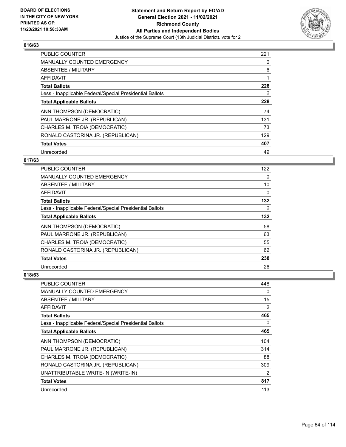

| <b>PUBLIC COUNTER</b>                                    | 221 |
|----------------------------------------------------------|-----|
| <b>MANUALLY COUNTED EMERGENCY</b>                        | 0   |
| ABSENTEE / MILITARY                                      | 6   |
| <b>AFFIDAVIT</b>                                         |     |
| <b>Total Ballots</b>                                     | 228 |
| Less - Inapplicable Federal/Special Presidential Ballots | 0   |
| <b>Total Applicable Ballots</b>                          | 228 |
| ANN THOMPSON (DEMOCRATIC)                                | 74  |
| PAUL MARRONE JR. (REPUBLICAN)                            | 131 |
| CHARLES M. TROIA (DEMOCRATIC)                            | 73  |
| RONALD CASTORINA JR. (REPUBLICAN)                        | 129 |
| <b>Total Votes</b>                                       | 407 |
| Unrecorded                                               | 49  |

### **017/63**

| <b>PUBLIC COUNTER</b>                                    | 122 |
|----------------------------------------------------------|-----|
| MANUALLY COUNTED EMERGENCY                               | 0   |
| ABSENTEE / MILITARY                                      | 10  |
| AFFIDAVIT                                                | 0   |
| <b>Total Ballots</b>                                     | 132 |
| Less - Inapplicable Federal/Special Presidential Ballots | 0   |
| <b>Total Applicable Ballots</b>                          | 132 |
| ANN THOMPSON (DEMOCRATIC)                                | 58  |
| PAUL MARRONE JR. (REPUBLICAN)                            | 63  |
| CHARLES M. TROIA (DEMOCRATIC)                            | 55  |
| RONALD CASTORINA JR. (REPUBLICAN)                        | 62  |
| <b>Total Votes</b>                                       | 238 |
| Unrecorded                                               | 26  |

| <b>PUBLIC COUNTER</b>                                    | 448 |
|----------------------------------------------------------|-----|
| <b>MANUALLY COUNTED EMERGENCY</b>                        | 0   |
| <b>ABSENTEE / MILITARY</b>                               | 15  |
| AFFIDAVIT                                                | 2   |
| <b>Total Ballots</b>                                     | 465 |
| Less - Inapplicable Federal/Special Presidential Ballots | 0   |
| <b>Total Applicable Ballots</b>                          | 465 |
| ANN THOMPSON (DEMOCRATIC)                                | 104 |
| PAUL MARRONE JR. (REPUBLICAN)                            | 314 |
| CHARLES M. TROIA (DEMOCRATIC)                            | 88  |
| RONALD CASTORINA JR. (REPUBLICAN)                        | 309 |
| UNATTRIBUTABLE WRITE-IN (WRITE-IN)                       | 2   |
| <b>Total Votes</b>                                       | 817 |
| Unrecorded                                               | 113 |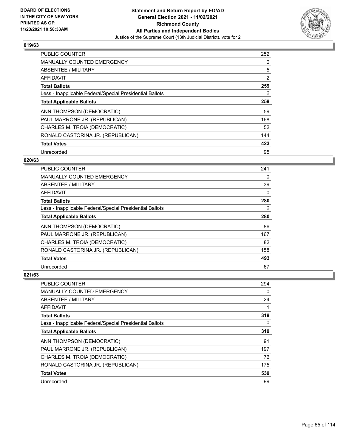

| <b>PUBLIC COUNTER</b>                                    | 252      |
|----------------------------------------------------------|----------|
| <b>MANUALLY COUNTED EMERGENCY</b>                        | 0        |
| ABSENTEE / MILITARY                                      | 5        |
| <b>AFFIDAVIT</b>                                         | 2        |
| <b>Total Ballots</b>                                     | 259      |
| Less - Inapplicable Federal/Special Presidential Ballots | $\Omega$ |
| <b>Total Applicable Ballots</b>                          | 259      |
| ANN THOMPSON (DEMOCRATIC)                                | 59       |
| PAUL MARRONE JR. (REPUBLICAN)                            | 168      |
| CHARLES M. TROIA (DEMOCRATIC)                            | 52       |
| RONALD CASTORINA JR. (REPUBLICAN)                        | 144      |
| <b>Total Votes</b>                                       | 423      |
| Unrecorded                                               | 95       |

### **020/63**

| PUBLIC COUNTER                                           | 241 |
|----------------------------------------------------------|-----|
| <b>MANUALLY COUNTED EMERGENCY</b>                        | 0   |
| ABSENTEE / MILITARY                                      | 39  |
| AFFIDAVIT                                                | 0   |
| <b>Total Ballots</b>                                     | 280 |
| Less - Inapplicable Federal/Special Presidential Ballots | 0   |
| <b>Total Applicable Ballots</b>                          | 280 |
| ANN THOMPSON (DEMOCRATIC)                                | 86  |
| PAUL MARRONE JR. (REPUBLICAN)                            | 167 |
| CHARLES M. TROIA (DEMOCRATIC)                            | 82  |
| RONALD CASTORINA JR. (REPUBLICAN)                        | 158 |
| <b>Total Votes</b>                                       | 493 |
| Unrecorded                                               | 67  |

| PUBLIC COUNTER                                           | 294 |
|----------------------------------------------------------|-----|
| MANUALLY COUNTED EMERGENCY                               | 0   |
| ABSENTEE / MILITARY                                      | 24  |
| AFFIDAVIT                                                |     |
| <b>Total Ballots</b>                                     | 319 |
| Less - Inapplicable Federal/Special Presidential Ballots | 0   |
| <b>Total Applicable Ballots</b>                          | 319 |
| ANN THOMPSON (DEMOCRATIC)                                | 91  |
| PAUL MARRONE JR. (REPUBLICAN)                            | 197 |
| CHARLES M. TROIA (DEMOCRATIC)                            | 76  |
| RONALD CASTORINA JR. (REPUBLICAN)                        | 175 |
| <b>Total Votes</b>                                       | 539 |
| Unrecorded                                               | 99  |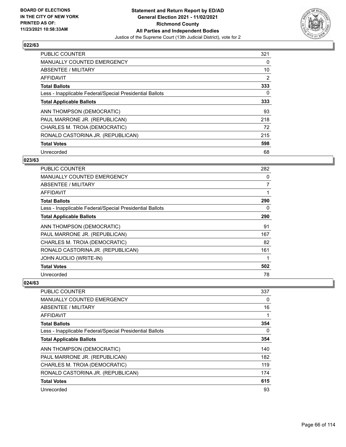

| <b>PUBLIC COUNTER</b>                                    | 321 |
|----------------------------------------------------------|-----|
| <b>MANUALLY COUNTED EMERGENCY</b>                        | 0   |
| ABSENTEE / MILITARY                                      | 10  |
| <b>AFFIDAVIT</b>                                         | 2   |
| <b>Total Ballots</b>                                     | 333 |
| Less - Inapplicable Federal/Special Presidential Ballots | 0   |
| <b>Total Applicable Ballots</b>                          | 333 |
| ANN THOMPSON (DEMOCRATIC)                                | 93  |
| PAUL MARRONE JR. (REPUBLICAN)                            | 218 |
| CHARLES M. TROIA (DEMOCRATIC)                            | 72  |
| RONALD CASTORINA JR. (REPUBLICAN)                        | 215 |
| <b>Total Votes</b>                                       | 598 |
| Unrecorded                                               | 68  |

### **023/63**

| PUBLIC COUNTER                                           | 282 |
|----------------------------------------------------------|-----|
| <b>MANUALLY COUNTED EMERGENCY</b>                        | 0   |
| ABSENTEE / MILITARY                                      | 7   |
| <b>AFFIDAVIT</b>                                         | 1   |
| <b>Total Ballots</b>                                     | 290 |
| Less - Inapplicable Federal/Special Presidential Ballots | 0   |
| <b>Total Applicable Ballots</b>                          | 290 |
| ANN THOMPSON (DEMOCRATIC)                                | 91  |
| PAUL MARRONE JR. (REPUBLICAN)                            | 167 |
| CHARLES M. TROIA (DEMOCRATIC)                            | 82  |
| RONALD CASTORINA JR. (REPUBLICAN)                        | 161 |
| JOHN AUOLIO (WRITE-IN)                                   | 1   |
| <b>Total Votes</b>                                       | 502 |
| Unrecorded                                               | 78  |

| PUBLIC COUNTER                                           | 337 |
|----------------------------------------------------------|-----|
| <b>MANUALLY COUNTED EMERGENCY</b>                        | 0   |
| ABSENTEE / MILITARY                                      | 16  |
| AFFIDAVIT                                                |     |
| <b>Total Ballots</b>                                     | 354 |
| Less - Inapplicable Federal/Special Presidential Ballots | 0   |
| <b>Total Applicable Ballots</b>                          | 354 |
| ANN THOMPSON (DEMOCRATIC)                                | 140 |
| PAUL MARRONE JR. (REPUBLICAN)                            | 182 |
| CHARLES M. TROIA (DEMOCRATIC)                            | 119 |
| RONALD CASTORINA JR. (REPUBLICAN)                        | 174 |
| <b>Total Votes</b>                                       | 615 |
| Unrecorded                                               | 93  |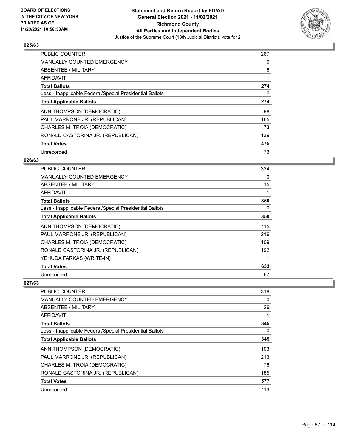

| <b>PUBLIC COUNTER</b>                                    | 267 |
|----------------------------------------------------------|-----|
| MANUALLY COUNTED EMERGENCY                               | 0   |
| ABSENTEE / MILITARY                                      | 6   |
| AFFIDAVIT                                                |     |
| <b>Total Ballots</b>                                     | 274 |
| Less - Inapplicable Federal/Special Presidential Ballots | 0   |
| <b>Total Applicable Ballots</b>                          | 274 |
| ANN THOMPSON (DEMOCRATIC)                                | 98  |
| PAUL MARRONE JR. (REPUBLICAN)                            | 165 |
| CHARLES M. TROIA (DEMOCRATIC)                            | 73  |
| RONALD CASTORINA JR. (REPUBLICAN)                        | 139 |
| <b>Total Votes</b>                                       | 475 |
| Unrecorded                                               | 73  |

### **026/63**

| PUBLIC COUNTER                                           | 334 |
|----------------------------------------------------------|-----|
| <b>MANUALLY COUNTED EMERGENCY</b>                        | 0   |
| ABSENTEE / MILITARY                                      | 15  |
| <b>AFFIDAVIT</b>                                         | 1   |
| <b>Total Ballots</b>                                     | 350 |
| Less - Inapplicable Federal/Special Presidential Ballots | 0   |
| <b>Total Applicable Ballots</b>                          | 350 |
| ANN THOMPSON (DEMOCRATIC)                                | 115 |
| PAUL MARRONE JR. (REPUBLICAN)                            | 216 |
| CHARLES M. TROIA (DEMOCRATIC)                            | 109 |
| RONALD CASTORINA JR. (REPUBLICAN)                        | 192 |
| YEHUDA FARKAS (WRITE-IN)                                 | 1   |
| <b>Total Votes</b>                                       | 633 |
| Unrecorded                                               | 67  |

| PUBLIC COUNTER                                           | 318 |
|----------------------------------------------------------|-----|
| <b>MANUALLY COUNTED EMERGENCY</b>                        | 0   |
| ABSENTEE / MILITARY                                      | 26  |
| AFFIDAVIT                                                |     |
| <b>Total Ballots</b>                                     | 345 |
| Less - Inapplicable Federal/Special Presidential Ballots | 0   |
| <b>Total Applicable Ballots</b>                          | 345 |
| ANN THOMPSON (DEMOCRATIC)                                | 103 |
| PAUL MARRONE JR. (REPUBLICAN)                            | 213 |
| CHARLES M. TROIA (DEMOCRATIC)                            | 76  |
| RONALD CASTORINA JR. (REPUBLICAN)                        | 185 |
| <b>Total Votes</b>                                       | 577 |
| Unrecorded                                               | 113 |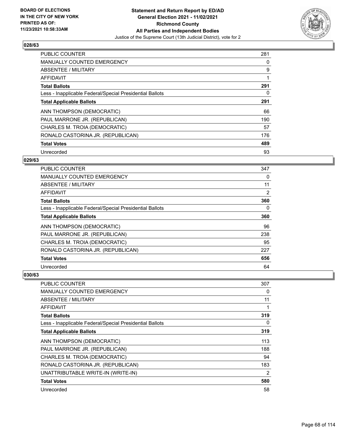

| <b>PUBLIC COUNTER</b>                                    | 281 |
|----------------------------------------------------------|-----|
| MANUALLY COUNTED EMERGENCY                               | 0   |
| ABSENTEE / MILITARY                                      | 9   |
| AFFIDAVIT                                                |     |
| <b>Total Ballots</b>                                     | 291 |
| Less - Inapplicable Federal/Special Presidential Ballots | 0   |
| <b>Total Applicable Ballots</b>                          | 291 |
| ANN THOMPSON (DEMOCRATIC)                                | 66  |
| PAUL MARRONE JR. (REPUBLICAN)                            | 190 |
| CHARLES M. TROIA (DEMOCRATIC)                            | 57  |
| RONALD CASTORINA JR. (REPUBLICAN)                        | 176 |
| <b>Total Votes</b>                                       | 489 |
| Unrecorded                                               | 93  |

### **029/63**

| <b>PUBLIC COUNTER</b>                                    | 347 |
|----------------------------------------------------------|-----|
| <b>MANUALLY COUNTED EMERGENCY</b>                        | 0   |
| ABSENTEE / MILITARY                                      | 11  |
| <b>AFFIDAVIT</b>                                         | 2   |
| <b>Total Ballots</b>                                     | 360 |
| Less - Inapplicable Federal/Special Presidential Ballots | 0   |
| <b>Total Applicable Ballots</b>                          | 360 |
| ANN THOMPSON (DEMOCRATIC)                                | 96  |
| PAUL MARRONE JR. (REPUBLICAN)                            | 238 |
| CHARLES M. TROIA (DEMOCRATIC)                            | 95  |
| RONALD CASTORINA JR. (REPUBLICAN)                        | 227 |
| <b>Total Votes</b>                                       | 656 |
| Unrecorded                                               | 64  |

| PUBLIC COUNTER                                           | 307 |
|----------------------------------------------------------|-----|
| MANUALLY COUNTED EMERGENCY                               | 0   |
| ABSENTEE / MILITARY                                      | 11  |
| AFFIDAVIT                                                | 1   |
| <b>Total Ballots</b>                                     | 319 |
| Less - Inapplicable Federal/Special Presidential Ballots | 0   |
| <b>Total Applicable Ballots</b>                          | 319 |
| ANN THOMPSON (DEMOCRATIC)                                | 113 |
| PAUL MARRONE JR. (REPUBLICAN)                            | 188 |
| CHARLES M. TROIA (DEMOCRATIC)                            | 94  |
| RONALD CASTORINA JR. (REPUBLICAN)                        | 183 |
| UNATTRIBUTABLE WRITE-IN (WRITE-IN)                       | 2   |
| <b>Total Votes</b>                                       | 580 |
| Unrecorded                                               | 58  |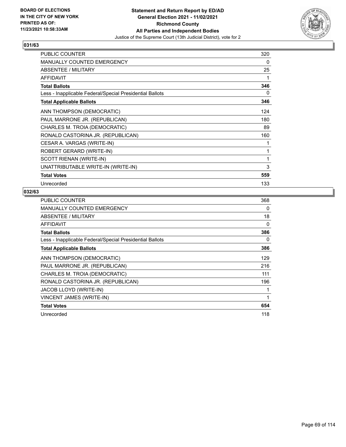

| <b>PUBLIC COUNTER</b>                                    | 320 |
|----------------------------------------------------------|-----|
| MANUALLY COUNTED EMERGENCY                               | 0   |
| <b>ABSENTEE / MILITARY</b>                               | 25  |
| <b>AFFIDAVIT</b>                                         | 1   |
| <b>Total Ballots</b>                                     | 346 |
| Less - Inapplicable Federal/Special Presidential Ballots | 0   |
| <b>Total Applicable Ballots</b>                          | 346 |
| ANN THOMPSON (DEMOCRATIC)                                | 124 |
| PAUL MARRONE JR. (REPUBLICAN)                            | 180 |
| CHARLES M. TROIA (DEMOCRATIC)                            | 89  |
| RONALD CASTORINA JR. (REPUBLICAN)                        | 160 |
| CESAR A. VARGAS (WRITE-IN)                               | 1   |
| ROBERT GERARD (WRITE-IN)                                 | 1   |
| SCOTT RIENAN (WRITE-IN)                                  | 1   |
| UNATTRIBUTABLE WRITE-IN (WRITE-IN)                       | 3   |
| <b>Total Votes</b>                                       | 559 |
| Unrecorded                                               | 133 |

| <b>PUBLIC COUNTER</b>                                    | 368 |
|----------------------------------------------------------|-----|
| <b>MANUALLY COUNTED EMERGENCY</b>                        | 0   |
| ABSENTEE / MILITARY                                      | 18  |
| <b>AFFIDAVIT</b>                                         | 0   |
| <b>Total Ballots</b>                                     | 386 |
| Less - Inapplicable Federal/Special Presidential Ballots | 0   |
| <b>Total Applicable Ballots</b>                          | 386 |
| ANN THOMPSON (DEMOCRATIC)                                | 129 |
| PAUL MARRONE JR. (REPUBLICAN)                            | 216 |
| CHARLES M. TROIA (DEMOCRATIC)                            | 111 |
| RONALD CASTORINA JR. (REPUBLICAN)                        | 196 |
| JACOB LLOYD (WRITE-IN)                                   |     |
| VINCENT JAMES (WRITE-IN)                                 | 1   |
| <b>Total Votes</b>                                       | 654 |
| Unrecorded                                               | 118 |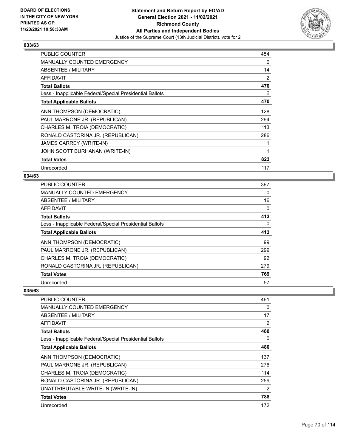

| <b>PUBLIC COUNTER</b>                                    | 454 |
|----------------------------------------------------------|-----|
| <b>MANUALLY COUNTED EMERGENCY</b>                        | 0   |
| ABSENTEE / MILITARY                                      | 14  |
| <b>AFFIDAVIT</b>                                         | 2   |
| <b>Total Ballots</b>                                     | 470 |
| Less - Inapplicable Federal/Special Presidential Ballots | 0   |
| <b>Total Applicable Ballots</b>                          | 470 |
| ANN THOMPSON (DEMOCRATIC)                                | 128 |
| PAUL MARRONE JR. (REPUBLICAN)                            | 294 |
| CHARLES M. TROIA (DEMOCRATIC)                            | 113 |
| RONALD CASTORINA JR. (REPUBLICAN)                        | 286 |
| <b>JAMES CARREY (WRITE-IN)</b>                           |     |
| JOHN SCOTT BURHANAN (WRITE-IN)                           | 1   |
| <b>Total Votes</b>                                       | 823 |
| Unrecorded                                               | 117 |

# **034/63**

| <b>PUBLIC COUNTER</b>                                    | 397      |
|----------------------------------------------------------|----------|
| <b>MANUALLY COUNTED EMERGENCY</b>                        | $\Omega$ |
| ABSENTEE / MILITARY                                      | 16       |
| AFFIDAVIT                                                | 0        |
| <b>Total Ballots</b>                                     | 413      |
| Less - Inapplicable Federal/Special Presidential Ballots | 0        |
| <b>Total Applicable Ballots</b>                          | 413      |
| ANN THOMPSON (DEMOCRATIC)                                | 99       |
| PAUL MARRONE JR. (REPUBLICAN)                            | 299      |
| CHARLES M. TROIA (DEMOCRATIC)                            | 92       |
| RONALD CASTORINA JR. (REPUBLICAN)                        | 279      |
| <b>Total Votes</b>                                       | 769      |
| Unrecorded                                               | 57       |

| <b>PUBLIC COUNTER</b>                                    | 461 |
|----------------------------------------------------------|-----|
| MANUALLY COUNTED EMERGENCY                               | 0   |
| ABSENTEE / MILITARY                                      | 17  |
| AFFIDAVIT                                                | 2   |
| <b>Total Ballots</b>                                     | 480 |
| Less - Inapplicable Federal/Special Presidential Ballots | 0   |
| <b>Total Applicable Ballots</b>                          | 480 |
| ANN THOMPSON (DEMOCRATIC)                                | 137 |
| PAUL MARRONE JR. (REPUBLICAN)                            | 276 |
| CHARLES M. TROIA (DEMOCRATIC)                            | 114 |
| RONALD CASTORINA JR. (REPUBLICAN)                        | 259 |
| UNATTRIBUTABLE WRITE-IN (WRITE-IN)                       | 2   |
| <b>Total Votes</b>                                       | 788 |
| Unrecorded                                               | 172 |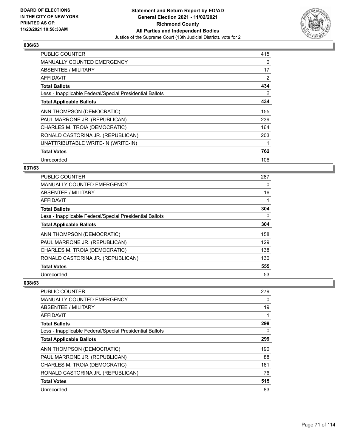

| <b>PUBLIC COUNTER</b>                                    | 415 |
|----------------------------------------------------------|-----|
| <b>MANUALLY COUNTED EMERGENCY</b>                        | 0   |
| <b>ABSENTEE / MILITARY</b>                               | 17  |
| <b>AFFIDAVIT</b>                                         | 2   |
| <b>Total Ballots</b>                                     | 434 |
| Less - Inapplicable Federal/Special Presidential Ballots | 0   |
| <b>Total Applicable Ballots</b>                          | 434 |
| ANN THOMPSON (DEMOCRATIC)                                | 155 |
| PAUL MARRONE JR. (REPUBLICAN)                            | 239 |
| CHARLES M. TROIA (DEMOCRATIC)                            | 164 |
| RONALD CASTORINA JR. (REPUBLICAN)                        | 203 |
| UNATTRIBUTABLE WRITE-IN (WRITE-IN)                       |     |
| <b>Total Votes</b>                                       | 762 |
| Unrecorded                                               | 106 |

# **037/63**

| <b>PUBLIC COUNTER</b>                                    | 287 |
|----------------------------------------------------------|-----|
| <b>MANUALLY COUNTED EMERGENCY</b>                        | 0   |
| ABSENTEE / MILITARY                                      | 16  |
| AFFIDAVIT                                                |     |
| <b>Total Ballots</b>                                     | 304 |
| Less - Inapplicable Federal/Special Presidential Ballots | 0   |
| <b>Total Applicable Ballots</b>                          | 304 |
| ANN THOMPSON (DEMOCRATIC)                                | 158 |
| PAUL MARRONE JR. (REPUBLICAN)                            | 129 |
| CHARLES M. TROIA (DEMOCRATIC)                            | 138 |
| RONALD CASTORINA JR. (REPUBLICAN)                        | 130 |
| <b>Total Votes</b>                                       | 555 |
| Unrecorded                                               | 53  |

| PUBLIC COUNTER                                           | 279 |
|----------------------------------------------------------|-----|
| <b>MANUALLY COUNTED EMERGENCY</b>                        | 0   |
| ABSENTEE / MILITARY                                      | 19  |
| AFFIDAVIT                                                |     |
| <b>Total Ballots</b>                                     | 299 |
| Less - Inapplicable Federal/Special Presidential Ballots | 0   |
| <b>Total Applicable Ballots</b>                          | 299 |
| ANN THOMPSON (DEMOCRATIC)                                | 190 |
| PAUL MARRONE JR. (REPUBLICAN)                            | 88  |
| CHARLES M. TROIA (DEMOCRATIC)                            | 161 |
| RONALD CASTORINA JR. (REPUBLICAN)                        | 76  |
| <b>Total Votes</b>                                       | 515 |
| Unrecorded                                               | 83  |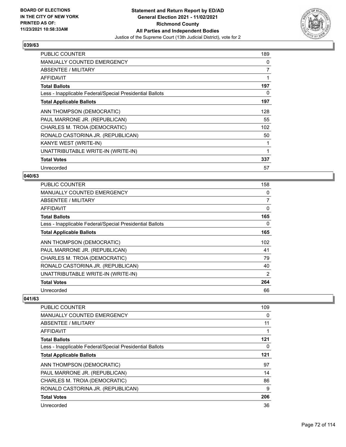

| <b>PUBLIC COUNTER</b>                                    | 189         |
|----------------------------------------------------------|-------------|
| <b>MANUALLY COUNTED EMERGENCY</b>                        | 0           |
| ABSENTEE / MILITARY                                      | 7           |
| AFFIDAVIT                                                | $\mathbf 1$ |
| <b>Total Ballots</b>                                     | 197         |
| Less - Inapplicable Federal/Special Presidential Ballots | 0           |
| <b>Total Applicable Ballots</b>                          | 197         |
| ANN THOMPSON (DEMOCRATIC)                                | 128         |
| PAUL MARRONE JR. (REPUBLICAN)                            | 55          |
| CHARLES M. TROIA (DEMOCRATIC)                            | 102         |
| RONALD CASTORINA JR. (REPUBLICAN)                        | 50          |
| KANYE WEST (WRITE-IN)                                    |             |
| UNATTRIBUTABLE WRITE-IN (WRITE-IN)                       | 1           |
| <b>Total Votes</b>                                       | 337         |
| Unrecorded                                               | 57          |

# **040/63**

| <b>PUBLIC COUNTER</b>                                    | 158 |
|----------------------------------------------------------|-----|
| <b>MANUALLY COUNTED EMERGENCY</b>                        | 0   |
| ABSENTEE / MILITARY                                      | 7   |
| AFFIDAVIT                                                | 0   |
| <b>Total Ballots</b>                                     | 165 |
| Less - Inapplicable Federal/Special Presidential Ballots | 0   |
| <b>Total Applicable Ballots</b>                          | 165 |
| ANN THOMPSON (DEMOCRATIC)                                | 102 |
| PAUL MARRONE JR. (REPUBLICAN)                            | 41  |
| CHARLES M. TROIA (DEMOCRATIC)                            | 79  |
| RONALD CASTORINA JR. (REPUBLICAN)                        | 40  |
| UNATTRIBUTABLE WRITE-IN (WRITE-IN)                       | 2   |
| <b>Total Votes</b>                                       | 264 |
| Unrecorded                                               | 66  |

| PUBLIC COUNTER                                           | 109 |
|----------------------------------------------------------|-----|
| <b>MANUALLY COUNTED EMERGENCY</b>                        | 0   |
| ABSENTEE / MILITARY                                      | 11  |
| AFFIDAVIT                                                |     |
| <b>Total Ballots</b>                                     | 121 |
| Less - Inapplicable Federal/Special Presidential Ballots | 0   |
| <b>Total Applicable Ballots</b>                          | 121 |
| ANN THOMPSON (DEMOCRATIC)                                | 97  |
| PAUL MARRONE JR. (REPUBLICAN)                            | 14  |
| CHARLES M. TROIA (DEMOCRATIC)                            | 86  |
| RONALD CASTORINA JR. (REPUBLICAN)                        | 9   |
| <b>Total Votes</b>                                       | 206 |
| Unrecorded                                               | 36  |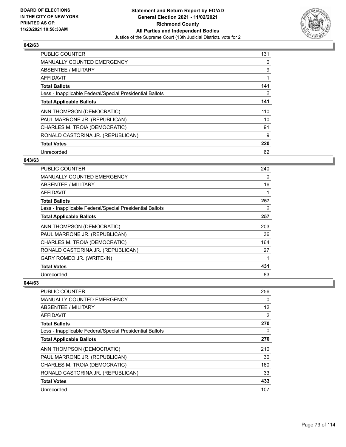

| <b>PUBLIC COUNTER</b>                                    | 131 |
|----------------------------------------------------------|-----|
| <b>MANUALLY COUNTED EMERGENCY</b>                        | 0   |
| ABSENTEE / MILITARY                                      | 9   |
| <b>AFFIDAVIT</b>                                         |     |
| <b>Total Ballots</b>                                     | 141 |
| Less - Inapplicable Federal/Special Presidential Ballots | 0   |
| <b>Total Applicable Ballots</b>                          | 141 |
| ANN THOMPSON (DEMOCRATIC)                                | 110 |
| PAUL MARRONE JR. (REPUBLICAN)                            | 10  |
| CHARLES M. TROIA (DEMOCRATIC)                            | 91  |
| RONALD CASTORINA JR. (REPUBLICAN)                        | 9   |
| <b>Total Votes</b>                                       | 220 |
| Unrecorded                                               | 62  |

### **043/63**

| PUBLIC COUNTER                                           | 240 |
|----------------------------------------------------------|-----|
| MANUALLY COUNTED EMERGENCY                               | 0   |
| ABSENTEE / MILITARY                                      | 16  |
| AFFIDAVIT                                                | 1   |
| <b>Total Ballots</b>                                     | 257 |
| Less - Inapplicable Federal/Special Presidential Ballots | 0   |
| <b>Total Applicable Ballots</b>                          | 257 |
| ANN THOMPSON (DEMOCRATIC)                                | 203 |
| PAUL MARRONE JR. (REPUBLICAN)                            | 36  |
| CHARLES M. TROIA (DEMOCRATIC)                            | 164 |
| RONALD CASTORINA JR. (REPUBLICAN)                        | 27  |
| GARY ROMEO JR. (WRITE-IN)                                | 1   |
| <b>Total Votes</b>                                       | 431 |
| Unrecorded                                               | 83  |

| <b>PUBLIC COUNTER</b>                                    | 256      |
|----------------------------------------------------------|----------|
| <b>MANUALLY COUNTED EMERGENCY</b>                        | $\Omega$ |
| ABSENTEE / MILITARY                                      | 12       |
| AFFIDAVIT                                                | 2        |
| <b>Total Ballots</b>                                     | 270      |
| Less - Inapplicable Federal/Special Presidential Ballots | 0        |
| <b>Total Applicable Ballots</b>                          | 270      |
| ANN THOMPSON (DEMOCRATIC)                                | 210      |
| PAUL MARRONE JR. (REPUBLICAN)                            | 30       |
| CHARLES M. TROIA (DEMOCRATIC)                            | 160      |
| RONALD CASTORINA JR. (REPUBLICAN)                        | 33       |
| <b>Total Votes</b>                                       | 433      |
| Unrecorded                                               | 107      |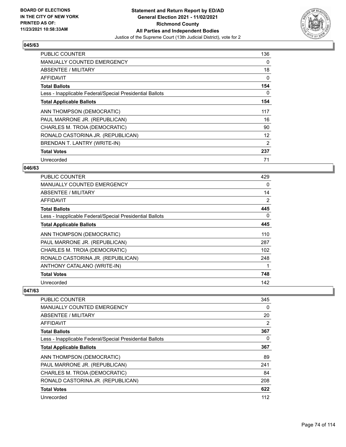

| <b>PUBLIC COUNTER</b>                                    | 136 |
|----------------------------------------------------------|-----|
| <b>MANUALLY COUNTED EMERGENCY</b>                        | 0   |
| <b>ABSENTEE / MILITARY</b>                               | 18  |
| <b>AFFIDAVIT</b>                                         | 0   |
| <b>Total Ballots</b>                                     | 154 |
| Less - Inapplicable Federal/Special Presidential Ballots | 0   |
| <b>Total Applicable Ballots</b>                          | 154 |
| ANN THOMPSON (DEMOCRATIC)                                | 117 |
| PAUL MARRONE JR. (REPUBLICAN)                            | 16  |
| CHARLES M. TROIA (DEMOCRATIC)                            | 90  |
| RONALD CASTORINA JR. (REPUBLICAN)                        | 12  |
| BRENDAN T. LANTRY (WRITE-IN)                             | 2   |
| <b>Total Votes</b>                                       | 237 |
| Unrecorded                                               | 71  |

#### **046/63**

| <b>PUBLIC COUNTER</b>                                    | 429 |
|----------------------------------------------------------|-----|
| <b>MANUALLY COUNTED EMERGENCY</b>                        | 0   |
| ABSENTEE / MILITARY                                      | 14  |
| <b>AFFIDAVIT</b>                                         | 2   |
| <b>Total Ballots</b>                                     | 445 |
| Less - Inapplicable Federal/Special Presidential Ballots | 0   |
| <b>Total Applicable Ballots</b>                          | 445 |
| ANN THOMPSON (DEMOCRATIC)                                | 110 |
| PAUL MARRONE JR. (REPUBLICAN)                            | 287 |
| CHARLES M. TROIA (DEMOCRATIC)                            | 102 |
| RONALD CASTORINA JR. (REPUBLICAN)                        | 248 |
| ANTHONY CATALANO (WRITE-IN)                              |     |
| <b>Total Votes</b>                                       | 748 |
| Unrecorded                                               | 142 |

| 345 |
|-----|
| 0   |
| 20  |
| 2   |
| 367 |
| 0   |
| 367 |
| 89  |
| 241 |
| 84  |
| 208 |
| 622 |
| 112 |
|     |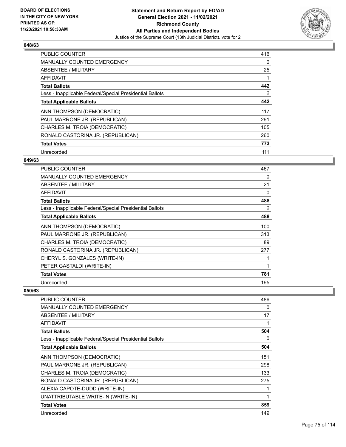

| <b>PUBLIC COUNTER</b>                                    | 416 |
|----------------------------------------------------------|-----|
| <b>MANUALLY COUNTED EMERGENCY</b>                        | 0   |
| ABSENTEE / MILITARY                                      | 25  |
| <b>AFFIDAVIT</b>                                         |     |
| <b>Total Ballots</b>                                     | 442 |
| Less - Inapplicable Federal/Special Presidential Ballots | 0   |
| <b>Total Applicable Ballots</b>                          | 442 |
| ANN THOMPSON (DEMOCRATIC)                                | 117 |
| PAUL MARRONE JR. (REPUBLICAN)                            | 291 |
| CHARLES M. TROIA (DEMOCRATIC)                            | 105 |
| RONALD CASTORINA JR. (REPUBLICAN)                        | 260 |
| <b>Total Votes</b>                                       | 773 |
| Unrecorded                                               | 111 |

## **049/63**

| <b>PUBLIC COUNTER</b>                                    | 467 |
|----------------------------------------------------------|-----|
| <b>MANUALLY COUNTED EMERGENCY</b>                        | 0   |
| ABSENTEE / MILITARY                                      | 21  |
| AFFIDAVIT                                                | 0   |
| <b>Total Ballots</b>                                     | 488 |
| Less - Inapplicable Federal/Special Presidential Ballots | 0   |
| <b>Total Applicable Ballots</b>                          | 488 |
| ANN THOMPSON (DEMOCRATIC)                                | 100 |
| PAUL MARRONE JR. (REPUBLICAN)                            | 313 |
| CHARLES M. TROIA (DEMOCRATIC)                            | 89  |
| RONALD CASTORINA JR. (REPUBLICAN)                        | 277 |
| CHERYL S. GONZALES (WRITE-IN)                            |     |
| PETER GASTALDI (WRITE-IN)                                | 1   |
| <b>Total Votes</b>                                       | 781 |
| Unrecorded                                               | 195 |

| PUBLIC COUNTER                                           | 486 |
|----------------------------------------------------------|-----|
| <b>MANUALLY COUNTED EMERGENCY</b>                        | 0   |
| ABSENTEE / MILITARY                                      | 17  |
| <b>AFFIDAVIT</b>                                         |     |
| <b>Total Ballots</b>                                     | 504 |
| Less - Inapplicable Federal/Special Presidential Ballots | 0   |
| <b>Total Applicable Ballots</b>                          | 504 |
| ANN THOMPSON (DEMOCRATIC)                                | 151 |
| PAUL MARRONE JR. (REPUBLICAN)                            | 298 |
| CHARLES M. TROIA (DEMOCRATIC)                            | 133 |
| RONALD CASTORINA JR. (REPUBLICAN)                        | 275 |
| ALEXIA CAPOTE-DUDD (WRITE-IN)                            |     |
| UNATTRIBUTABLE WRITE-IN (WRITE-IN)                       | 1   |
| <b>Total Votes</b>                                       | 859 |
| Unrecorded                                               | 149 |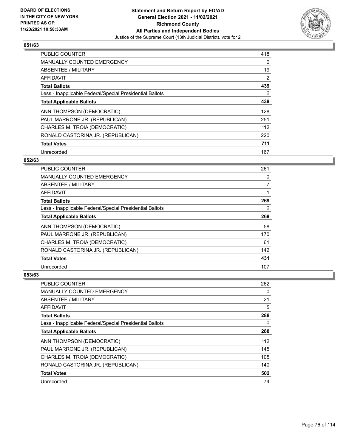

| <b>PUBLIC COUNTER</b>                                    | 418      |
|----------------------------------------------------------|----------|
| MANUALLY COUNTED EMERGENCY                               | $\Omega$ |
| ABSENTEE / MILITARY                                      | 19       |
| <b>AFFIDAVIT</b>                                         | 2        |
| <b>Total Ballots</b>                                     | 439      |
| Less - Inapplicable Federal/Special Presidential Ballots | $\Omega$ |
| <b>Total Applicable Ballots</b>                          | 439      |
| ANN THOMPSON (DEMOCRATIC)                                | 128      |
| PAUL MARRONE JR. (REPUBLICAN)                            | 251      |
| CHARLES M. TROIA (DEMOCRATIC)                            | 112      |
| RONALD CASTORINA JR. (REPUBLICAN)                        | 220      |
| <b>Total Votes</b>                                       | 711      |
| Unrecorded                                               | 167      |

### **052/63**

| <b>PUBLIC COUNTER</b>                                    | 261            |
|----------------------------------------------------------|----------------|
| MANUALLY COUNTED EMERGENCY                               | 0              |
| ABSENTEE / MILITARY                                      | $\overline{7}$ |
| AFFIDAVIT                                                |                |
| <b>Total Ballots</b>                                     | 269            |
| Less - Inapplicable Federal/Special Presidential Ballots | 0              |
| <b>Total Applicable Ballots</b>                          | 269            |
| ANN THOMPSON (DEMOCRATIC)                                | 58             |
| PAUL MARRONE JR. (REPUBLICAN)                            | 170            |
| CHARLES M. TROIA (DEMOCRATIC)                            | 61             |
| RONALD CASTORINA JR. (REPUBLICAN)                        | 142            |
| <b>Total Votes</b>                                       | 431            |
| Unrecorded                                               | 107            |

| PUBLIC COUNTER                                           | 262 |
|----------------------------------------------------------|-----|
| <b>MANUALLY COUNTED EMERGENCY</b>                        | 0   |
| ABSENTEE / MILITARY                                      | 21  |
| AFFIDAVIT                                                | 5   |
| <b>Total Ballots</b>                                     | 288 |
| Less - Inapplicable Federal/Special Presidential Ballots | 0   |
| <b>Total Applicable Ballots</b>                          | 288 |
| ANN THOMPSON (DEMOCRATIC)                                | 112 |
| PAUL MARRONE JR. (REPUBLICAN)                            | 145 |
| CHARLES M. TROIA (DEMOCRATIC)                            | 105 |
| RONALD CASTORINA JR. (REPUBLICAN)                        | 140 |
| <b>Total Votes</b>                                       | 502 |
| Unrecorded                                               | 74  |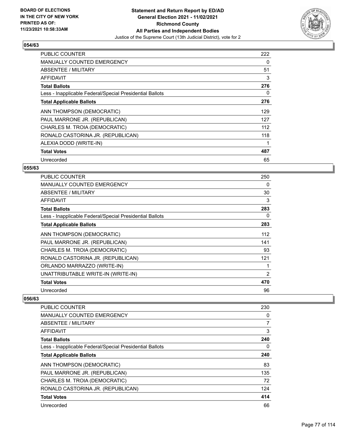

| <b>PUBLIC COUNTER</b>                                    | 222 |
|----------------------------------------------------------|-----|
| <b>MANUALLY COUNTED EMERGENCY</b>                        | 0   |
| <b>ABSENTEE / MILITARY</b>                               | 51  |
| AFFIDAVIT                                                | 3   |
| <b>Total Ballots</b>                                     | 276 |
| Less - Inapplicable Federal/Special Presidential Ballots | 0   |
| <b>Total Applicable Ballots</b>                          | 276 |
| ANN THOMPSON (DEMOCRATIC)                                | 129 |
| PAUL MARRONE JR. (REPUBLICAN)                            | 127 |
| CHARLES M. TROIA (DEMOCRATIC)                            | 112 |
| RONALD CASTORINA JR. (REPUBLICAN)                        | 118 |
| ALEXIA DODD (WRITE-IN)                                   |     |
| <b>Total Votes</b>                                       | 487 |
| Unrecorded                                               | 65  |

## **055/63**

| <b>PUBLIC COUNTER</b>                                    | 250 |
|----------------------------------------------------------|-----|
| <b>MANUALLY COUNTED EMERGENCY</b>                        | 0   |
| ABSENTEE / MILITARY                                      | 30  |
| <b>AFFIDAVIT</b>                                         | 3   |
| <b>Total Ballots</b>                                     | 283 |
| Less - Inapplicable Federal/Special Presidential Ballots | 0   |
| <b>Total Applicable Ballots</b>                          | 283 |
| ANN THOMPSON (DEMOCRATIC)                                | 112 |
| PAUL MARRONE JR. (REPUBLICAN)                            | 141 |
| CHARLES M. TROIA (DEMOCRATIC)                            | 93  |
| RONALD CASTORINA JR. (REPUBLICAN)                        | 121 |
| ORLANDO MARRAZZO (WRITE-IN)                              |     |
| UNATTRIBUTABLE WRITE-IN (WRITE-IN)                       | 2   |
| <b>Total Votes</b>                                       | 470 |
| Unrecorded                                               | 96  |

| <b>PUBLIC COUNTER</b>                                    | 230 |
|----------------------------------------------------------|-----|
| <b>MANUALLY COUNTED EMERGENCY</b>                        | 0   |
| ABSENTEE / MILITARY                                      | 7   |
| <b>AFFIDAVIT</b>                                         | 3   |
| <b>Total Ballots</b>                                     | 240 |
| Less - Inapplicable Federal/Special Presidential Ballots | 0   |
| <b>Total Applicable Ballots</b>                          | 240 |
| ANN THOMPSON (DEMOCRATIC)                                | 83  |
| PAUL MARRONE JR. (REPUBLICAN)                            | 135 |
| CHARLES M. TROIA (DEMOCRATIC)                            | 72  |
| RONALD CASTORINA JR. (REPUBLICAN)                        | 124 |
| <b>Total Votes</b>                                       | 414 |
| Unrecorded                                               | 66  |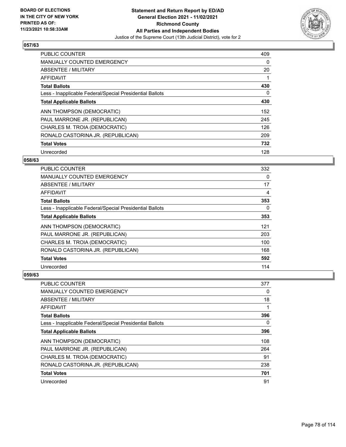

| <b>PUBLIC COUNTER</b>                                    | 409 |
|----------------------------------------------------------|-----|
| <b>MANUALLY COUNTED EMERGENCY</b>                        | 0   |
| ABSENTEE / MILITARY                                      | 20  |
| <b>AFFIDAVIT</b>                                         |     |
| <b>Total Ballots</b>                                     | 430 |
| Less - Inapplicable Federal/Special Presidential Ballots | 0   |
| <b>Total Applicable Ballots</b>                          | 430 |
| ANN THOMPSON (DEMOCRATIC)                                | 152 |
| PAUL MARRONE JR. (REPUBLICAN)                            | 245 |
| CHARLES M. TROIA (DEMOCRATIC)                            | 126 |
| RONALD CASTORINA JR. (REPUBLICAN)                        | 209 |
| <b>Total Votes</b>                                       | 732 |
| Unrecorded                                               | 128 |

### **058/63**

| <b>PUBLIC COUNTER</b>                                    | 332 |
|----------------------------------------------------------|-----|
| <b>MANUALLY COUNTED EMERGENCY</b>                        | 0   |
| ABSENTEE / MILITARY                                      | 17  |
| AFFIDAVIT                                                | 4   |
| <b>Total Ballots</b>                                     | 353 |
| Less - Inapplicable Federal/Special Presidential Ballots | 0   |
| <b>Total Applicable Ballots</b>                          | 353 |
| ANN THOMPSON (DEMOCRATIC)                                | 121 |
| PAUL MARRONE JR. (REPUBLICAN)                            | 203 |
| CHARLES M. TROIA (DEMOCRATIC)                            | 100 |
| RONALD CASTORINA JR. (REPUBLICAN)                        | 168 |
| <b>Total Votes</b>                                       | 592 |
| Unrecorded                                               | 114 |

| PUBLIC COUNTER                                           | 377 |
|----------------------------------------------------------|-----|
| MANUALLY COUNTED EMERGENCY                               | 0   |
| ABSENTEE / MILITARY                                      | 18  |
| AFFIDAVIT                                                |     |
| <b>Total Ballots</b>                                     | 396 |
| Less - Inapplicable Federal/Special Presidential Ballots | 0   |
| <b>Total Applicable Ballots</b>                          | 396 |
| ANN THOMPSON (DEMOCRATIC)                                | 108 |
| PAUL MARRONE JR. (REPUBLICAN)                            | 264 |
| CHARLES M. TROIA (DEMOCRATIC)                            | 91  |
| RONALD CASTORINA JR. (REPUBLICAN)                        | 238 |
| <b>Total Votes</b>                                       | 701 |
| Unrecorded                                               | 91  |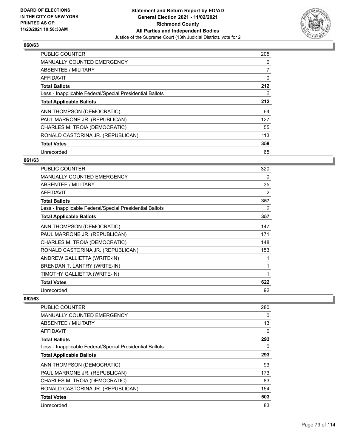

| PUBLIC COUNTER                                           | 205            |
|----------------------------------------------------------|----------------|
| <b>MANUALLY COUNTED EMERGENCY</b>                        | 0              |
| ABSENTEE / MILITARY                                      | $\overline{7}$ |
| AFFIDAVIT                                                | 0              |
| <b>Total Ballots</b>                                     | 212            |
| Less - Inapplicable Federal/Special Presidential Ballots | 0              |
| <b>Total Applicable Ballots</b>                          | 212            |
| ANN THOMPSON (DEMOCRATIC)                                | 64             |
| PAUL MARRONE JR. (REPUBLICAN)                            | 127            |
| CHARLES M. TROIA (DEMOCRATIC)                            | 55             |
| RONALD CASTORINA JR. (REPUBLICAN)                        | 113            |
| <b>Total Votes</b>                                       | 359            |
| Unrecorded                                               | 65             |

## **061/63**

| PUBLIC COUNTER                                           | 320            |
|----------------------------------------------------------|----------------|
| MANUALLY COUNTED EMERGENCY                               | 0              |
| <b>ABSENTEE / MILITARY</b>                               | 35             |
| <b>AFFIDAVIT</b>                                         | $\overline{2}$ |
| <b>Total Ballots</b>                                     | 357            |
| Less - Inapplicable Federal/Special Presidential Ballots | 0              |
| <b>Total Applicable Ballots</b>                          | 357            |
| ANN THOMPSON (DEMOCRATIC)                                | 147            |
| PAUL MARRONE JR. (REPUBLICAN)                            | 171            |
| CHARLES M. TROIA (DEMOCRATIC)                            | 148            |
| RONALD CASTORINA JR. (REPUBLICAN)                        | 153            |
| ANDREW GALLIETTA (WRITE-IN)                              |                |
| BRENDAN T. LANTRY (WRITE-IN)                             | 1              |
| TIMOTHY GALLIETTA (WRITE-IN)                             |                |
| <b>Total Votes</b>                                       | 622            |
| Unrecorded                                               | 92             |

| <b>PUBLIC COUNTER</b>                                    | 280      |
|----------------------------------------------------------|----------|
| <b>MANUALLY COUNTED EMERGENCY</b>                        | 0        |
| ABSENTEE / MILITARY                                      | 13       |
| <b>AFFIDAVIT</b>                                         | 0        |
| <b>Total Ballots</b>                                     | 293      |
| Less - Inapplicable Federal/Special Presidential Ballots | $\Omega$ |
| <b>Total Applicable Ballots</b>                          | 293      |
| ANN THOMPSON (DEMOCRATIC)                                | 93       |
| PAUL MARRONE JR. (REPUBLICAN)                            | 173      |
| CHARLES M. TROIA (DEMOCRATIC)                            | 83       |
| RONALD CASTORINA JR. (REPUBLICAN)                        | 154      |
| <b>Total Votes</b>                                       | 503      |
| Unrecorded                                               | 83       |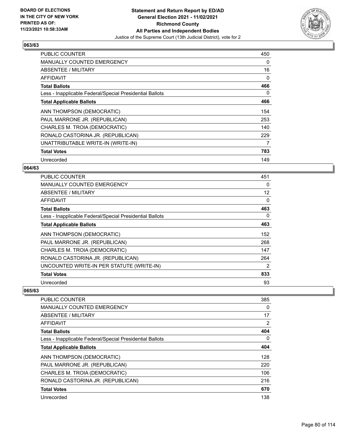

| <b>PUBLIC COUNTER</b>                                    | 450 |
|----------------------------------------------------------|-----|
| <b>MANUALLY COUNTED EMERGENCY</b>                        | 0   |
| <b>ABSENTEE / MILITARY</b>                               | 16  |
| AFFIDAVIT                                                | 0   |
| <b>Total Ballots</b>                                     | 466 |
| Less - Inapplicable Federal/Special Presidential Ballots | 0   |
| <b>Total Applicable Ballots</b>                          | 466 |
| ANN THOMPSON (DEMOCRATIC)                                | 154 |
| PAUL MARRONE JR. (REPUBLICAN)                            | 253 |
| CHARLES M. TROIA (DEMOCRATIC)                            | 140 |
| RONALD CASTORINA JR. (REPUBLICAN)                        | 229 |
| UNATTRIBUTABLE WRITE-IN (WRITE-IN)                       | 7   |
| <b>Total Votes</b>                                       | 783 |
| Unrecorded                                               | 149 |

## **064/63**

| PUBLIC COUNTER                                           | 451 |
|----------------------------------------------------------|-----|
| <b>MANUALLY COUNTED EMERGENCY</b>                        | 0   |
| ABSENTEE / MILITARY                                      | 12  |
| AFFIDAVIT                                                | 0   |
| <b>Total Ballots</b>                                     | 463 |
| Less - Inapplicable Federal/Special Presidential Ballots | 0   |
| <b>Total Applicable Ballots</b>                          | 463 |
| ANN THOMPSON (DEMOCRATIC)                                | 152 |
| PAUL MARRONE JR. (REPUBLICAN)                            | 268 |
| CHARLES M. TROIA (DEMOCRATIC)                            | 147 |
| RONALD CASTORINA JR. (REPUBLICAN)                        | 264 |
| UNCOUNTED WRITE-IN PER STATUTE (WRITE-IN)                | 2   |
| <b>Total Votes</b>                                       | 833 |
| Unrecorded                                               | 93  |

| <b>PUBLIC COUNTER</b>                                    | 385 |
|----------------------------------------------------------|-----|
| <b>MANUALLY COUNTED EMERGENCY</b>                        | 0   |
| ABSENTEE / MILITARY                                      | 17  |
| AFFIDAVIT                                                | 2   |
| <b>Total Ballots</b>                                     | 404 |
| Less - Inapplicable Federal/Special Presidential Ballots | 0   |
| <b>Total Applicable Ballots</b>                          | 404 |
| ANN THOMPSON (DEMOCRATIC)                                | 128 |
| PAUL MARRONE JR. (REPUBLICAN)                            | 220 |
| CHARLES M. TROIA (DEMOCRATIC)                            | 106 |
| RONALD CASTORINA JR. (REPUBLICAN)                        | 216 |
| <b>Total Votes</b>                                       | 670 |
| Unrecorded                                               | 138 |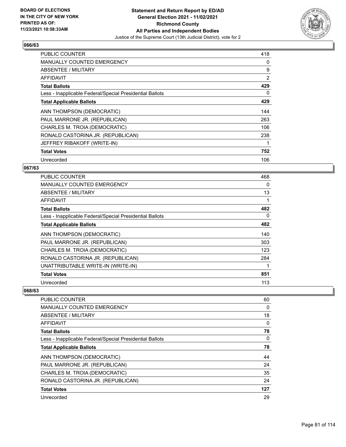

| <b>PUBLIC COUNTER</b>                                    | 418 |
|----------------------------------------------------------|-----|
| <b>MANUALLY COUNTED EMERGENCY</b>                        | 0   |
| <b>ABSENTEE / MILITARY</b>                               | 9   |
| <b>AFFIDAVIT</b>                                         | 2   |
| <b>Total Ballots</b>                                     | 429 |
| Less - Inapplicable Federal/Special Presidential Ballots | 0   |
| <b>Total Applicable Ballots</b>                          | 429 |
| ANN THOMPSON (DEMOCRATIC)                                | 144 |
| PAUL MARRONE JR. (REPUBLICAN)                            | 263 |
| CHARLES M. TROIA (DEMOCRATIC)                            | 106 |
| RONALD CASTORINA JR. (REPUBLICAN)                        | 238 |
| JEFFREY RIBAKOFF (WRITE-IN)                              |     |
| <b>Total Votes</b>                                       | 752 |
| Unrecorded                                               | 106 |

## **067/63**

| <b>PUBLIC COUNTER</b>                                    | 468 |
|----------------------------------------------------------|-----|
| <b>MANUALLY COUNTED EMERGENCY</b>                        | 0   |
| ABSENTEE / MILITARY                                      | 13  |
| AFFIDAVIT                                                |     |
| <b>Total Ballots</b>                                     | 482 |
| Less - Inapplicable Federal/Special Presidential Ballots | 0   |
| <b>Total Applicable Ballots</b>                          | 482 |
| ANN THOMPSON (DEMOCRATIC)                                | 140 |
| PAUL MARRONE JR. (REPUBLICAN)                            | 303 |
| CHARLES M. TROIA (DEMOCRATIC)                            | 123 |
| RONALD CASTORINA JR. (REPUBLICAN)                        | 284 |
| UNATTRIBUTABLE WRITE-IN (WRITE-IN)                       |     |
| <b>Total Votes</b>                                       | 851 |
| Unrecorded                                               | 113 |

| <b>PUBLIC COUNTER</b>                                    | 60  |
|----------------------------------------------------------|-----|
| <b>MANUALLY COUNTED EMERGENCY</b>                        | 0   |
| ABSENTEE / MILITARY                                      | 18  |
| AFFIDAVIT                                                | 0   |
| <b>Total Ballots</b>                                     | 78  |
| Less - Inapplicable Federal/Special Presidential Ballots | 0   |
| <b>Total Applicable Ballots</b>                          | 78  |
| ANN THOMPSON (DEMOCRATIC)                                | 44  |
| PAUL MARRONE JR. (REPUBLICAN)                            | 24  |
| CHARLES M. TROIA (DEMOCRATIC)                            | 35  |
| RONALD CASTORINA JR. (REPUBLICAN)                        | 24  |
| <b>Total Votes</b>                                       | 127 |
| Unrecorded                                               | 29  |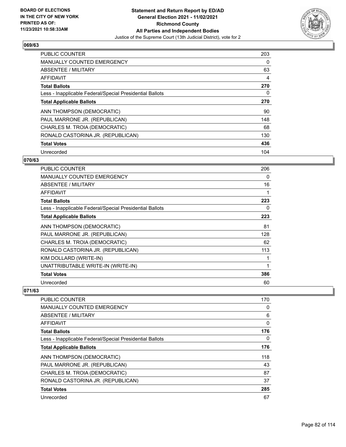

| PUBLIC COUNTER                                           | 203 |
|----------------------------------------------------------|-----|
| <b>MANUALLY COUNTED EMERGENCY</b>                        | 0   |
| ABSENTEE / MILITARY                                      | 63  |
| <b>AFFIDAVIT</b>                                         | 4   |
| <b>Total Ballots</b>                                     | 270 |
| Less - Inapplicable Federal/Special Presidential Ballots | 0   |
| <b>Total Applicable Ballots</b>                          | 270 |
| ANN THOMPSON (DEMOCRATIC)                                | 90  |
| PAUL MARRONE JR. (REPUBLICAN)                            | 148 |
| CHARLES M. TROIA (DEMOCRATIC)                            | 68  |
| RONALD CASTORINA JR. (REPUBLICAN)                        | 130 |
| <b>Total Votes</b>                                       | 436 |
| Unrecorded                                               | 104 |

## **070/63**

| <b>PUBLIC COUNTER</b>                                    | 206         |
|----------------------------------------------------------|-------------|
| <b>MANUALLY COUNTED EMERGENCY</b>                        | 0           |
| ABSENTEE / MILITARY                                      | 16          |
| <b>AFFIDAVIT</b>                                         |             |
| <b>Total Ballots</b>                                     | 223         |
| Less - Inapplicable Federal/Special Presidential Ballots | 0           |
| <b>Total Applicable Ballots</b>                          | 223         |
| ANN THOMPSON (DEMOCRATIC)                                | 81          |
| PAUL MARRONE JR. (REPUBLICAN)                            | 128         |
| CHARLES M. TROIA (DEMOCRATIC)                            | 62          |
| RONALD CASTORINA JR. (REPUBLICAN)                        | 113         |
| KIM DOLLARD (WRITE-IN)                                   |             |
| UNATTRIBUTABLE WRITE-IN (WRITE-IN)                       | $\mathbf 1$ |
| <b>Total Votes</b>                                       | 386         |
| Unrecorded                                               | 60          |

| <b>PUBLIC COUNTER</b>                                    | 170 |
|----------------------------------------------------------|-----|
| <b>MANUALLY COUNTED EMERGENCY</b>                        | 0   |
| ABSENTEE / MILITARY                                      | 6   |
| <b>AFFIDAVIT</b>                                         | 0   |
| <b>Total Ballots</b>                                     | 176 |
| Less - Inapplicable Federal/Special Presidential Ballots | 0   |
| <b>Total Applicable Ballots</b>                          | 176 |
| ANN THOMPSON (DEMOCRATIC)                                | 118 |
| PAUL MARRONE JR. (REPUBLICAN)                            | 43  |
| CHARLES M. TROIA (DEMOCRATIC)                            | 87  |
| RONALD CASTORINA JR. (REPUBLICAN)                        | 37  |
| <b>Total Votes</b>                                       | 285 |
| Unrecorded                                               | 67  |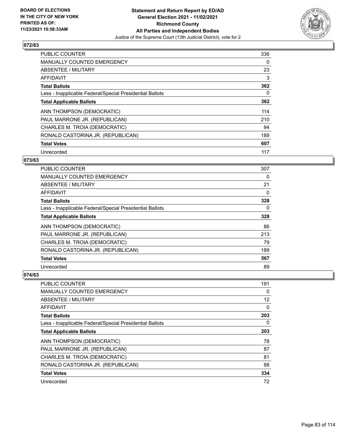

| <b>PUBLIC COUNTER</b>                                    | 336      |
|----------------------------------------------------------|----------|
| MANUALLY COUNTED EMERGENCY                               | $\Omega$ |
| ABSENTEE / MILITARY                                      | 23       |
| <b>AFFIDAVIT</b>                                         | 3        |
| <b>Total Ballots</b>                                     | 362      |
| Less - Inapplicable Federal/Special Presidential Ballots | 0        |
| <b>Total Applicable Ballots</b>                          | 362      |
| ANN THOMPSON (DEMOCRATIC)                                | 114      |
| PAUL MARRONE JR. (REPUBLICAN)                            | 210      |
| CHARLES M. TROIA (DEMOCRATIC)                            | 94       |
| RONALD CASTORINA JR. (REPUBLICAN)                        | 189      |
| <b>Total Votes</b>                                       | 607      |
| Unrecorded                                               | 117      |

## **073/63**

| <b>PUBLIC COUNTER</b>                                    | 307 |
|----------------------------------------------------------|-----|
| <b>MANUALLY COUNTED EMERGENCY</b>                        | 0   |
| ABSENTEE / MILITARY                                      | 21  |
| AFFIDAVIT                                                | 0   |
| <b>Total Ballots</b>                                     | 328 |
| Less - Inapplicable Federal/Special Presidential Ballots | 0   |
| <b>Total Applicable Ballots</b>                          | 328 |
| ANN THOMPSON (DEMOCRATIC)                                | 86  |
| PAUL MARRONE JR. (REPUBLICAN)                            | 213 |
| CHARLES M. TROIA (DEMOCRATIC)                            | 79  |
| RONALD CASTORINA JR. (REPUBLICAN)                        | 189 |
| <b>Total Votes</b>                                       | 567 |
| Unrecorded                                               | 89  |

| PUBLIC COUNTER                                           | 191      |
|----------------------------------------------------------|----------|
| MANUALLY COUNTED EMERGENCY                               | $\Omega$ |
| ABSENTEE / MILITARY                                      | 12       |
| AFFIDAVIT                                                | 0        |
| <b>Total Ballots</b>                                     | 203      |
| Less - Inapplicable Federal/Special Presidential Ballots | 0        |
| <b>Total Applicable Ballots</b>                          | 203      |
| ANN THOMPSON (DEMOCRATIC)                                | 78       |
| PAUL MARRONE JR. (REPUBLICAN)                            | 87       |
| CHARLES M. TROIA (DEMOCRATIC)                            | 81       |
| RONALD CASTORINA JR. (REPUBLICAN)                        | 88       |
| <b>Total Votes</b>                                       | 334      |
| Unrecorded                                               | 72       |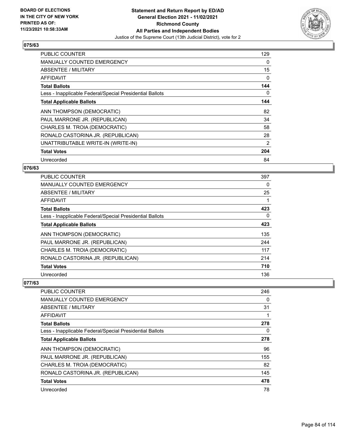

| <b>PUBLIC COUNTER</b>                                    | 129 |
|----------------------------------------------------------|-----|
| <b>MANUALLY COUNTED EMERGENCY</b>                        | 0   |
| <b>ABSENTEE / MILITARY</b>                               | 15  |
| <b>AFFIDAVIT</b>                                         | 0   |
| <b>Total Ballots</b>                                     | 144 |
| Less - Inapplicable Federal/Special Presidential Ballots | 0   |
| <b>Total Applicable Ballots</b>                          | 144 |
| ANN THOMPSON (DEMOCRATIC)                                | 82  |
| PAUL MARRONE JR. (REPUBLICAN)                            | 34  |
| CHARLES M. TROIA (DEMOCRATIC)                            | 58  |
| RONALD CASTORINA JR. (REPUBLICAN)                        | 28  |
| UNATTRIBUTABLE WRITE-IN (WRITE-IN)                       | 2   |
| <b>Total Votes</b>                                       | 204 |
| Unrecorded                                               | 84  |

## **076/63**

| PUBLIC COUNTER                                           | 397      |
|----------------------------------------------------------|----------|
| MANUALLY COUNTED EMERGENCY                               | 0        |
| ABSENTEE / MILITARY                                      | 25       |
| AFFIDAVIT                                                |          |
| <b>Total Ballots</b>                                     | 423      |
| Less - Inapplicable Federal/Special Presidential Ballots | $\Omega$ |
| <b>Total Applicable Ballots</b>                          | 423      |
| ANN THOMPSON (DEMOCRATIC)                                | 135      |
| PAUL MARRONE JR. (REPUBLICAN)                            | 244      |
| CHARLES M. TROIA (DEMOCRATIC)                            | 117      |
| RONALD CASTORINA JR. (REPUBLICAN)                        | 214      |
| <b>Total Votes</b>                                       | 710      |
| Unrecorded                                               | 136      |

| PUBLIC COUNTER                                           | 246 |
|----------------------------------------------------------|-----|
| <b>MANUALLY COUNTED EMERGENCY</b>                        | 0   |
| ABSENTEE / MILITARY                                      | 31  |
| AFFIDAVIT                                                |     |
| <b>Total Ballots</b>                                     | 278 |
| Less - Inapplicable Federal/Special Presidential Ballots | 0   |
| <b>Total Applicable Ballots</b>                          | 278 |
| ANN THOMPSON (DEMOCRATIC)                                | 96  |
| PAUL MARRONE JR. (REPUBLICAN)                            | 155 |
| CHARLES M. TROIA (DEMOCRATIC)                            | 82  |
| RONALD CASTORINA JR. (REPUBLICAN)                        | 145 |
| <b>Total Votes</b>                                       | 478 |
| Unrecorded                                               | 78  |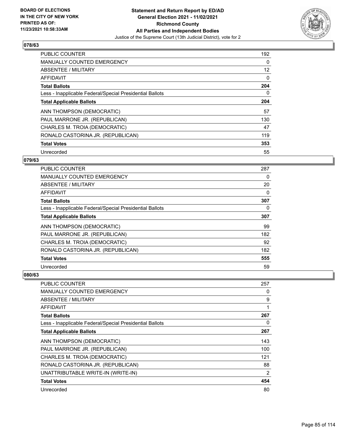

| <b>PUBLIC COUNTER</b>                                    | 192      |
|----------------------------------------------------------|----------|
| <b>MANUALLY COUNTED EMERGENCY</b>                        | $\Omega$ |
| ABSENTEE / MILITARY                                      | 12       |
| <b>AFFIDAVIT</b>                                         | 0        |
| <b>Total Ballots</b>                                     | 204      |
| Less - Inapplicable Federal/Special Presidential Ballots | 0        |
| <b>Total Applicable Ballots</b>                          | 204      |
| ANN THOMPSON (DEMOCRATIC)                                | 57       |
| PAUL MARRONE JR. (REPUBLICAN)                            | 130      |
| CHARLES M. TROIA (DEMOCRATIC)                            | 47       |
| RONALD CASTORINA JR. (REPUBLICAN)                        | 119      |
| <b>Total Votes</b>                                       | 353      |
| Unrecorded                                               | 55       |

## **079/63**

| <b>PUBLIC COUNTER</b>                                    | 287 |
|----------------------------------------------------------|-----|
| MANUALLY COUNTED EMERGENCY                               | 0   |
| ABSENTEE / MILITARY                                      | 20  |
| AFFIDAVIT                                                | 0   |
| <b>Total Ballots</b>                                     | 307 |
| Less - Inapplicable Federal/Special Presidential Ballots | 0   |
| <b>Total Applicable Ballots</b>                          | 307 |
| ANN THOMPSON (DEMOCRATIC)                                | 99  |
| PAUL MARRONE JR. (REPUBLICAN)                            | 182 |
| CHARLES M. TROIA (DEMOCRATIC)                            | 92  |
| RONALD CASTORINA JR. (REPUBLICAN)                        | 182 |
| <b>Total Votes</b>                                       | 555 |
| Unrecorded                                               | 59  |

| PUBLIC COUNTER                                           | 257 |
|----------------------------------------------------------|-----|
| MANUALLY COUNTED EMERGENCY                               | 0   |
| ABSENTEE / MILITARY                                      | 9   |
| AFFIDAVIT                                                | 1   |
| <b>Total Ballots</b>                                     | 267 |
| Less - Inapplicable Federal/Special Presidential Ballots | 0   |
| <b>Total Applicable Ballots</b>                          | 267 |
| ANN THOMPSON (DEMOCRATIC)                                | 143 |
| PAUL MARRONE JR. (REPUBLICAN)                            | 100 |
| CHARLES M. TROIA (DEMOCRATIC)                            | 121 |
| RONALD CASTORINA JR. (REPUBLICAN)                        | 88  |
| UNATTRIBUTABLE WRITE-IN (WRITE-IN)                       | 2   |
| <b>Total Votes</b>                                       | 454 |
| Unrecorded                                               | 80  |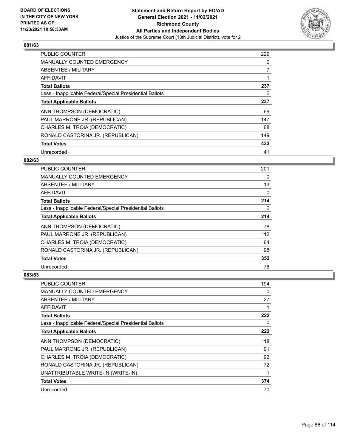

| <b>PUBLIC COUNTER</b>                                    | 229            |
|----------------------------------------------------------|----------------|
| <b>MANUALLY COUNTED EMERGENCY</b>                        | 0              |
| ABSENTEE / MILITARY                                      | $\overline{7}$ |
| <b>AFFIDAVIT</b>                                         |                |
| <b>Total Ballots</b>                                     | 237            |
| Less - Inapplicable Federal/Special Presidential Ballots | 0              |
| <b>Total Applicable Ballots</b>                          | 237            |
| ANN THOMPSON (DEMOCRATIC)                                | 69             |
| PAUL MARRONE JR. (REPUBLICAN)                            | 147            |
| CHARLES M. TROIA (DEMOCRATIC)                            | 68             |
| RONALD CASTORINA JR. (REPUBLICAN)                        | 149            |
| <b>Total Votes</b>                                       | 433            |
| Unrecorded                                               | 41             |

### **082/63**

| <b>PUBLIC COUNTER</b>                                    | 201 |
|----------------------------------------------------------|-----|
| <b>MANUALLY COUNTED EMERGENCY</b>                        | 0   |
| ABSENTEE / MILITARY                                      | 13  |
| AFFIDAVIT                                                | 0   |
| <b>Total Ballots</b>                                     | 214 |
| Less - Inapplicable Federal/Special Presidential Ballots | 0   |
| <b>Total Applicable Ballots</b>                          | 214 |
| ANN THOMPSON (DEMOCRATIC)                                | 78  |
| PAUL MARRONE JR. (REPUBLICAN)                            | 112 |
| CHARLES M. TROIA (DEMOCRATIC)                            | 64  |
| RONALD CASTORINA JR. (REPUBLICAN)                        | 98  |
| <b>Total Votes</b>                                       | 352 |
| Unrecorded                                               | 76  |

| PUBLIC COUNTER                                           | 194      |
|----------------------------------------------------------|----------|
| MANUALLY COUNTED EMERGENCY                               | 0        |
| ABSENTEE / MILITARY                                      | 27       |
| AFFIDAVIT                                                | 1        |
| <b>Total Ballots</b>                                     | 222      |
| Less - Inapplicable Federal/Special Presidential Ballots | $\Omega$ |
| <b>Total Applicable Ballots</b>                          | 222      |
| ANN THOMPSON (DEMOCRATIC)                                | 118      |
| PAUL MARRONE JR. (REPUBLICAN)                            | 91       |
| CHARLES M. TROIA (DEMOCRATIC)                            | 92       |
| RONALD CASTORINA JR. (REPUBLICAN)                        | 72       |
| UNATTRIBUTABLE WRITE-IN (WRITE-IN)                       | 1        |
| <b>Total Votes</b>                                       | 374      |
| Unrecorded                                               | 70       |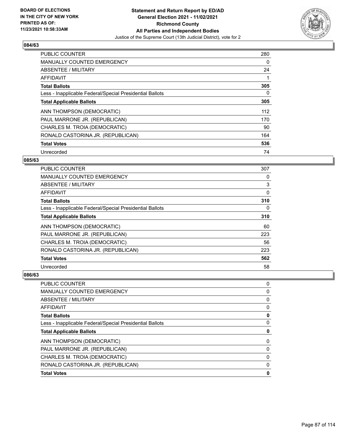

| PUBLIC COUNTER                                           | 280      |
|----------------------------------------------------------|----------|
| <b>MANUALLY COUNTED EMERGENCY</b>                        | $\Omega$ |
| ABSENTEE / MILITARY                                      | 24       |
| <b>AFFIDAVIT</b>                                         |          |
| <b>Total Ballots</b>                                     | 305      |
| Less - Inapplicable Federal/Special Presidential Ballots | 0        |
| <b>Total Applicable Ballots</b>                          | 305      |
| ANN THOMPSON (DEMOCRATIC)                                | 112      |
| PAUL MARRONE JR. (REPUBLICAN)                            | 170      |
| CHARLES M. TROIA (DEMOCRATIC)                            | 90       |
| RONALD CASTORINA JR. (REPUBLICAN)                        | 164      |
| <b>Total Votes</b>                                       | 536      |
| Unrecorded                                               | 74       |

## **085/63**

| <b>PUBLIC COUNTER</b>                                    | 307 |
|----------------------------------------------------------|-----|
| MANUALLY COUNTED EMERGENCY                               | 0   |
| ABSENTEE / MILITARY                                      | 3   |
| AFFIDAVIT                                                | 0   |
| <b>Total Ballots</b>                                     | 310 |
| Less - Inapplicable Federal/Special Presidential Ballots | 0   |
| <b>Total Applicable Ballots</b>                          | 310 |
| ANN THOMPSON (DEMOCRATIC)                                | 60  |
| PAUL MARRONE JR. (REPUBLICAN)                            | 223 |
| CHARLES M. TROIA (DEMOCRATIC)                            | 56  |
| RONALD CASTORINA JR. (REPUBLICAN)                        | 223 |
| <b>Total Votes</b>                                       | 562 |
| Unrecorded                                               | 58  |

| <b>PUBLIC COUNTER</b>                                    | 0 |
|----------------------------------------------------------|---|
| <b>MANUALLY COUNTED EMERGENCY</b>                        | 0 |
| ABSENTEE / MILITARY                                      | 0 |
| AFFIDAVIT                                                | 0 |
| <b>Total Ballots</b>                                     | 0 |
| Less - Inapplicable Federal/Special Presidential Ballots | 0 |
|                                                          |   |
| <b>Total Applicable Ballots</b>                          | 0 |
| ANN THOMPSON (DEMOCRATIC)                                | 0 |
| PAUL MARRONE JR. (REPUBLICAN)                            | 0 |
| CHARLES M. TROIA (DEMOCRATIC)                            | 0 |
| RONALD CASTORINA JR. (REPUBLICAN)                        | 0 |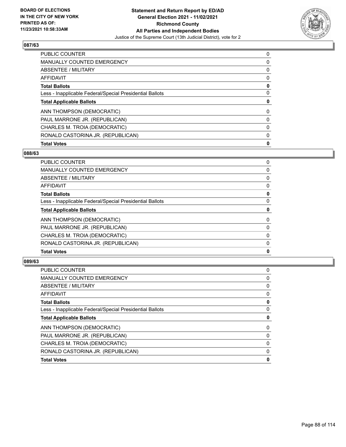

| <b>PUBLIC COUNTER</b>                                    | 0 |
|----------------------------------------------------------|---|
| <b>MANUALLY COUNTED EMERGENCY</b>                        | 0 |
| ABSENTEE / MILITARY                                      | 0 |
| AFFIDAVIT                                                | 0 |
| <b>Total Ballots</b>                                     | 0 |
| Less - Inapplicable Federal/Special Presidential Ballots | 0 |
| <b>Total Applicable Ballots</b>                          | 0 |
| ANN THOMPSON (DEMOCRATIC)                                | 0 |
| PAUL MARRONE JR. (REPUBLICAN)                            | 0 |
| CHARLES M. TROIA (DEMOCRATIC)                            | 0 |
| RONALD CASTORINA JR. (REPUBLICAN)                        | 0 |
| <b>Total Votes</b>                                       | 0 |

## **088/63**

| <b>PUBLIC COUNTER</b>                                    | 0        |
|----------------------------------------------------------|----------|
| <b>MANUALLY COUNTED EMERGENCY</b>                        | 0        |
| ABSENTEE / MILITARY                                      | 0        |
| AFFIDAVIT                                                | 0        |
| <b>Total Ballots</b>                                     | 0        |
| Less - Inapplicable Federal/Special Presidential Ballots | 0        |
| <b>Total Applicable Ballots</b>                          | 0        |
| ANN THOMPSON (DEMOCRATIC)                                | $\Omega$ |
| PAUL MARRONE JR. (REPUBLICAN)                            | 0        |
| CHARLES M. TROIA (DEMOCRATIC)                            | 0        |
| RONALD CASTORINA JR. (REPUBLICAN)                        | 0        |
| <b>Total Votes</b>                                       | 0        |
|                                                          |          |

| <b>PUBLIC COUNTER</b>                                    | 0 |
|----------------------------------------------------------|---|
| <b>MANUALLY COUNTED EMERGENCY</b>                        | 0 |
| <b>ABSENTEE / MILITARY</b>                               | 0 |
| <b>AFFIDAVIT</b>                                         | 0 |
| <b>Total Ballots</b>                                     | 0 |
| Less - Inapplicable Federal/Special Presidential Ballots | 0 |
| <b>Total Applicable Ballots</b>                          | 0 |
| ANN THOMPSON (DEMOCRATIC)                                | 0 |
| PAUL MARRONE JR. (REPUBLICAN)                            | 0 |
| CHARLES M. TROIA (DEMOCRATIC)                            | 0 |
| RONALD CASTORINA JR. (REPUBLICAN)                        | 0 |
| <b>Total Votes</b>                                       | 0 |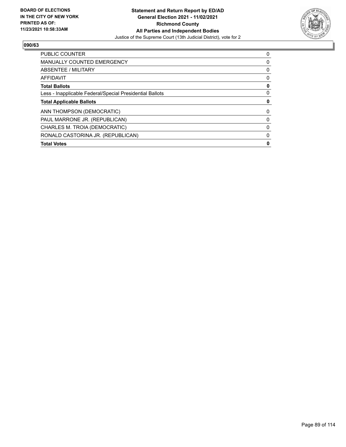

| <b>PUBLIC COUNTER</b>                                    | 0 |
|----------------------------------------------------------|---|
| <b>MANUALLY COUNTED EMERGENCY</b>                        | 0 |
| ABSENTEE / MILITARY                                      | 0 |
| <b>AFFIDAVIT</b>                                         | 0 |
| <b>Total Ballots</b>                                     | 0 |
| Less - Inapplicable Federal/Special Presidential Ballots | 0 |
| <b>Total Applicable Ballots</b>                          | 0 |
| ANN THOMPSON (DEMOCRATIC)                                | 0 |
| PAUL MARRONE JR. (REPUBLICAN)                            | 0 |
| CHARLES M. TROIA (DEMOCRATIC)                            | 0 |
| RONALD CASTORINA JR. (REPUBLICAN)                        | 0 |
|                                                          |   |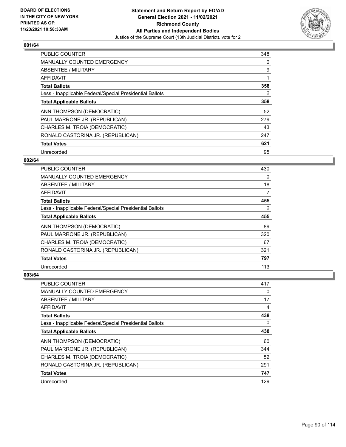

| <b>PUBLIC COUNTER</b>                                    | 348 |
|----------------------------------------------------------|-----|
| MANUALLY COUNTED EMERGENCY                               | 0   |
| ABSENTEE / MILITARY                                      | 9   |
| AFFIDAVIT                                                |     |
| <b>Total Ballots</b>                                     | 358 |
| Less - Inapplicable Federal/Special Presidential Ballots | 0   |
| <b>Total Applicable Ballots</b>                          | 358 |
| ANN THOMPSON (DEMOCRATIC)                                | 52  |
| PAUL MARRONE JR. (REPUBLICAN)                            | 279 |
| CHARLES M. TROIA (DEMOCRATIC)                            | 43  |
| RONALD CASTORINA JR. (REPUBLICAN)                        | 247 |
| <b>Total Votes</b>                                       | 621 |
| Unrecorded                                               | 95  |

### **002/64**

| <b>PUBLIC COUNTER</b>                                    | 430 |
|----------------------------------------------------------|-----|
| <b>MANUALLY COUNTED EMERGENCY</b>                        | 0   |
| ABSENTEE / MILITARY                                      | 18  |
| <b>AFFIDAVIT</b>                                         | 7   |
| <b>Total Ballots</b>                                     | 455 |
| Less - Inapplicable Federal/Special Presidential Ballots | 0   |
| <b>Total Applicable Ballots</b>                          | 455 |
| ANN THOMPSON (DEMOCRATIC)                                | 89  |
| PAUL MARRONE JR. (REPUBLICAN)                            | 320 |
| CHARLES M. TROIA (DEMOCRATIC)                            | 67  |
| RONALD CASTORINA JR. (REPUBLICAN)                        | 321 |
| <b>Total Votes</b>                                       | 797 |
| Unrecorded                                               | 113 |

| PUBLIC COUNTER                                           | 417 |
|----------------------------------------------------------|-----|
| <b>MANUALLY COUNTED EMERGENCY</b>                        | 0   |
| ABSENTEE / MILITARY                                      | 17  |
| AFFIDAVIT                                                | 4   |
| <b>Total Ballots</b>                                     | 438 |
| Less - Inapplicable Federal/Special Presidential Ballots | 0   |
| <b>Total Applicable Ballots</b>                          | 438 |
| ANN THOMPSON (DEMOCRATIC)                                | 60  |
| PAUL MARRONE JR. (REPUBLICAN)                            | 344 |
| CHARLES M. TROIA (DEMOCRATIC)                            | 52  |
| RONALD CASTORINA JR. (REPUBLICAN)                        | 291 |
| <b>Total Votes</b>                                       | 747 |
| Unrecorded                                               | 129 |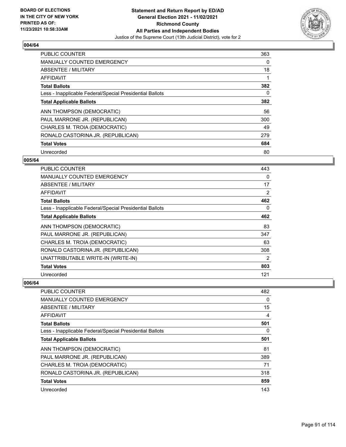

| <b>PUBLIC COUNTER</b>                                    | 363 |
|----------------------------------------------------------|-----|
| <b>MANUALLY COUNTED EMERGENCY</b>                        | 0   |
| ABSENTEE / MILITARY                                      | 18  |
| <b>AFFIDAVIT</b>                                         |     |
| <b>Total Ballots</b>                                     | 382 |
| Less - Inapplicable Federal/Special Presidential Ballots | 0   |
| <b>Total Applicable Ballots</b>                          | 382 |
| ANN THOMPSON (DEMOCRATIC)                                | 56  |
| PAUL MARRONE JR. (REPUBLICAN)                            | 300 |
| CHARLES M. TROIA (DEMOCRATIC)                            | 49  |
| RONALD CASTORINA JR. (REPUBLICAN)                        | 279 |
| <b>Total Votes</b>                                       | 684 |
| Unrecorded                                               | 80  |

## **005/64**

| PUBLIC COUNTER                                           | 443 |
|----------------------------------------------------------|-----|
| MANUALLY COUNTED EMERGENCY                               | 0   |
| ABSENTEE / MILITARY                                      | 17  |
| AFFIDAVIT                                                | 2   |
| <b>Total Ballots</b>                                     | 462 |
| Less - Inapplicable Federal/Special Presidential Ballots | 0   |
| <b>Total Applicable Ballots</b>                          | 462 |
| ANN THOMPSON (DEMOCRATIC)                                | 83  |
| PAUL MARRONE JR. (REPUBLICAN)                            | 347 |
| CHARLES M. TROIA (DEMOCRATIC)                            | 63  |
| RONALD CASTORINA JR. (REPUBLICAN)                        | 308 |
| UNATTRIBUTABLE WRITE-IN (WRITE-IN)                       | 2   |
| <b>Total Votes</b>                                       | 803 |
| Unrecorded                                               | 121 |

| <b>PUBLIC COUNTER</b>                                    | 482      |
|----------------------------------------------------------|----------|
| <b>MANUALLY COUNTED EMERGENCY</b>                        | $\Omega$ |
| ABSENTEE / MILITARY                                      | 15       |
| AFFIDAVIT                                                | 4        |
| <b>Total Ballots</b>                                     | 501      |
| Less - Inapplicable Federal/Special Presidential Ballots | 0        |
| <b>Total Applicable Ballots</b>                          | 501      |
| ANN THOMPSON (DEMOCRATIC)                                | 81       |
| PAUL MARRONE JR. (REPUBLICAN)                            | 389      |
| CHARLES M. TROIA (DEMOCRATIC)                            | 71       |
| RONALD CASTORINA JR. (REPUBLICAN)                        | 318      |
| <b>Total Votes</b>                                       | 859      |
| Unrecorded                                               | 143      |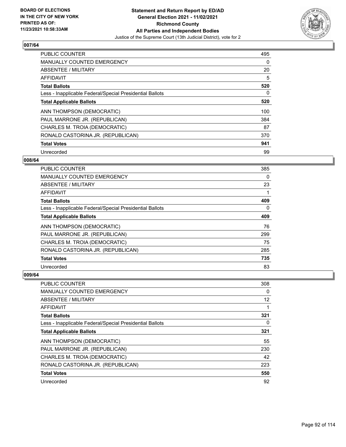

| <b>PUBLIC COUNTER</b>                                    | 495 |
|----------------------------------------------------------|-----|
| <b>MANUALLY COUNTED EMERGENCY</b>                        | 0   |
| ABSENTEE / MILITARY                                      | 20  |
| <b>AFFIDAVIT</b>                                         | 5   |
| <b>Total Ballots</b>                                     | 520 |
| Less - Inapplicable Federal/Special Presidential Ballots | 0   |
| <b>Total Applicable Ballots</b>                          | 520 |
| ANN THOMPSON (DEMOCRATIC)                                | 100 |
| PAUL MARRONE JR. (REPUBLICAN)                            | 384 |
| CHARLES M. TROIA (DEMOCRATIC)                            | 87  |
| RONALD CASTORINA JR. (REPUBLICAN)                        | 370 |
| <b>Total Votes</b>                                       | 941 |
| Unrecorded                                               | 99  |

### **008/64**

| PUBLIC COUNTER                                           | 385 |
|----------------------------------------------------------|-----|
| <b>MANUALLY COUNTED EMERGENCY</b>                        | 0   |
| ABSENTEE / MILITARY                                      | 23  |
| <b>AFFIDAVIT</b>                                         | 1   |
| <b>Total Ballots</b>                                     | 409 |
| Less - Inapplicable Federal/Special Presidential Ballots | 0   |
| <b>Total Applicable Ballots</b>                          | 409 |
| ANN THOMPSON (DEMOCRATIC)                                | 76  |
| PAUL MARRONE JR. (REPUBLICAN)                            | 299 |
| CHARLES M. TROIA (DEMOCRATIC)                            | 75  |
| RONALD CASTORINA JR. (REPUBLICAN)                        | 285 |
| <b>Total Votes</b>                                       | 735 |
| Unrecorded                                               | 83  |

| PUBLIC COUNTER                                           | 308               |
|----------------------------------------------------------|-------------------|
| <b>MANUALLY COUNTED EMERGENCY</b>                        | 0                 |
| ABSENTEE / MILITARY                                      | $12 \overline{ }$ |
| AFFIDAVIT                                                | 1                 |
| <b>Total Ballots</b>                                     | 321               |
| Less - Inapplicable Federal/Special Presidential Ballots | 0                 |
| <b>Total Applicable Ballots</b>                          | 321               |
| ANN THOMPSON (DEMOCRATIC)                                | 55                |
| PAUL MARRONE JR. (REPUBLICAN)                            | 230               |
| CHARLES M. TROIA (DEMOCRATIC)                            | 42                |
| RONALD CASTORINA JR. (REPUBLICAN)                        | 223               |
| <b>Total Votes</b>                                       | 550               |
| Unrecorded                                               | 92                |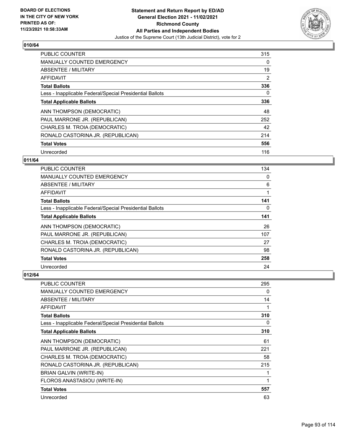

| <b>PUBLIC COUNTER</b>                                    | 315            |
|----------------------------------------------------------|----------------|
| MANUALLY COUNTED EMERGENCY                               | 0              |
| ABSENTEE / MILITARY                                      | 19             |
| <b>AFFIDAVIT</b>                                         | $\overline{2}$ |
| <b>Total Ballots</b>                                     | 336            |
| Less - Inapplicable Federal/Special Presidential Ballots | 0              |
| <b>Total Applicable Ballots</b>                          | 336            |
| ANN THOMPSON (DEMOCRATIC)                                | 48             |
| PAUL MARRONE JR. (REPUBLICAN)                            | 252            |
| CHARLES M. TROIA (DEMOCRATIC)                            | 42             |
| RONALD CASTORINA JR. (REPUBLICAN)                        | 214            |
| <b>Total Votes</b>                                       | 556            |
| Unrecorded                                               | 116            |

# **011/64**

| <b>PUBLIC COUNTER</b>                                    | 134      |
|----------------------------------------------------------|----------|
| MANUALLY COUNTED EMERGENCY                               | $\Omega$ |
| ABSENTEE / MILITARY                                      | 6        |
| <b>AFFIDAVIT</b>                                         |          |
| <b>Total Ballots</b>                                     | 141      |
| Less - Inapplicable Federal/Special Presidential Ballots | 0        |
| <b>Total Applicable Ballots</b>                          | 141      |
| ANN THOMPSON (DEMOCRATIC)                                | 26       |
| PAUL MARRONE JR. (REPUBLICAN)                            | 107      |
| CHARLES M. TROIA (DEMOCRATIC)                            | 27       |
| RONALD CASTORINA JR. (REPUBLICAN)                        | 98       |
| <b>Total Votes</b>                                       | 258      |
| Unrecorded                                               | 24       |

| <b>PUBLIC COUNTER</b>                                    | 295 |
|----------------------------------------------------------|-----|
| <b>MANUALLY COUNTED EMERGENCY</b>                        | 0   |
| ABSENTEE / MILITARY                                      | 14  |
| AFFIDAVIT                                                | 1   |
| <b>Total Ballots</b>                                     | 310 |
| Less - Inapplicable Federal/Special Presidential Ballots | 0   |
| <b>Total Applicable Ballots</b>                          | 310 |
| ANN THOMPSON (DEMOCRATIC)                                | 61  |
| PAUL MARRONE JR. (REPUBLICAN)                            | 221 |
| CHARLES M. TROIA (DEMOCRATIC)                            | 58  |
| RONALD CASTORINA JR. (REPUBLICAN)                        | 215 |
| BRIAN GALVIN (WRITE-IN)                                  | 1   |
| FLOROS ANASTASIOU (WRITE-IN)                             | 1   |
| <b>Total Votes</b>                                       | 557 |
| Unrecorded                                               | 63  |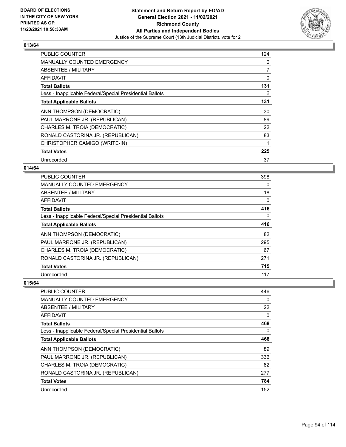

| PUBLIC COUNTER                                           | 124 |
|----------------------------------------------------------|-----|
| <b>MANUALLY COUNTED EMERGENCY</b>                        | 0   |
| ABSENTEE / MILITARY                                      | 7   |
| AFFIDAVIT                                                | 0   |
| <b>Total Ballots</b>                                     | 131 |
| Less - Inapplicable Federal/Special Presidential Ballots | 0   |
| <b>Total Applicable Ballots</b>                          | 131 |
| ANN THOMPSON (DEMOCRATIC)                                | 30  |
| PAUL MARRONE JR. (REPUBLICAN)                            | 89  |
| CHARLES M. TROIA (DEMOCRATIC)                            | 22  |
| RONALD CASTORINA JR. (REPUBLICAN)                        | 83  |
| CHRISTOPHER CAMIGO (WRITE-IN)                            |     |
| <b>Total Votes</b>                                       | 225 |
| Unrecorded                                               | 37  |

## **014/64**

| PUBLIC COUNTER                                           | 398      |
|----------------------------------------------------------|----------|
| MANUALLY COUNTED EMERGENCY                               | 0        |
| ABSENTEE / MILITARY                                      | 18       |
| AFFIDAVIT                                                | 0        |
| <b>Total Ballots</b>                                     | 416      |
| Less - Inapplicable Federal/Special Presidential Ballots | $\Omega$ |
| <b>Total Applicable Ballots</b>                          | 416      |
| ANN THOMPSON (DEMOCRATIC)                                | 82       |
| PAUL MARRONE JR. (REPUBLICAN)                            | 295      |
| CHARLES M. TROIA (DEMOCRATIC)                            | 67       |
| RONALD CASTORINA JR. (REPUBLICAN)                        | 271      |
| <b>Total Votes</b>                                       | 715      |
| Unrecorded                                               | 117      |

| PUBLIC COUNTER                                           | 446      |
|----------------------------------------------------------|----------|
| <b>MANUALLY COUNTED EMERGENCY</b>                        | $\Omega$ |
| ABSENTEE / MILITARY                                      | 22       |
| AFFIDAVIT                                                | $\Omega$ |
| <b>Total Ballots</b>                                     | 468      |
| Less - Inapplicable Federal/Special Presidential Ballots | 0        |
| <b>Total Applicable Ballots</b>                          | 468      |
| ANN THOMPSON (DEMOCRATIC)                                | 89       |
| PAUL MARRONE JR. (REPUBLICAN)                            | 336      |
| CHARLES M. TROIA (DEMOCRATIC)                            | 82       |
| RONALD CASTORINA JR. (REPUBLICAN)                        | 277      |
| <b>Total Votes</b>                                       | 784      |
| Unrecorded                                               | 152      |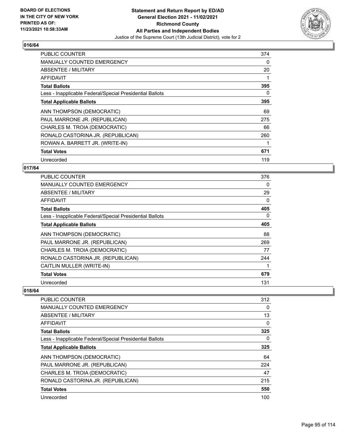

| <b>PUBLIC COUNTER</b>                                    | 374      |
|----------------------------------------------------------|----------|
| <b>MANUALLY COUNTED EMERGENCY</b>                        | $\Omega$ |
| <b>ABSENTEE / MILITARY</b>                               | 20       |
| AFFIDAVIT                                                |          |
| <b>Total Ballots</b>                                     | 395      |
| Less - Inapplicable Federal/Special Presidential Ballots | 0        |
| <b>Total Applicable Ballots</b>                          | 395      |
| ANN THOMPSON (DEMOCRATIC)                                | 69       |
| PAUL MARRONE JR. (REPUBLICAN)                            | 275      |
| CHARLES M. TROIA (DEMOCRATIC)                            | 66       |
| RONALD CASTORINA JR. (REPUBLICAN)                        | 260      |
| ROWAN A. BARRETT JR. (WRITE-IN)                          |          |
| <b>Total Votes</b>                                       | 671      |
| Unrecorded                                               | 119      |

## **017/64**

| <b>PUBLIC COUNTER</b>                                    | 376      |
|----------------------------------------------------------|----------|
| <b>MANUALLY COUNTED EMERGENCY</b>                        | 0        |
| ABSENTEE / MILITARY                                      | 29       |
| AFFIDAVIT                                                | $\Omega$ |
| <b>Total Ballots</b>                                     | 405      |
| Less - Inapplicable Federal/Special Presidential Ballots | 0        |
| <b>Total Applicable Ballots</b>                          | 405      |
| ANN THOMPSON (DEMOCRATIC)                                | 88       |
| PAUL MARRONE JR. (REPUBLICAN)                            | 269      |
| CHARLES M. TROIA (DEMOCRATIC)                            | 77       |
| RONALD CASTORINA JR. (REPUBLICAN)                        | 244      |
| CAITLIN MULLER (WRITE-IN)                                |          |
| <b>Total Votes</b>                                       | 679      |
| Unrecorded                                               | 131      |

| <b>PUBLIC COUNTER</b>                                    | 312      |
|----------------------------------------------------------|----------|
| <b>MANUALLY COUNTED EMERGENCY</b>                        | 0        |
| ABSENTEE / MILITARY                                      | 13       |
| AFFIDAVIT                                                | 0        |
| <b>Total Ballots</b>                                     | 325      |
| Less - Inapplicable Federal/Special Presidential Ballots | $\Omega$ |
| <b>Total Applicable Ballots</b>                          | 325      |
| ANN THOMPSON (DEMOCRATIC)                                | 64       |
| PAUL MARRONE JR. (REPUBLICAN)                            | 224      |
| CHARLES M. TROIA (DEMOCRATIC)                            | 47       |
| RONALD CASTORINA JR. (REPUBLICAN)                        | 215      |
| <b>Total Votes</b>                                       | 550      |
| Unrecorded                                               | 100      |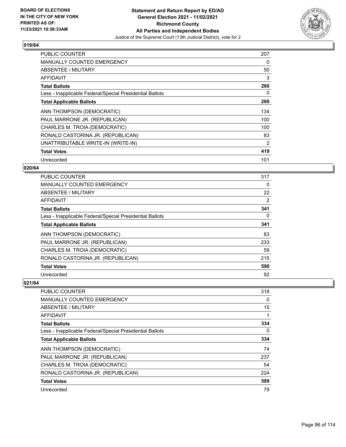

| <b>PUBLIC COUNTER</b>                                    | 207 |
|----------------------------------------------------------|-----|
| <b>MANUALLY COUNTED EMERGENCY</b>                        | 0   |
| ABSENTEE / MILITARY                                      | 50  |
| AFFIDAVIT                                                | 3   |
| <b>Total Ballots</b>                                     | 260 |
| Less - Inapplicable Federal/Special Presidential Ballots | 0   |
| <b>Total Applicable Ballots</b>                          | 260 |
| ANN THOMPSON (DEMOCRATIC)                                | 134 |
| PAUL MARRONE JR. (REPUBLICAN)                            | 100 |
| CHARLES M. TROIA (DEMOCRATIC)                            | 100 |
| RONALD CASTORINA JR. (REPUBLICAN)                        | 83  |
| UNATTRIBUTABLE WRITE-IN (WRITE-IN)                       | 2   |
| <b>Total Votes</b>                                       | 419 |
| Unrecorded                                               | 101 |

## **020/64**

| PUBLIC COUNTER                                           | 317      |
|----------------------------------------------------------|----------|
| <b>MANUALLY COUNTED EMERGENCY</b>                        | 0        |
| ABSENTEE / MILITARY                                      | 22       |
| AFFIDAVIT                                                | 2        |
| <b>Total Ballots</b>                                     | 341      |
| Less - Inapplicable Federal/Special Presidential Ballots | $\Omega$ |
| <b>Total Applicable Ballots</b>                          | 341      |
| ANN THOMPSON (DEMOCRATIC)                                | 83       |
| PAUL MARRONE JR. (REPUBLICAN)                            | 233      |
| CHARLES M. TROIA (DEMOCRATIC)                            | 59       |
| RONALD CASTORINA JR. (REPUBLICAN)                        | 215      |
| <b>Total Votes</b>                                       | 590      |
| Unrecorded                                               | 92       |

| PUBLIC COUNTER                                           | 318 |
|----------------------------------------------------------|-----|
| <b>MANUALLY COUNTED EMERGENCY</b>                        | 0   |
| ABSENTEE / MILITARY                                      | 15  |
| AFFIDAVIT                                                |     |
| <b>Total Ballots</b>                                     | 334 |
| Less - Inapplicable Federal/Special Presidential Ballots | 0   |
| <b>Total Applicable Ballots</b>                          | 334 |
| ANN THOMPSON (DEMOCRATIC)                                | 74  |
| PAUL MARRONE JR. (REPUBLICAN)                            | 237 |
| CHARLES M. TROIA (DEMOCRATIC)                            | 54  |
| RONALD CASTORINA JR. (REPUBLICAN)                        | 224 |
| <b>Total Votes</b>                                       | 589 |
| Unrecorded                                               | 79  |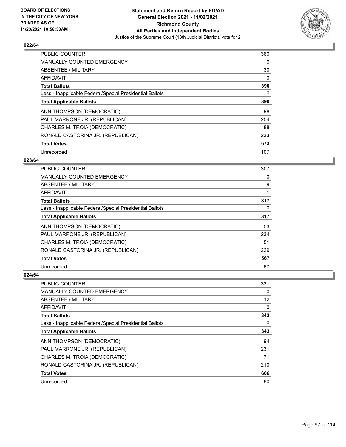

| <b>PUBLIC COUNTER</b>                                    | 360 |
|----------------------------------------------------------|-----|
| MANUALLY COUNTED EMERGENCY                               | 0   |
| ABSENTEE / MILITARY                                      | 30  |
| <b>AFFIDAVIT</b>                                         | 0   |
| <b>Total Ballots</b>                                     | 390 |
| Less - Inapplicable Federal/Special Presidential Ballots | 0   |
| <b>Total Applicable Ballots</b>                          | 390 |
| ANN THOMPSON (DEMOCRATIC)                                | 98  |
| PAUL MARRONE JR. (REPUBLICAN)                            | 254 |
| CHARLES M. TROIA (DEMOCRATIC)                            | 88  |
| RONALD CASTORINA JR. (REPUBLICAN)                        | 233 |
| <b>Total Votes</b>                                       | 673 |
| Unrecorded                                               | 107 |

## **023/64**

| <b>PUBLIC COUNTER</b>                                    | 307 |
|----------------------------------------------------------|-----|
| MANUALLY COUNTED EMERGENCY                               | 0   |
| ABSENTEE / MILITARY                                      | 9   |
| AFFIDAVIT                                                |     |
| <b>Total Ballots</b>                                     | 317 |
| Less - Inapplicable Federal/Special Presidential Ballots | 0   |
| <b>Total Applicable Ballots</b>                          | 317 |
| ANN THOMPSON (DEMOCRATIC)                                | 53  |
| PAUL MARRONE JR. (REPUBLICAN)                            | 234 |
| CHARLES M. TROIA (DEMOCRATIC)                            | 51  |
| RONALD CASTORINA JR. (REPUBLICAN)                        | 229 |
| <b>Total Votes</b>                                       | 567 |
| Unrecorded                                               | 67  |

| PUBLIC COUNTER                                           | 331 |
|----------------------------------------------------------|-----|
| <b>MANUALLY COUNTED EMERGENCY</b>                        | 0   |
| ABSENTEE / MILITARY                                      | 12  |
| AFFIDAVIT                                                | 0   |
| <b>Total Ballots</b>                                     | 343 |
| Less - Inapplicable Federal/Special Presidential Ballots | 0   |
| <b>Total Applicable Ballots</b>                          | 343 |
| ANN THOMPSON (DEMOCRATIC)                                | 94  |
| PAUL MARRONE JR. (REPUBLICAN)                            | 231 |
| CHARLES M. TROIA (DEMOCRATIC)                            | 71  |
| RONALD CASTORINA JR. (REPUBLICAN)                        | 210 |
| <b>Total Votes</b>                                       | 606 |
| Unrecorded                                               | 80  |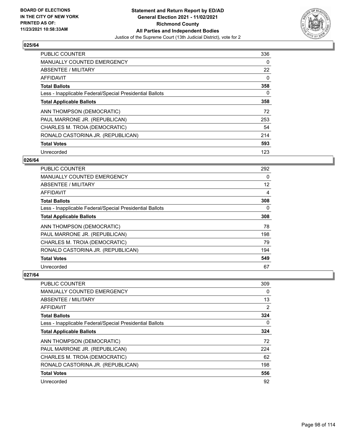

| <b>PUBLIC COUNTER</b>                                    | 336      |
|----------------------------------------------------------|----------|
| MANUALLY COUNTED EMERGENCY                               | $\Omega$ |
| ABSENTEE / MILITARY                                      | 22       |
| <b>AFFIDAVIT</b>                                         | 0        |
| <b>Total Ballots</b>                                     | 358      |
| Less - Inapplicable Federal/Special Presidential Ballots | 0        |
| <b>Total Applicable Ballots</b>                          | 358      |
| ANN THOMPSON (DEMOCRATIC)                                | 72       |
| PAUL MARRONE JR. (REPUBLICAN)                            | 253      |
| CHARLES M. TROIA (DEMOCRATIC)                            | 54       |
| RONALD CASTORINA JR. (REPUBLICAN)                        | 214      |
| <b>Total Votes</b>                                       | 593      |
| Unrecorded                                               | 123      |

## **026/64**

| <b>PUBLIC COUNTER</b>                                    | 292      |
|----------------------------------------------------------|----------|
| MANUALLY COUNTED EMERGENCY                               | $\Omega$ |
| ABSENTEE / MILITARY                                      | 12       |
| AFFIDAVIT                                                | 4        |
| <b>Total Ballots</b>                                     | 308      |
| Less - Inapplicable Federal/Special Presidential Ballots | $\Omega$ |
| <b>Total Applicable Ballots</b>                          | 308      |
| ANN THOMPSON (DEMOCRATIC)                                | 78       |
| PAUL MARRONE JR. (REPUBLICAN)                            | 198      |
| CHARLES M. TROIA (DEMOCRATIC)                            | 79       |
| RONALD CASTORINA JR. (REPUBLICAN)                        | 194      |
| <b>Total Votes</b>                                       | 549      |
| Unrecorded                                               | 67       |

| PUBLIC COUNTER                                           | 309            |
|----------------------------------------------------------|----------------|
| <b>MANUALLY COUNTED EMERGENCY</b>                        | $\Omega$       |
| ABSENTEE / MILITARY                                      | 13             |
| AFFIDAVIT                                                | $\overline{2}$ |
| <b>Total Ballots</b>                                     | 324            |
| Less - Inapplicable Federal/Special Presidential Ballots | 0              |
| <b>Total Applicable Ballots</b>                          | 324            |
| ANN THOMPSON (DEMOCRATIC)                                | 72             |
| PAUL MARRONE JR. (REPUBLICAN)                            | 224            |
| CHARLES M. TROIA (DEMOCRATIC)                            | 62             |
| RONALD CASTORINA JR. (REPUBLICAN)                        | 198            |
| <b>Total Votes</b>                                       | 556            |
| Unrecorded                                               | 92             |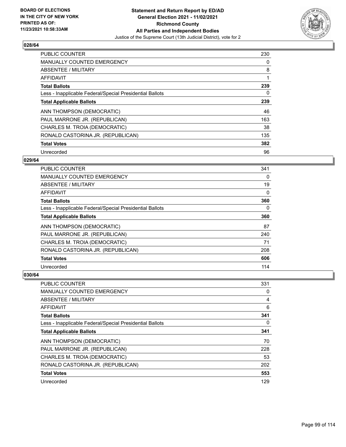

| <b>PUBLIC COUNTER</b>                                    | 230 |
|----------------------------------------------------------|-----|
| MANUALLY COUNTED EMERGENCY                               | 0   |
| ABSENTEE / MILITARY                                      | 8   |
| AFFIDAVIT                                                |     |
| <b>Total Ballots</b>                                     | 239 |
| Less - Inapplicable Federal/Special Presidential Ballots | 0   |
| <b>Total Applicable Ballots</b>                          | 239 |
| ANN THOMPSON (DEMOCRATIC)                                | 46  |
| PAUL MARRONE JR. (REPUBLICAN)                            | 163 |
| CHARLES M. TROIA (DEMOCRATIC)                            | 38  |
| RONALD CASTORINA JR. (REPUBLICAN)                        | 135 |
| <b>Total Votes</b>                                       | 382 |
| Unrecorded                                               | 96  |

## **029/64**

| PUBLIC COUNTER                                           | 341 |
|----------------------------------------------------------|-----|
| MANUALLY COUNTED EMERGENCY                               | 0   |
| ABSENTEE / MILITARY                                      | 19  |
| AFFIDAVIT                                                | 0   |
| <b>Total Ballots</b>                                     | 360 |
| Less - Inapplicable Federal/Special Presidential Ballots | 0   |
| <b>Total Applicable Ballots</b>                          | 360 |
| ANN THOMPSON (DEMOCRATIC)                                | 87  |
| PAUL MARRONE JR. (REPUBLICAN)                            | 240 |
| CHARLES M. TROIA (DEMOCRATIC)                            | 71  |
| RONALD CASTORINA JR. (REPUBLICAN)                        | 208 |
| <b>Total Votes</b>                                       | 606 |
| Unrecorded                                               | 114 |

| PUBLIC COUNTER                                           | 331 |
|----------------------------------------------------------|-----|
| <b>MANUALLY COUNTED EMERGENCY</b>                        | 0   |
| ABSENTEE / MILITARY                                      | 4   |
| AFFIDAVIT                                                | 6   |
| <b>Total Ballots</b>                                     | 341 |
| Less - Inapplicable Federal/Special Presidential Ballots | 0   |
| <b>Total Applicable Ballots</b>                          | 341 |
| ANN THOMPSON (DEMOCRATIC)                                | 70  |
| PAUL MARRONE JR. (REPUBLICAN)                            | 228 |
| CHARLES M. TROIA (DEMOCRATIC)                            | 53  |
| RONALD CASTORINA JR. (REPUBLICAN)                        | 202 |
| <b>Total Votes</b>                                       | 553 |
| Unrecorded                                               | 129 |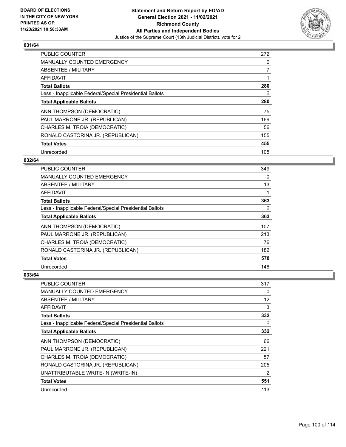

| <b>PUBLIC COUNTER</b>                                    | 272            |
|----------------------------------------------------------|----------------|
| MANUALLY COUNTED EMERGENCY                               | 0              |
| ABSENTEE / MILITARY                                      | $\overline{7}$ |
| <b>AFFIDAVIT</b>                                         |                |
| <b>Total Ballots</b>                                     | 280            |
| Less - Inapplicable Federal/Special Presidential Ballots | 0              |
| <b>Total Applicable Ballots</b>                          | 280            |
| ANN THOMPSON (DEMOCRATIC)                                | 75             |
| PAUL MARRONE JR. (REPUBLICAN)                            | 169            |
| CHARLES M. TROIA (DEMOCRATIC)                            | 56             |
| RONALD CASTORINA JR. (REPUBLICAN)                        | 155            |
| <b>Total Votes</b>                                       | 455            |
| Unrecorded                                               | 105            |

## **032/64**

| <b>PUBLIC COUNTER</b>                                    | 349 |
|----------------------------------------------------------|-----|
| <b>MANUALLY COUNTED EMERGENCY</b>                        | 0   |
| ABSENTEE / MILITARY                                      | 13  |
| <b>AFFIDAVIT</b>                                         |     |
| <b>Total Ballots</b>                                     | 363 |
| Less - Inapplicable Federal/Special Presidential Ballots | 0   |
| <b>Total Applicable Ballots</b>                          | 363 |
| ANN THOMPSON (DEMOCRATIC)                                | 107 |
| PAUL MARRONE JR. (REPUBLICAN)                            | 213 |
| CHARLES M. TROIA (DEMOCRATIC)                            | 76  |
| RONALD CASTORINA JR. (REPUBLICAN)                        | 182 |
| <b>Total Votes</b>                                       | 578 |
| Unrecorded                                               | 148 |

| PUBLIC COUNTER                                           | 317 |
|----------------------------------------------------------|-----|
| MANUALLY COUNTED EMERGENCY                               | 0   |
| ABSENTEE / MILITARY                                      | 12  |
| AFFIDAVIT                                                | 3   |
| <b>Total Ballots</b>                                     | 332 |
| Less - Inapplicable Federal/Special Presidential Ballots | 0   |
| <b>Total Applicable Ballots</b>                          | 332 |
| ANN THOMPSON (DEMOCRATIC)                                | 66  |
| PAUL MARRONE JR. (REPUBLICAN)                            | 221 |
| CHARLES M. TROIA (DEMOCRATIC)                            | 57  |
| RONALD CASTORINA JR. (REPUBLICAN)                        | 205 |
| UNATTRIBUTABLE WRITE-IN (WRITE-IN)                       | 2   |
| <b>Total Votes</b>                                       | 551 |
| Unrecorded                                               | 113 |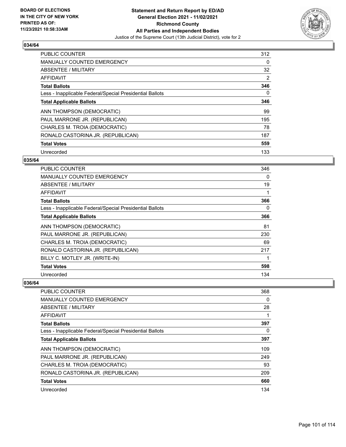

| PUBLIC COUNTER                                           | 312            |
|----------------------------------------------------------|----------------|
| <b>MANUALLY COUNTED EMERGENCY</b>                        | 0              |
| ABSENTEE / MILITARY                                      | 32             |
| <b>AFFIDAVIT</b>                                         | $\overline{2}$ |
| <b>Total Ballots</b>                                     | 346            |
| Less - Inapplicable Federal/Special Presidential Ballots | $\Omega$       |
| <b>Total Applicable Ballots</b>                          | 346            |
| ANN THOMPSON (DEMOCRATIC)                                | 99             |
| PAUL MARRONE JR. (REPUBLICAN)                            | 195            |
| CHARLES M. TROIA (DEMOCRATIC)                            | 78             |
| RONALD CASTORINA JR. (REPUBLICAN)                        | 187            |
| <b>Total Votes</b>                                       | 559            |
| Unrecorded                                               | 133            |

## **035/64**

| PUBLIC COUNTER                                           | 346 |
|----------------------------------------------------------|-----|
| MANUALLY COUNTED EMERGENCY                               | 0   |
| ABSENTEE / MILITARY                                      | 19  |
| AFFIDAVIT                                                | 1   |
| <b>Total Ballots</b>                                     | 366 |
| Less - Inapplicable Federal/Special Presidential Ballots | 0   |
| <b>Total Applicable Ballots</b>                          | 366 |
| ANN THOMPSON (DEMOCRATIC)                                | 81  |
| PAUL MARRONE JR. (REPUBLICAN)                            | 230 |
| CHARLES M. TROIA (DEMOCRATIC)                            | 69  |
| RONALD CASTORINA JR. (REPUBLICAN)                        | 217 |
| BILLY C. MOTLEY JR. (WRITE-IN)                           |     |
| <b>Total Votes</b>                                       | 598 |
| Unrecorded                                               | 134 |

| PUBLIC COUNTER                                           | 368      |
|----------------------------------------------------------|----------|
| <b>MANUALLY COUNTED EMERGENCY</b>                        | $\Omega$ |
| ABSENTEE / MILITARY                                      | 28       |
| AFFIDAVIT                                                |          |
| <b>Total Ballots</b>                                     | 397      |
| Less - Inapplicable Federal/Special Presidential Ballots | 0        |
| <b>Total Applicable Ballots</b>                          | 397      |
| ANN THOMPSON (DEMOCRATIC)                                | 109      |
| PAUL MARRONE JR. (REPUBLICAN)                            | 249      |
| CHARLES M. TROIA (DEMOCRATIC)                            | 93       |
| RONALD CASTORINA JR. (REPUBLICAN)                        | 209      |
| <b>Total Votes</b>                                       | 660      |
| Unrecorded                                               | 134      |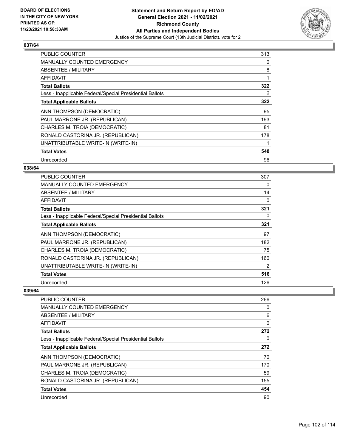

| PUBLIC COUNTER                                           | 313 |
|----------------------------------------------------------|-----|
| <b>MANUALLY COUNTED EMERGENCY</b>                        | 0   |
| ABSENTEE / MILITARY                                      | 8   |
| AFFIDAVIT                                                | 1   |
| <b>Total Ballots</b>                                     | 322 |
| Less - Inapplicable Federal/Special Presidential Ballots | 0   |
| <b>Total Applicable Ballots</b>                          | 322 |
| ANN THOMPSON (DEMOCRATIC)                                | 95  |
| PAUL MARRONE JR. (REPUBLICAN)                            | 193 |
| CHARLES M. TROIA (DEMOCRATIC)                            | 81  |
| RONALD CASTORINA JR. (REPUBLICAN)                        | 178 |
| UNATTRIBUTABLE WRITE-IN (WRITE-IN)                       |     |
| <b>Total Votes</b>                                       | 548 |
| Unrecorded                                               | 96  |

## **038/64**

| <b>PUBLIC COUNTER</b>                                    | 307 |
|----------------------------------------------------------|-----|
| <b>MANUALLY COUNTED EMERGENCY</b>                        | 0   |
| ABSENTEE / MILITARY                                      | 14  |
| AFFIDAVIT                                                | 0   |
| <b>Total Ballots</b>                                     | 321 |
| Less - Inapplicable Federal/Special Presidential Ballots | 0   |
| <b>Total Applicable Ballots</b>                          | 321 |
| ANN THOMPSON (DEMOCRATIC)                                | 97  |
| PAUL MARRONE JR. (REPUBLICAN)                            | 182 |
| CHARLES M. TROIA (DEMOCRATIC)                            | 75  |
| RONALD CASTORINA JR. (REPUBLICAN)                        | 160 |
| UNATTRIBUTABLE WRITE-IN (WRITE-IN)                       | 2   |
| <b>Total Votes</b>                                       | 516 |
| Unrecorded                                               | 126 |

| <b>PUBLIC COUNTER</b>                                    | 266 |
|----------------------------------------------------------|-----|
| MANUALLY COUNTED EMERGENCY                               | 0   |
| ABSENTEE / MILITARY                                      | 6   |
| AFFIDAVIT                                                | 0   |
| <b>Total Ballots</b>                                     | 272 |
| Less - Inapplicable Federal/Special Presidential Ballots | 0   |
| <b>Total Applicable Ballots</b>                          | 272 |
| ANN THOMPSON (DEMOCRATIC)                                | 70  |
| PAUL MARRONE JR. (REPUBLICAN)                            | 170 |
| CHARLES M. TROIA (DEMOCRATIC)                            | 59  |
| RONALD CASTORINA JR. (REPUBLICAN)                        | 155 |
| <b>Total Votes</b>                                       | 454 |
| Unrecorded                                               | 90  |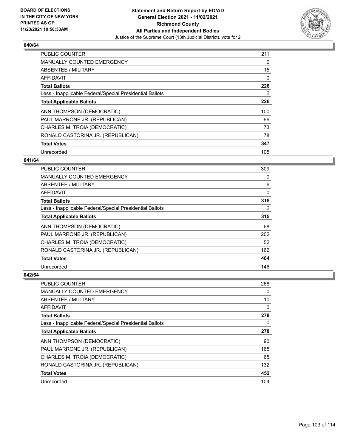

| <b>PUBLIC COUNTER</b>                                    | 211 |
|----------------------------------------------------------|-----|
| <b>MANUALLY COUNTED EMERGENCY</b>                        | 0   |
| ABSENTEE / MILITARY                                      | 15  |
| <b>AFFIDAVIT</b>                                         | 0   |
| <b>Total Ballots</b>                                     | 226 |
| Less - Inapplicable Federal/Special Presidential Ballots | 0   |
| <b>Total Applicable Ballots</b>                          | 226 |
| ANN THOMPSON (DEMOCRATIC)                                | 100 |
| PAUL MARRONE JR. (REPUBLICAN)                            | 96  |
| CHARLES M. TROIA (DEMOCRATIC)                            | 73  |
| RONALD CASTORINA JR. (REPUBLICAN)                        | 78  |
| <b>Total Votes</b>                                       | 347 |
| Unrecorded                                               | 105 |

## **041/64**

| <b>PUBLIC COUNTER</b>                                    | 309 |
|----------------------------------------------------------|-----|
| MANUALLY COUNTED EMERGENCY                               | 0   |
| ABSENTEE / MILITARY                                      | 6   |
| AFFIDAVIT                                                | 0   |
| <b>Total Ballots</b>                                     | 315 |
| Less - Inapplicable Federal/Special Presidential Ballots | 0   |
| <b>Total Applicable Ballots</b>                          | 315 |
| ANN THOMPSON (DEMOCRATIC)                                | 68  |
| PAUL MARRONE JR. (REPUBLICAN)                            | 202 |
| CHARLES M. TROIA (DEMOCRATIC)                            | 52  |
| RONALD CASTORINA JR. (REPUBLICAN)                        | 162 |
| <b>Total Votes</b>                                       | 484 |
| Unrecorded                                               | 146 |

| PUBLIC COUNTER                                           | 268 |
|----------------------------------------------------------|-----|
| <b>MANUALLY COUNTED EMERGENCY</b>                        | 0   |
| ABSENTEE / MILITARY                                      | 10  |
| AFFIDAVIT                                                | 0   |
| <b>Total Ballots</b>                                     | 278 |
| Less - Inapplicable Federal/Special Presidential Ballots | 0   |
| <b>Total Applicable Ballots</b>                          | 278 |
| ANN THOMPSON (DEMOCRATIC)                                | 90  |
| PAUL MARRONE JR. (REPUBLICAN)                            | 165 |
| CHARLES M. TROIA (DEMOCRATIC)                            | 65  |
| RONALD CASTORINA JR. (REPUBLICAN)                        | 132 |
| <b>Total Votes</b>                                       | 452 |
| Unrecorded                                               | 104 |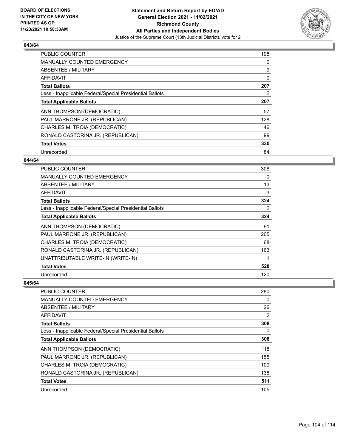

| <b>PUBLIC COUNTER</b>                                    | 198 |
|----------------------------------------------------------|-----|
| <b>MANUALLY COUNTED EMERGENCY</b>                        | 0   |
| ABSENTEE / MILITARY                                      | 9   |
| <b>AFFIDAVIT</b>                                         | 0   |
| <b>Total Ballots</b>                                     | 207 |
| Less - Inapplicable Federal/Special Presidential Ballots | 0   |
| <b>Total Applicable Ballots</b>                          | 207 |
| ANN THOMPSON (DEMOCRATIC)                                | 57  |
| PAUL MARRONE JR. (REPUBLICAN)                            | 128 |
| CHARLES M. TROIA (DEMOCRATIC)                            | 46  |
| RONALD CASTORINA JR. (REPUBLICAN)                        | 99  |
| <b>Total Votes</b>                                       | 330 |
| Unrecorded                                               | 84  |

## **044/64**

| <b>PUBLIC COUNTER</b>                                    | 308 |
|----------------------------------------------------------|-----|
| <b>MANUALLY COUNTED EMERGENCY</b>                        | 0   |
| ABSENTEE / MILITARY                                      | 13  |
| AFFIDAVIT                                                | 3   |
| <b>Total Ballots</b>                                     | 324 |
| Less - Inapplicable Federal/Special Presidential Ballots | 0   |
| <b>Total Applicable Ballots</b>                          | 324 |
| ANN THOMPSON (DEMOCRATIC)                                | 91  |
| PAUL MARRONE JR. (REPUBLICAN)                            | 205 |
| CHARLES M. TROIA (DEMOCRATIC)                            | 68  |
| RONALD CASTORINA JR. (REPUBLICAN)                        | 163 |
| UNATTRIBUTABLE WRITE-IN (WRITE-IN)                       |     |
| <b>Total Votes</b>                                       | 528 |
| Unrecorded                                               | 120 |

| <b>PUBLIC COUNTER</b>                                    | 280 |
|----------------------------------------------------------|-----|
| <b>MANUALLY COUNTED EMERGENCY</b>                        | 0   |
| ABSENTEE / MILITARY                                      | 26  |
| AFFIDAVIT                                                | 2   |
| <b>Total Ballots</b>                                     | 308 |
| Less - Inapplicable Federal/Special Presidential Ballots | 0   |
| <b>Total Applicable Ballots</b>                          | 308 |
| ANN THOMPSON (DEMOCRATIC)                                | 118 |
| PAUL MARRONE JR. (REPUBLICAN)                            | 155 |
| CHARLES M. TROIA (DEMOCRATIC)                            | 100 |
| RONALD CASTORINA JR. (REPUBLICAN)                        | 138 |
| <b>Total Votes</b>                                       | 511 |
| Unrecorded                                               | 105 |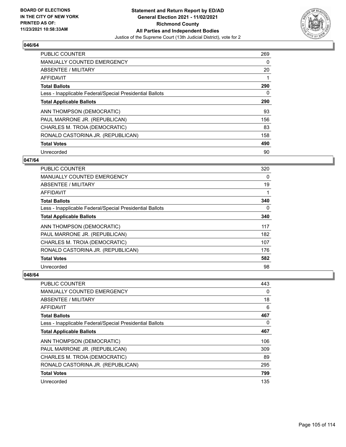

| <b>PUBLIC COUNTER</b>                                    | 269 |
|----------------------------------------------------------|-----|
| <b>MANUALLY COUNTED EMERGENCY</b>                        | 0   |
| ABSENTEE / MILITARY                                      | 20  |
| AFFIDAVIT                                                |     |
| <b>Total Ballots</b>                                     | 290 |
| Less - Inapplicable Federal/Special Presidential Ballots | 0   |
| <b>Total Applicable Ballots</b>                          | 290 |
| ANN THOMPSON (DEMOCRATIC)                                | 93  |
| PAUL MARRONE JR. (REPUBLICAN)                            | 156 |
| CHARLES M. TROIA (DEMOCRATIC)                            | 83  |
| RONALD CASTORINA JR. (REPUBLICAN)                        | 158 |
| <b>Total Votes</b>                                       | 490 |
| Unrecorded                                               | 90  |

## **047/64**

| <b>PUBLIC COUNTER</b>                                    | 320 |
|----------------------------------------------------------|-----|
| MANUALLY COUNTED EMERGENCY                               | 0   |
| ABSENTEE / MILITARY                                      | 19  |
| AFFIDAVIT                                                |     |
| <b>Total Ballots</b>                                     | 340 |
| Less - Inapplicable Federal/Special Presidential Ballots | 0   |
| <b>Total Applicable Ballots</b>                          | 340 |
| ANN THOMPSON (DEMOCRATIC)                                | 117 |
| PAUL MARRONE JR. (REPUBLICAN)                            | 182 |
| CHARLES M. TROIA (DEMOCRATIC)                            | 107 |
| RONALD CASTORINA JR. (REPUBLICAN)                        | 176 |
| <b>Total Votes</b>                                       | 582 |
| Unrecorded                                               | 98  |

| PUBLIC COUNTER                                           | 443 |
|----------------------------------------------------------|-----|
| <b>MANUALLY COUNTED EMERGENCY</b>                        | 0   |
| ABSENTEE / MILITARY                                      | 18  |
| AFFIDAVIT                                                | 6   |
| <b>Total Ballots</b>                                     | 467 |
| Less - Inapplicable Federal/Special Presidential Ballots | 0   |
| <b>Total Applicable Ballots</b>                          | 467 |
| ANN THOMPSON (DEMOCRATIC)                                | 106 |
| PAUL MARRONE JR. (REPUBLICAN)                            | 309 |
| CHARLES M. TROIA (DEMOCRATIC)                            | 89  |
| RONALD CASTORINA JR. (REPUBLICAN)                        | 295 |
| <b>Total Votes</b>                                       | 799 |
| Unrecorded                                               | 135 |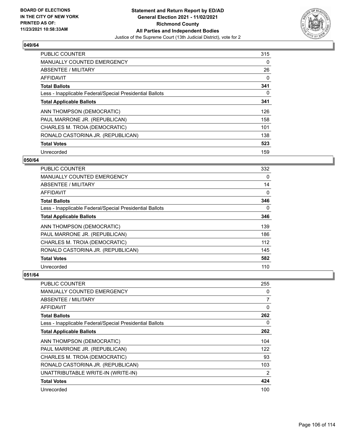

| <b>PUBLIC COUNTER</b>                                    | 315 |
|----------------------------------------------------------|-----|
| <b>MANUALLY COUNTED EMERGENCY</b>                        | 0   |
| ABSENTEE / MILITARY                                      | 26  |
| <b>AFFIDAVIT</b>                                         | 0   |
| <b>Total Ballots</b>                                     | 341 |
| Less - Inapplicable Federal/Special Presidential Ballots | 0   |
| <b>Total Applicable Ballots</b>                          | 341 |
| ANN THOMPSON (DEMOCRATIC)                                | 126 |
| PAUL MARRONE JR. (REPUBLICAN)                            | 158 |
| CHARLES M. TROIA (DEMOCRATIC)                            | 101 |
| RONALD CASTORINA JR. (REPUBLICAN)                        | 138 |
| <b>Total Votes</b>                                       | 523 |
| Unrecorded                                               | 159 |

### **050/64**

| <b>PUBLIC COUNTER</b>                                    | 332      |
|----------------------------------------------------------|----------|
| <b>MANUALLY COUNTED EMERGENCY</b>                        | 0        |
| ABSENTEE / MILITARY                                      | 14       |
| AFFIDAVIT                                                | $\Omega$ |
| <b>Total Ballots</b>                                     | 346      |
| Less - Inapplicable Federal/Special Presidential Ballots | 0        |
| <b>Total Applicable Ballots</b>                          | 346      |
| ANN THOMPSON (DEMOCRATIC)                                | 139      |
| PAUL MARRONE JR. (REPUBLICAN)                            | 186      |
| CHARLES M. TROIA (DEMOCRATIC)                            | 112      |
| RONALD CASTORINA JR. (REPUBLICAN)                        | 145      |
| <b>Total Votes</b>                                       | 582      |
| Unrecorded                                               | 110      |

| PUBLIC COUNTER                                           | 255 |
|----------------------------------------------------------|-----|
| <b>MANUALLY COUNTED EMERGENCY</b>                        | 0   |
| ABSENTEE / MILITARY                                      | 7   |
| AFFIDAVIT                                                | 0   |
| <b>Total Ballots</b>                                     | 262 |
| Less - Inapplicable Federal/Special Presidential Ballots | 0   |
| <b>Total Applicable Ballots</b>                          | 262 |
| ANN THOMPSON (DEMOCRATIC)                                | 104 |
| PAUL MARRONE JR. (REPUBLICAN)                            | 122 |
| CHARLES M. TROIA (DEMOCRATIC)                            | 93  |
| RONALD CASTORINA JR. (REPUBLICAN)                        | 103 |
| UNATTRIBUTABLE WRITE-IN (WRITE-IN)                       | 2   |
| <b>Total Votes</b>                                       | 424 |
| Unrecorded                                               | 100 |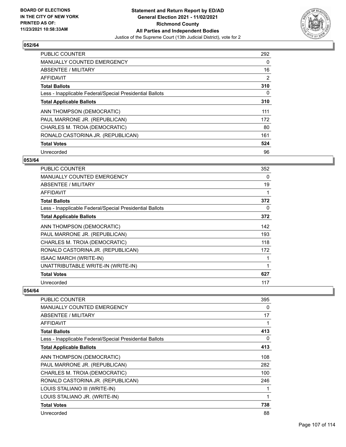

| <b>PUBLIC COUNTER</b>                                    | 292            |
|----------------------------------------------------------|----------------|
| <b>MANUALLY COUNTED EMERGENCY</b>                        | 0              |
| ABSENTEE / MILITARY                                      | 16             |
| <b>AFFIDAVIT</b>                                         | $\overline{2}$ |
| <b>Total Ballots</b>                                     | 310            |
| Less - Inapplicable Federal/Special Presidential Ballots | 0              |
| <b>Total Applicable Ballots</b>                          | 310            |
| ANN THOMPSON (DEMOCRATIC)                                | 111            |
| PAUL MARRONE JR. (REPUBLICAN)                            | 172            |
| CHARLES M. TROIA (DEMOCRATIC)                            | 80             |
| RONALD CASTORINA JR. (REPUBLICAN)                        | 161            |
| <b>Total Votes</b>                                       | 524            |
| Unrecorded                                               | 96             |

### **053/64**

| <b>PUBLIC COUNTER</b>                                    | 352 |
|----------------------------------------------------------|-----|
| <b>MANUALLY COUNTED EMERGENCY</b>                        | 0   |
| ABSENTEE / MILITARY                                      | 19  |
| <b>AFFIDAVIT</b>                                         |     |
| <b>Total Ballots</b>                                     | 372 |
| Less - Inapplicable Federal/Special Presidential Ballots | 0   |
| <b>Total Applicable Ballots</b>                          | 372 |
| ANN THOMPSON (DEMOCRATIC)                                | 142 |
| PAUL MARRONE JR. (REPUBLICAN)                            | 193 |
| CHARLES M. TROIA (DEMOCRATIC)                            | 118 |
| RONALD CASTORINA JR. (REPUBLICAN)                        | 172 |
| <b>ISAAC MARCH (WRITE-IN)</b>                            |     |
| UNATTRIBUTABLE WRITE-IN (WRITE-IN)                       | 1   |
| <b>Total Votes</b>                                       | 627 |
| Unrecorded                                               | 117 |

| PUBLIC COUNTER                                           | 395 |
|----------------------------------------------------------|-----|
| <b>MANUALLY COUNTED EMERGENCY</b>                        | 0   |
| <b>ABSENTEE / MILITARY</b>                               | 17  |
| <b>AFFIDAVIT</b>                                         |     |
| <b>Total Ballots</b>                                     | 413 |
| Less - Inapplicable Federal/Special Presidential Ballots | 0   |
| <b>Total Applicable Ballots</b>                          | 413 |
| ANN THOMPSON (DEMOCRATIC)                                | 108 |
| PAUL MARRONE JR. (REPUBLICAN)                            | 282 |
| CHARLES M. TROIA (DEMOCRATIC)                            | 100 |
| RONALD CASTORINA JR. (REPUBLICAN)                        | 246 |
| LOUIS STALIANO III (WRITE-IN)                            |     |
| LOUIS STALIANO JR. (WRITE-IN)                            |     |
| <b>Total Votes</b>                                       | 738 |
| Unrecorded                                               | 88  |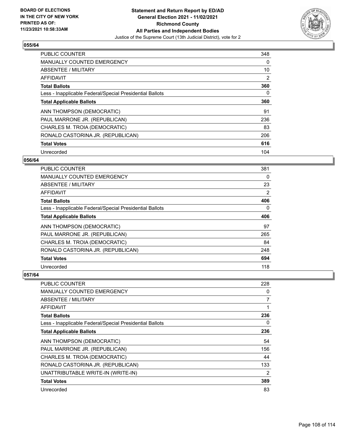

| <b>PUBLIC COUNTER</b>                                    | 348            |
|----------------------------------------------------------|----------------|
| <b>MANUALLY COUNTED EMERGENCY</b>                        | 0              |
| ABSENTEE / MILITARY                                      | 10             |
| <b>AFFIDAVIT</b>                                         | $\overline{2}$ |
| <b>Total Ballots</b>                                     | 360            |
| Less - Inapplicable Federal/Special Presidential Ballots | 0              |
| <b>Total Applicable Ballots</b>                          | 360            |
| ANN THOMPSON (DEMOCRATIC)                                | 91             |
| PAUL MARRONE JR. (REPUBLICAN)                            | 236            |
| CHARLES M. TROIA (DEMOCRATIC)                            | 83             |
| RONALD CASTORINA JR. (REPUBLICAN)                        | 206            |
| <b>Total Votes</b>                                       | 616            |
| Unrecorded                                               | 104            |

### **056/64**

| PUBLIC COUNTER                                           | 381 |
|----------------------------------------------------------|-----|
| MANUALLY COUNTED EMERGENCY                               | 0   |
| ABSENTEE / MILITARY                                      | 23  |
| AFFIDAVIT                                                | 2   |
| <b>Total Ballots</b>                                     | 406 |
| Less - Inapplicable Federal/Special Presidential Ballots | 0   |
| <b>Total Applicable Ballots</b>                          | 406 |
| ANN THOMPSON (DEMOCRATIC)                                | 97  |
| PAUL MARRONE JR. (REPUBLICAN)                            | 265 |
| CHARLES M. TROIA (DEMOCRATIC)                            | 84  |
| RONALD CASTORINA JR. (REPUBLICAN)                        | 248 |
| <b>Total Votes</b>                                       | 694 |
| Unrecorded                                               | 118 |

| PUBLIC COUNTER                                           | 228 |
|----------------------------------------------------------|-----|
| <b>MANUALLY COUNTED EMERGENCY</b>                        | 0   |
| ABSENTEE / MILITARY                                      | 7   |
| AFFIDAVIT                                                | 1   |
| <b>Total Ballots</b>                                     | 236 |
| Less - Inapplicable Federal/Special Presidential Ballots | 0   |
| <b>Total Applicable Ballots</b>                          | 236 |
| ANN THOMPSON (DEMOCRATIC)                                | 54  |
| PAUL MARRONE JR. (REPUBLICAN)                            | 156 |
| CHARLES M. TROIA (DEMOCRATIC)                            | 44  |
| RONALD CASTORINA JR. (REPUBLICAN)                        | 133 |
| UNATTRIBUTABLE WRITE-IN (WRITE-IN)                       | 2   |
| <b>Total Votes</b>                                       | 389 |
| Unrecorded                                               | 83  |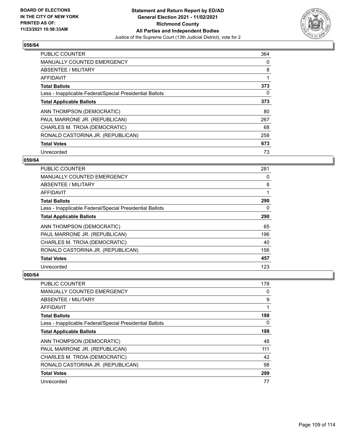

| <b>PUBLIC COUNTER</b>                                    | 364 |
|----------------------------------------------------------|-----|
| <b>MANUALLY COUNTED EMERGENCY</b>                        | 0   |
| ABSENTEE / MILITARY                                      | 8   |
| <b>AFFIDAVIT</b>                                         |     |
| <b>Total Ballots</b>                                     | 373 |
| Less - Inapplicable Federal/Special Presidential Ballots | 0   |
| <b>Total Applicable Ballots</b>                          | 373 |
| ANN THOMPSON (DEMOCRATIC)                                | 80  |
| PAUL MARRONE JR. (REPUBLICAN)                            | 267 |
| CHARLES M. TROIA (DEMOCRATIC)                            | 68  |
| RONALD CASTORINA JR. (REPUBLICAN)                        | 258 |
| <b>Total Votes</b>                                       | 673 |
| Unrecorded                                               | 73  |

## **059/64**

| <b>PUBLIC COUNTER</b>                                    | 281 |
|----------------------------------------------------------|-----|
| MANUALLY COUNTED EMERGENCY                               | 0   |
| ABSENTEE / MILITARY                                      | 8   |
| AFFIDAVIT                                                | 1   |
| <b>Total Ballots</b>                                     | 290 |
| Less - Inapplicable Federal/Special Presidential Ballots | 0   |
| <b>Total Applicable Ballots</b>                          | 290 |
| ANN THOMPSON (DEMOCRATIC)                                | 65  |
| PAUL MARRONE JR. (REPUBLICAN)                            | 196 |
| CHARLES M. TROIA (DEMOCRATIC)                            | 40  |
| RONALD CASTORINA JR. (REPUBLICAN)                        | 156 |
| <b>Total Votes</b>                                       | 457 |
| Unrecorded                                               | 123 |

| <b>PUBLIC COUNTER</b>                                    | 178      |
|----------------------------------------------------------|----------|
| <b>MANUALLY COUNTED EMERGENCY</b>                        | 0        |
| ABSENTEE / MILITARY                                      | 9        |
| AFFIDAVIT                                                |          |
| <b>Total Ballots</b>                                     | 188      |
| Less - Inapplicable Federal/Special Presidential Ballots | $\Omega$ |
| <b>Total Applicable Ballots</b>                          | 188      |
| ANN THOMPSON (DEMOCRATIC)                                | 48       |
| PAUL MARRONE JR. (REPUBLICAN)                            | 111      |
| CHARLES M. TROIA (DEMOCRATIC)                            | 42       |
| RONALD CASTORINA JR. (REPUBLICAN)                        | 98       |
| <b>Total Votes</b>                                       | 299      |
| Unrecorded                                               | 77       |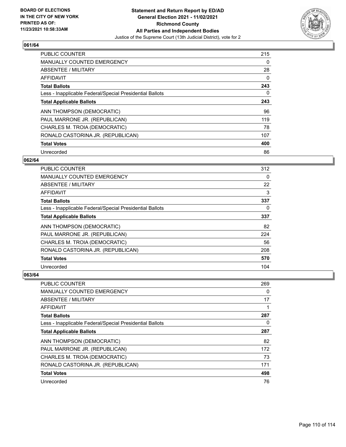

| <b>PUBLIC COUNTER</b>                                    | 215 |
|----------------------------------------------------------|-----|
| <b>MANUALLY COUNTED EMERGENCY</b>                        | 0   |
| ABSENTEE / MILITARY                                      | 28  |
| <b>AFFIDAVIT</b>                                         | 0   |
| <b>Total Ballots</b>                                     | 243 |
| Less - Inapplicable Federal/Special Presidential Ballots | 0   |
| <b>Total Applicable Ballots</b>                          | 243 |
| ANN THOMPSON (DEMOCRATIC)                                | 96  |
| PAUL MARRONE JR. (REPUBLICAN)                            | 119 |
| CHARLES M. TROIA (DEMOCRATIC)                            | 78  |
| RONALD CASTORINA JR. (REPUBLICAN)                        | 107 |
| <b>Total Votes</b>                                       | 400 |
| Unrecorded                                               | 86  |

## **062/64**

| <b>PUBLIC COUNTER</b>                                    | 312      |
|----------------------------------------------------------|----------|
| <b>MANUALLY COUNTED EMERGENCY</b>                        | $\Omega$ |
| ABSENTEE / MILITARY                                      | 22       |
| AFFIDAVIT                                                | 3        |
| <b>Total Ballots</b>                                     | 337      |
| Less - Inapplicable Federal/Special Presidential Ballots | 0        |
| <b>Total Applicable Ballots</b>                          | 337      |
| ANN THOMPSON (DEMOCRATIC)                                | 82       |
| PAUL MARRONE JR. (REPUBLICAN)                            | 224      |
| CHARLES M. TROIA (DEMOCRATIC)                            | 56       |
| RONALD CASTORINA JR. (REPUBLICAN)                        | 208      |
| <b>Total Votes</b>                                       | 570      |
| Unrecorded                                               | 104      |

| PUBLIC COUNTER                                           | 269      |
|----------------------------------------------------------|----------|
| <b>MANUALLY COUNTED EMERGENCY</b>                        | 0        |
| ABSENTEE / MILITARY                                      | 17       |
| AFFIDAVIT                                                | 1        |
| <b>Total Ballots</b>                                     | 287      |
| Less - Inapplicable Federal/Special Presidential Ballots | $\Omega$ |
| <b>Total Applicable Ballots</b>                          | 287      |
| ANN THOMPSON (DEMOCRATIC)                                | 82       |
| PAUL MARRONE JR. (REPUBLICAN)                            | 172      |
| CHARLES M. TROIA (DEMOCRATIC)                            | 73       |
| RONALD CASTORINA JR. (REPUBLICAN)                        | 171      |
| <b>Total Votes</b>                                       | 498      |
| Unrecorded                                               | 76       |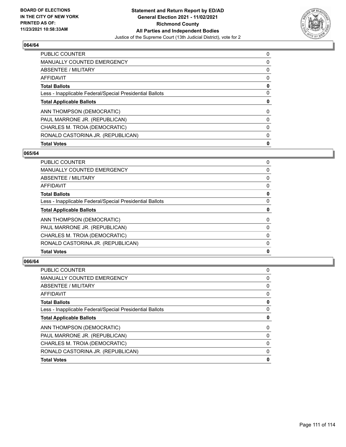

| <b>PUBLIC COUNTER</b>                                    | 0        |
|----------------------------------------------------------|----------|
| MANUALLY COUNTED EMERGENCY                               | 0        |
| ABSENTEE / MILITARY                                      | 0        |
| AFFIDAVIT                                                | 0        |
| <b>Total Ballots</b>                                     | 0        |
| Less - Inapplicable Federal/Special Presidential Ballots | 0        |
| <b>Total Applicable Ballots</b>                          | 0        |
| ANN THOMPSON (DEMOCRATIC)                                | $\Omega$ |
| PAUL MARRONE JR. (REPUBLICAN)                            | 0        |
| CHARLES M. TROIA (DEMOCRATIC)                            | 0        |
| RONALD CASTORINA JR. (REPUBLICAN)                        | 0        |
| <b>Total Votes</b>                                       | 0        |

# **065/64**

| <b>PUBLIC COUNTER</b>                                    | 0        |
|----------------------------------------------------------|----------|
| <b>MANUALLY COUNTED EMERGENCY</b>                        | 0        |
| ABSENTEE / MILITARY                                      | 0        |
| AFFIDAVIT                                                | 0        |
| <b>Total Ballots</b>                                     | 0        |
| Less - Inapplicable Federal/Special Presidential Ballots | 0        |
| <b>Total Applicable Ballots</b>                          | 0        |
| ANN THOMPSON (DEMOCRATIC)                                | $\Omega$ |
| PAUL MARRONE JR. (REPUBLICAN)                            | 0        |
| CHARLES M. TROIA (DEMOCRATIC)                            | 0        |
| RONALD CASTORINA JR. (REPUBLICAN)                        | 0        |
| <b>Total Votes</b>                                       | 0        |
|                                                          |          |

| PUBLIC COUNTER                                           | 0 |
|----------------------------------------------------------|---|
| <b>MANUALLY COUNTED EMERGENCY</b>                        | 0 |
| <b>ABSENTEE / MILITARY</b>                               | 0 |
| <b>AFFIDAVIT</b>                                         | 0 |
| <b>Total Ballots</b>                                     | 0 |
| Less - Inapplicable Federal/Special Presidential Ballots | 0 |
| <b>Total Applicable Ballots</b>                          | 0 |
| ANN THOMPSON (DEMOCRATIC)                                | 0 |
| PAUL MARRONE JR. (REPUBLICAN)                            | 0 |
| CHARLES M. TROIA (DEMOCRATIC)                            | 0 |
| RONALD CASTORINA JR. (REPUBLICAN)                        | 0 |
| <b>Total Votes</b>                                       | 0 |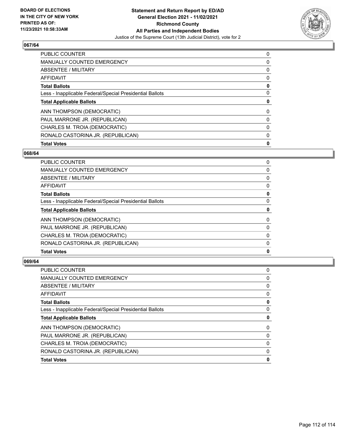

| <b>PUBLIC COUNTER</b>                                    | 0 |
|----------------------------------------------------------|---|
| <b>MANUALLY COUNTED EMERGENCY</b>                        | 0 |
| ABSENTEE / MILITARY                                      | 0 |
| AFFIDAVIT                                                | 0 |
| <b>Total Ballots</b>                                     | 0 |
| Less - Inapplicable Federal/Special Presidential Ballots | 0 |
| <b>Total Applicable Ballots</b>                          | 0 |
| ANN THOMPSON (DEMOCRATIC)                                | 0 |
| PAUL MARRONE JR. (REPUBLICAN)                            | 0 |
| CHARLES M. TROIA (DEMOCRATIC)                            | 0 |
| RONALD CASTORINA JR. (REPUBLICAN)                        | 0 |
| <b>Total Votes</b>                                       | 0 |

# **068/64**

| PUBLIC COUNTER                                           | 0        |
|----------------------------------------------------------|----------|
| <b>MANUALLY COUNTED EMERGENCY</b>                        | 0        |
| ABSENTEE / MILITARY                                      | 0        |
| AFFIDAVIT                                                | 0        |
| <b>Total Ballots</b>                                     | 0        |
| Less - Inapplicable Federal/Special Presidential Ballots | 0        |
| <b>Total Applicable Ballots</b>                          | 0        |
| ANN THOMPSON (DEMOCRATIC)                                | $\Omega$ |
| PAUL MARRONE JR. (REPUBLICAN)                            | 0        |
| CHARLES M. TROIA (DEMOCRATIC)                            | 0        |
| RONALD CASTORINA JR. (REPUBLICAN)                        | $\Omega$ |
| <b>Total Votes</b>                                       | 0        |
|                                                          |          |

| PUBLIC COUNTER                                           | 0 |
|----------------------------------------------------------|---|
| <b>MANUALLY COUNTED EMERGENCY</b>                        | 0 |
| <b>ABSENTEE / MILITARY</b>                               | 0 |
| <b>AFFIDAVIT</b>                                         | 0 |
| <b>Total Ballots</b>                                     | 0 |
| Less - Inapplicable Federal/Special Presidential Ballots | 0 |
| <b>Total Applicable Ballots</b>                          | 0 |
| ANN THOMPSON (DEMOCRATIC)                                | 0 |
| PAUL MARRONE JR. (REPUBLICAN)                            | 0 |
| CHARLES M. TROIA (DEMOCRATIC)                            | 0 |
| RONALD CASTORINA JR. (REPUBLICAN)                        | 0 |
| <b>Total Votes</b>                                       | 0 |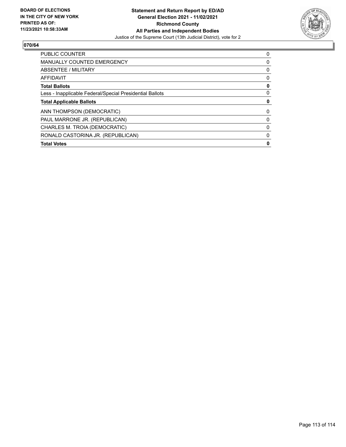

| <b>PUBLIC COUNTER</b>                                    | 0        |
|----------------------------------------------------------|----------|
| <b>MANUALLY COUNTED EMERGENCY</b>                        | 0        |
| ABSENTEE / MILITARY                                      | 0        |
| AFFIDAVIT                                                | 0        |
| <b>Total Ballots</b>                                     | 0        |
| Less - Inapplicable Federal/Special Presidential Ballots | 0        |
| <b>Total Applicable Ballots</b>                          | 0        |
| ANN THOMPSON (DEMOCRATIC)                                | $\Omega$ |
| PAUL MARRONE JR. (REPUBLICAN)                            | 0        |
| CHARLES M. TROIA (DEMOCRATIC)                            | 0        |
| RONALD CASTORINA JR. (REPUBLICAN)                        | 0        |
| <b>Total Votes</b>                                       | 0        |